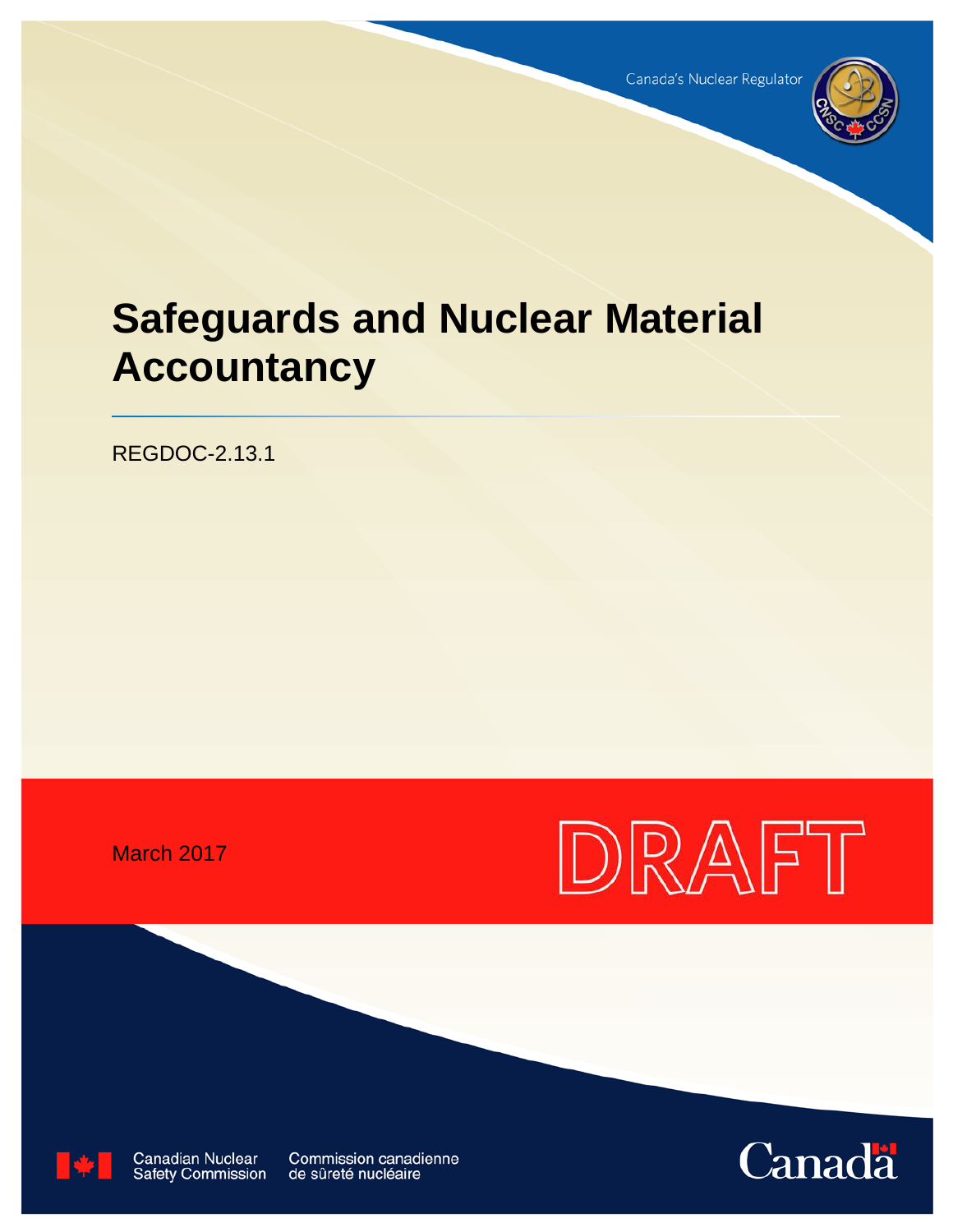

# **Safeguards and Nuclear Material Accountancy**

REGDOC-2.13.1

March 2017





**Canadian Nuclear** Safety Commission

**Commission canadienne** de sûreté nucléaire

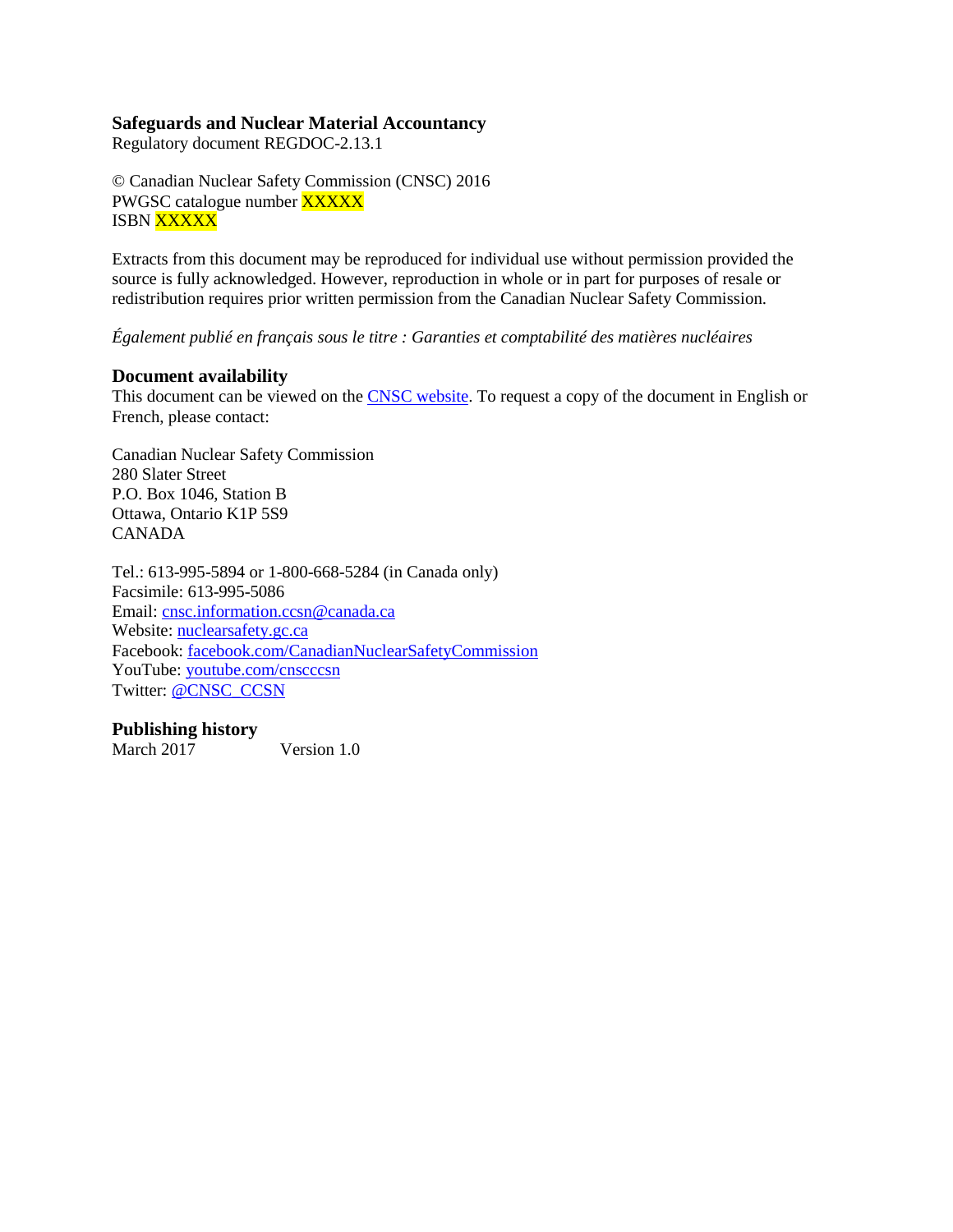## **Safeguards and Nuclear Material Accountancy**

Regulatory document REGDOC-2.13.1

© Canadian Nuclear Safety Commission (CNSC) 2016 PWGSC catalogue number **XXXXX ISBN XXXXX** 

Extracts from this document may be reproduced for individual use without permission provided the source is fully acknowledged. However, reproduction in whole or in part for purposes of resale or redistribution requires prior written permission from the Canadian Nuclear Safety Commission.

*Également publié en français sous le titre : Garanties et comptabilité des matières nucléaires*

#### **Document availability**

This document can be viewed on the [CNSC website.](http://www.nuclearsafety.gc.ca/) To request a copy of the document in English or French, please contact:

Canadian Nuclear Safety Commission 280 Slater Street P.O. Box 1046, Station B Ottawa, Ontario K1P 5S9 CANADA

Tel.: 613-995-5894 or 1-800-668-5284 (in Canada only) Facsimile: 613-995-5086 Email: [cnsc.information.ccsn@canada.ca](mailto:cnsc.information.ccsn@canada.ca) Website: [nuclearsafety.gc.ca](http://www.nuclearsafety.gc.ca/) Facebook: [facebook.com/CanadianNuclearSafetyCommission](http://www.facebook.com/CanadianNuclearSafetyCommission) YouTube: [youtube.com/cnscccsn](http://www.youtube.com/cnscccsn) Twitter: **@CNSC\_CCSN** 

#### **Publishing history**

March 2017 Version 1.0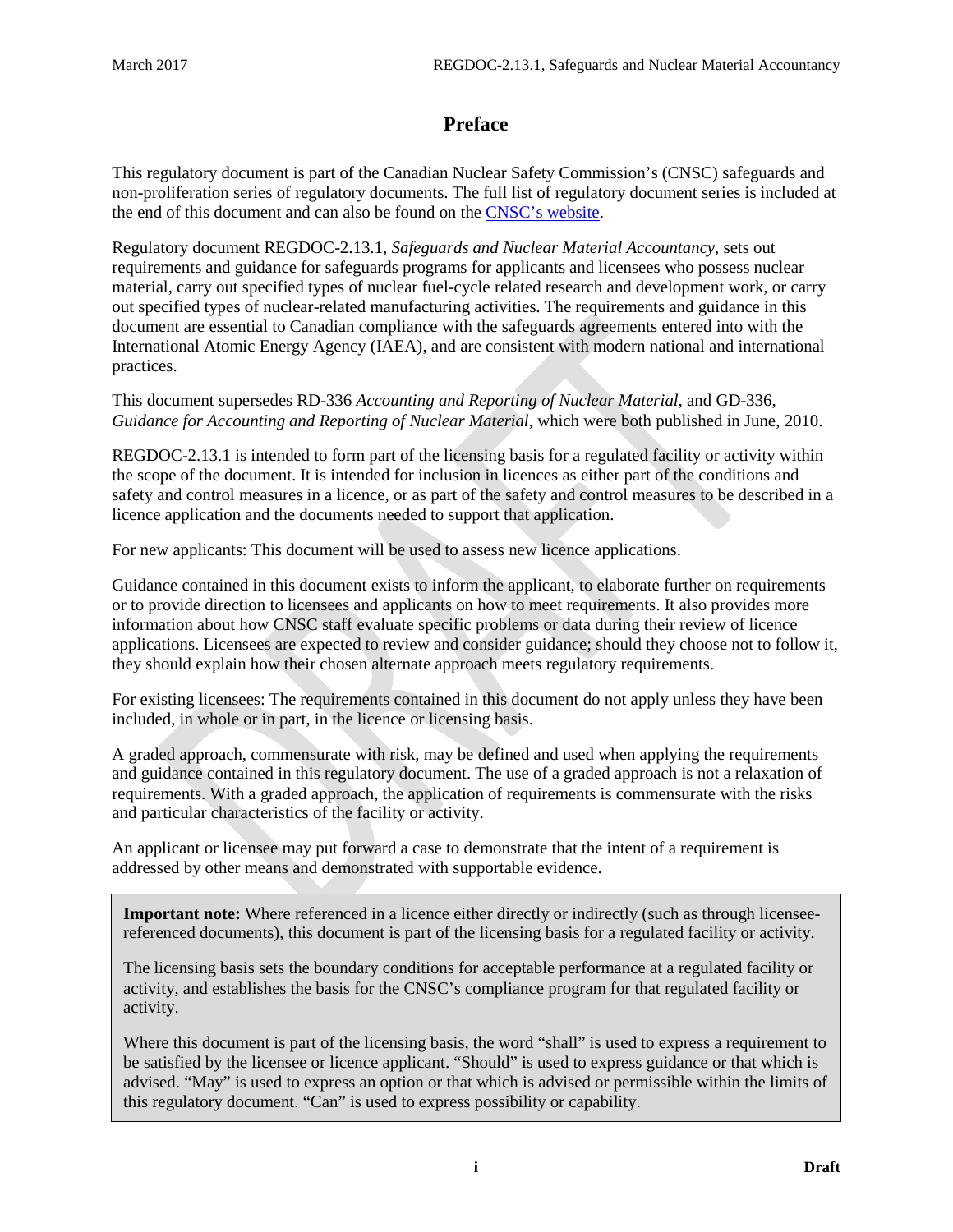# **Preface**

This regulatory document is part of the Canadian Nuclear Safety Commission's (CNSC) safeguards and non-proliferation series of regulatory documents. The full list of regulatory document series is included at the end of this document and can also be found on the [CNSC's website.](http://www.nuclearsafety.gc.ca/eng/acts-and-regulations/regulatory-documents/index.cfm)

Regulatory document REGDOC-2.13.1, *Safeguards and Nuclear Material Accountancy*, sets out requirements and guidance for safeguards programs for applicants and licensees who possess nuclear material, carry out specified types of nuclear fuel-cycle related research and development work, or carry out specified types of nuclear-related manufacturing activities. The requirements and guidance in this document are essential to Canadian compliance with the safeguards agreements entered into with the International Atomic Energy Agency (IAEA), and are consistent with modern national and international practices.

This document supersedes RD-336 *Accounting and Reporting of Nuclear Material*, and GD-336, *Guidance for Accounting and Reporting of Nuclear Material*, which were both published in June, 2010.

REGDOC-2.13.1 is intended to form part of the licensing basis for a regulated facility or activity within the scope of the document. It is intended for inclusion in licences as either part of the conditions and safety and control measures in a licence, or as part of the safety and control measures to be described in a licence application and the documents needed to support that application.

For new applicants: This document will be used to assess new licence applications.

Guidance contained in this document exists to inform the applicant, to elaborate further on requirements or to provide direction to licensees and applicants on how to meet requirements. It also provides more information about how CNSC staff evaluate specific problems or data during their review of licence applications. Licensees are expected to review and consider guidance; should they choose not to follow it, they should explain how their chosen alternate approach meets regulatory requirements.

For existing licensees: The requirements contained in this document do not apply unless they have been included, in whole or in part, in the licence or licensing basis.

A graded approach, commensurate with risk, may be defined and used when applying the requirements and guidance contained in this regulatory document. The use of a graded approach is not a relaxation of requirements. With a graded approach, the application of requirements is commensurate with the risks and particular characteristics of the facility or activity.

An applicant or licensee may put forward a case to demonstrate that the intent of a requirement is addressed by other means and demonstrated with supportable evidence.

**Important note:** Where referenced in a licence either directly or indirectly (such as through licenseereferenced documents), this document is part of the licensing basis for a regulated facility or activity.

The licensing basis sets the boundary conditions for acceptable performance at a regulated facility or activity, and establishes the basis for the CNSC's compliance program for that regulated facility or activity.

Where this document is part of the licensing basis, the word "shall" is used to express a requirement to be satisfied by the licensee or licence applicant. "Should" is used to express guidance or that which is advised. "May" is used to express an option or that which is advised or permissible within the limits of this regulatory document. "Can" is used to express possibility or capability.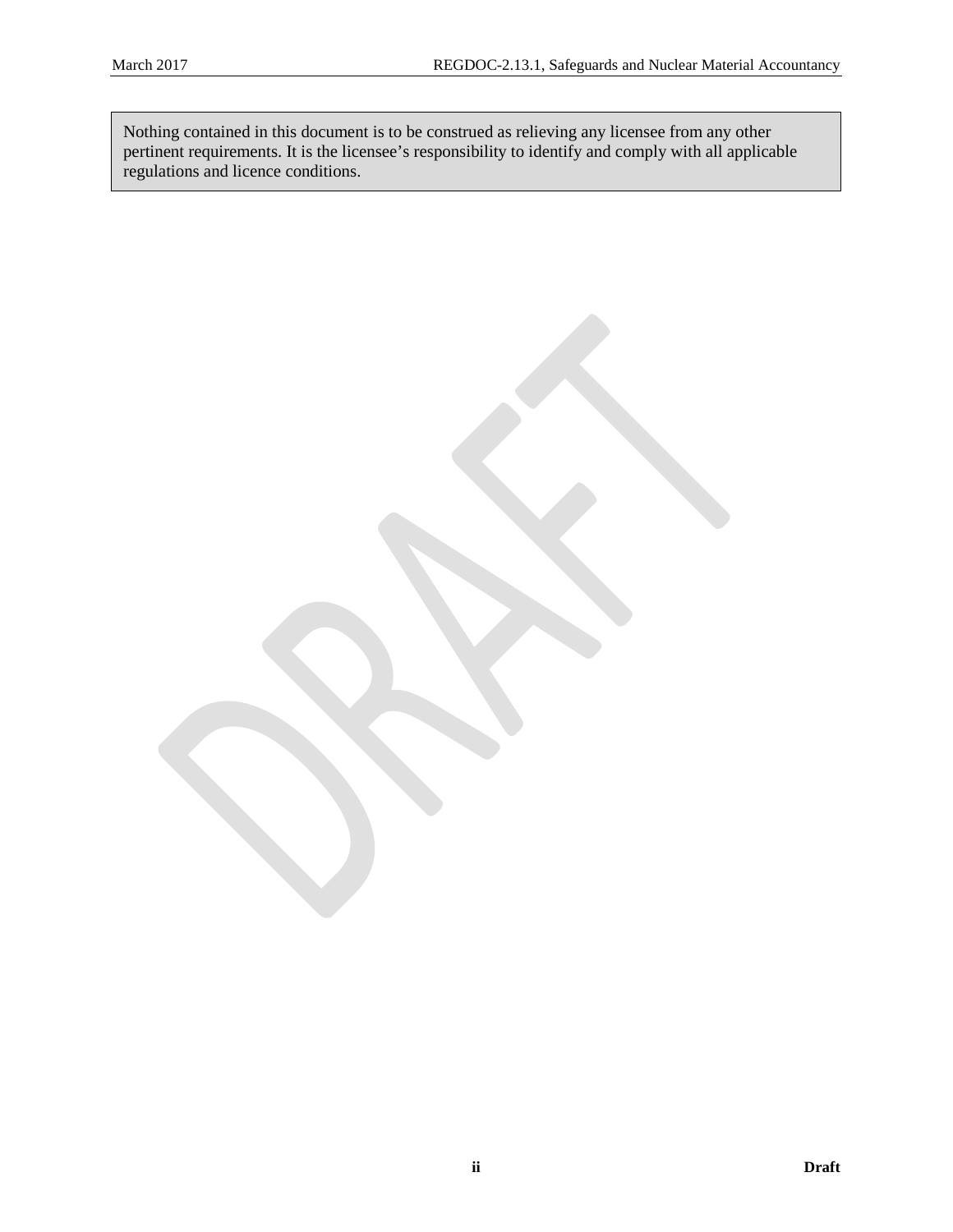Nothing contained in this document is to be construed as relieving any licensee from any other pertinent requirements. It is the licensee's responsibility to identify and comply with all applicable regulations and licence conditions.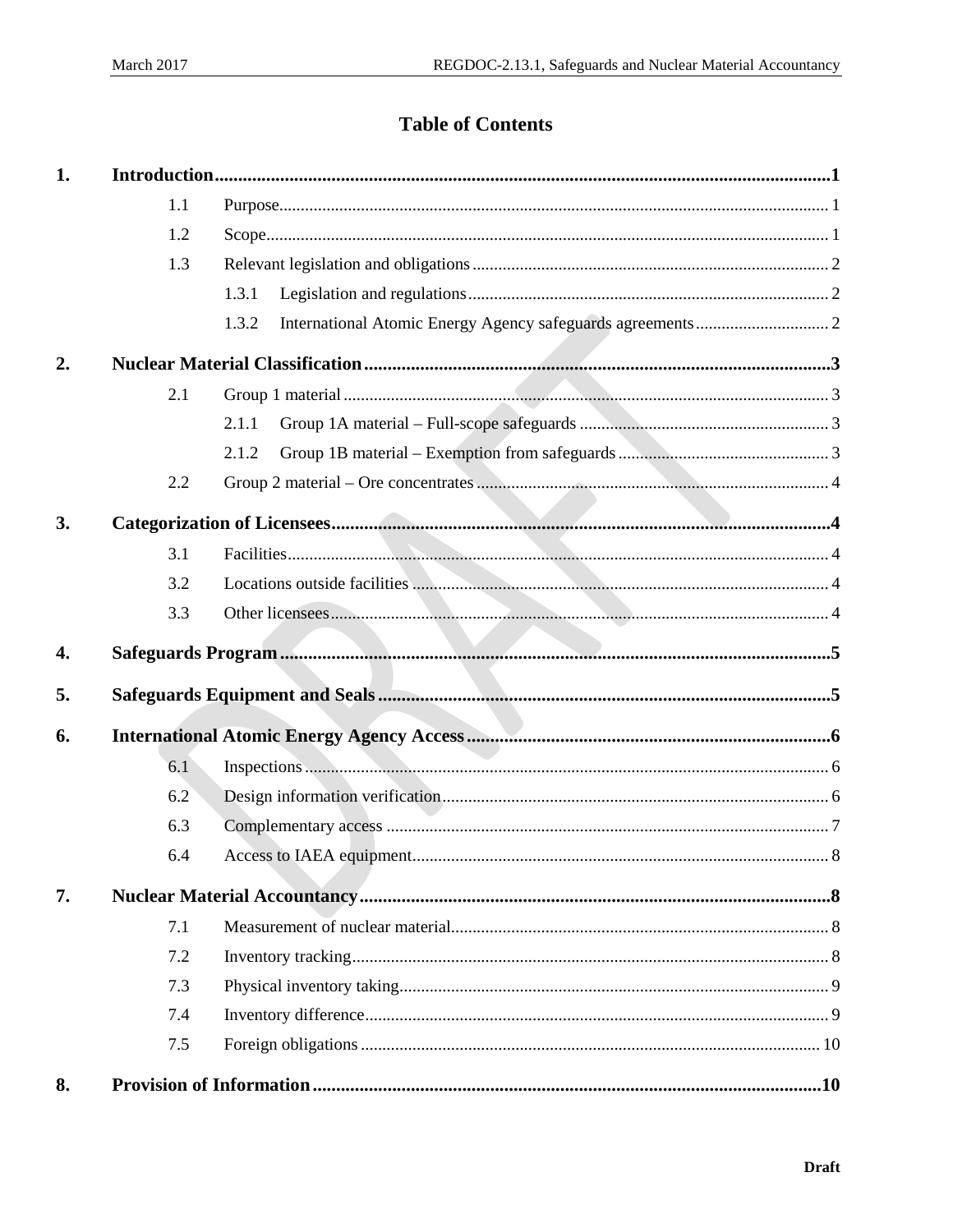# **Table of Contents**

| 1. |     |       |  |
|----|-----|-------|--|
|    | 1.1 |       |  |
|    | 1.2 |       |  |
|    | 1.3 |       |  |
|    |     | 1.3.1 |  |
|    |     | 1.3.2 |  |
| 2. |     |       |  |
|    | 2.1 |       |  |
|    |     | 2.1.1 |  |
|    |     | 2.1.2 |  |
|    | 2.2 |       |  |
| 3. |     |       |  |
|    | 3.1 |       |  |
|    | 3.2 |       |  |
|    | 3.3 |       |  |
| 4. |     |       |  |
| 5. |     |       |  |
| 6. |     |       |  |
|    | 6.1 |       |  |
|    | 6.2 |       |  |
|    | 6.3 |       |  |
|    | 64  |       |  |
| 7. |     |       |  |
|    | 7.1 |       |  |
|    | 7.2 |       |  |
|    | 7.3 |       |  |
|    | 7.4 |       |  |
|    | 7.5 |       |  |
| 8. |     |       |  |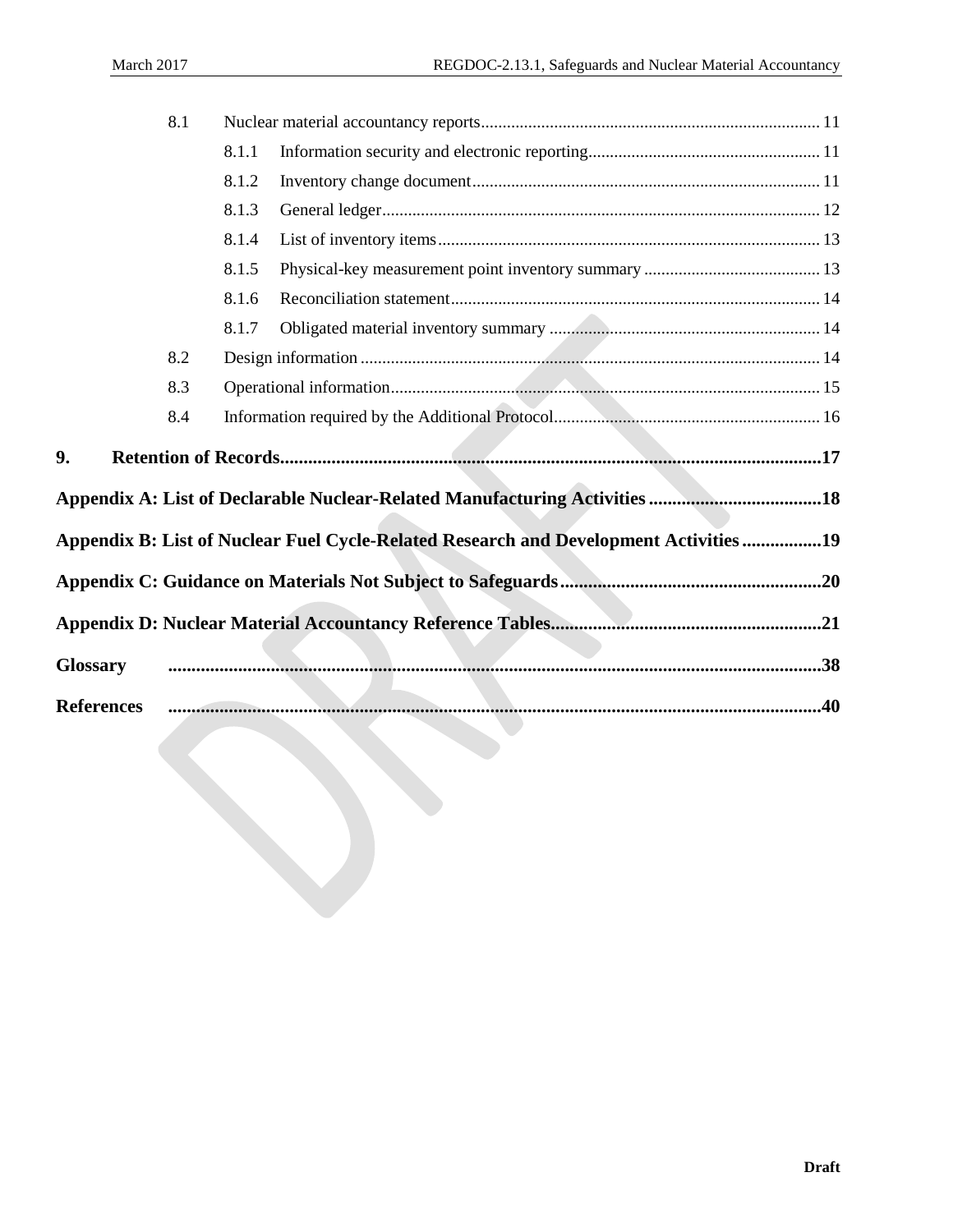|                   | 8.1 |                                                                                      |  |
|-------------------|-----|--------------------------------------------------------------------------------------|--|
|                   |     | 8.1.1                                                                                |  |
|                   |     | 8.1.2                                                                                |  |
|                   |     | 8.1.3                                                                                |  |
|                   |     | 8.1.4                                                                                |  |
|                   |     | 8.1.5                                                                                |  |
|                   |     | 8.1.6                                                                                |  |
|                   |     | 8.1.7                                                                                |  |
|                   | 8.2 |                                                                                      |  |
|                   | 8.3 |                                                                                      |  |
|                   | 8.4 |                                                                                      |  |
| 9.                |     |                                                                                      |  |
|                   |     | Appendix A: List of Declarable Nuclear-Related Manufacturing Activities 18           |  |
|                   |     | Appendix B: List of Nuclear Fuel Cycle-Related Research and Development Activities19 |  |
|                   |     |                                                                                      |  |
|                   |     |                                                                                      |  |
| <b>Glossary</b>   |     |                                                                                      |  |
| <b>References</b> |     |                                                                                      |  |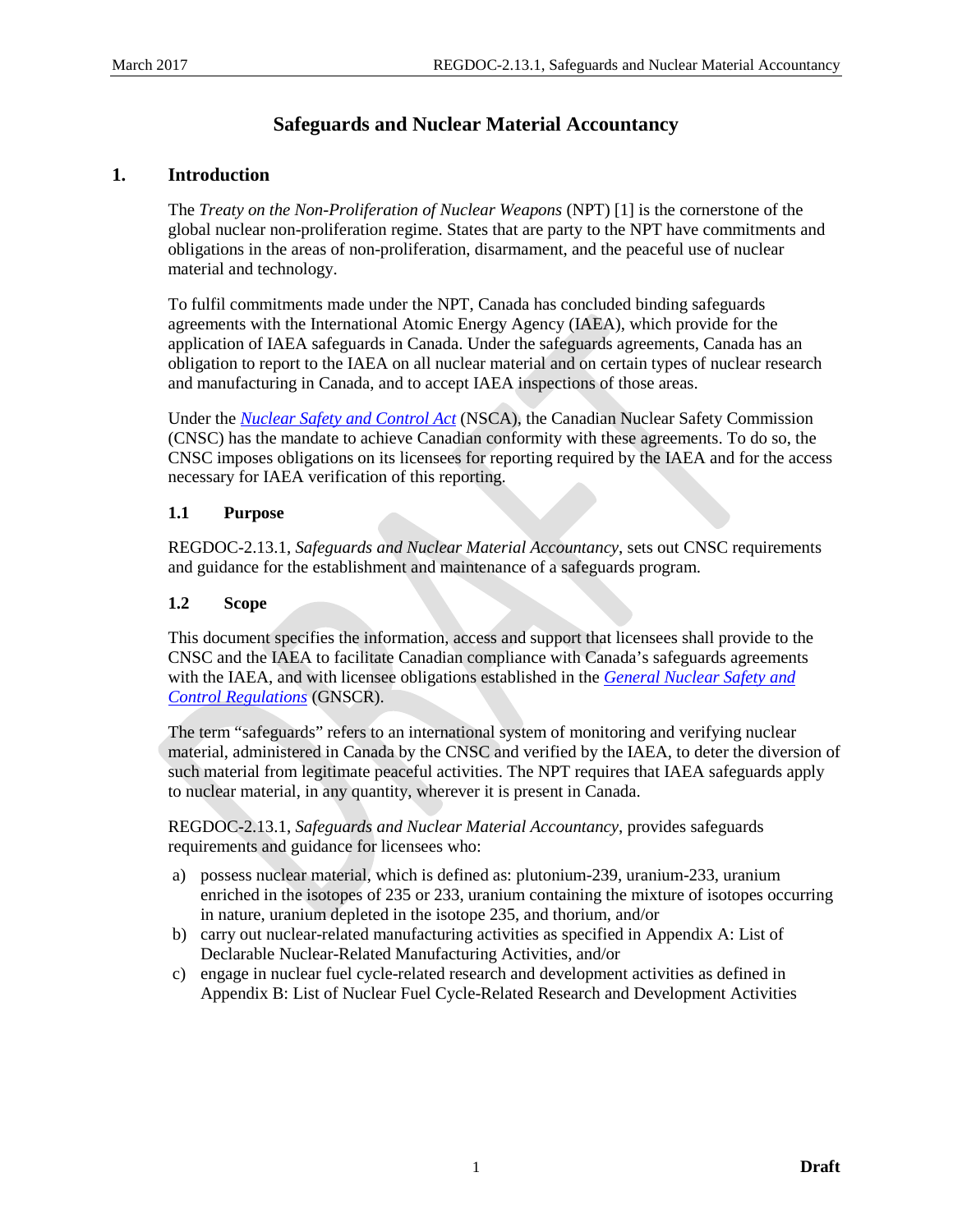# **Safeguards and Nuclear Material Accountancy**

## <span id="page-6-0"></span>**1. Introduction**

The *Treaty on the Non-Proliferation of Nuclear Weapons* (NPT) [1] is the cornerstone of the global nuclear non-proliferation regime. States that are party to the NPT have commitments and obligations in the areas of non-proliferation, disarmament, and the peaceful use of nuclear material and technology.

To fulfil commitments made under the NPT, Canada has concluded binding safeguards agreements with the International Atomic Energy Agency (IAEA), which provide for the application of IAEA safeguards in Canada. Under the safeguards agreements, Canada has an obligation to report to the IAEA on all nuclear material and on certain types of nuclear research and manufacturing in Canada, and to accept IAEA inspections of those areas.

Under the *[Nuclear Safety and Control Act](http://laws-lois.justice.gc.ca/eng/acts/N-28.3/index.html)* (NSCA), the Canadian Nuclear Safety Commission (CNSC) has the mandate to achieve Canadian conformity with these agreements. To do so, the CNSC imposes obligations on its licensees for reporting required by the IAEA and for the access necessary for IAEA verification of this reporting.

#### <span id="page-6-1"></span>**1.1 Purpose**

REGDOC-2.13.1, *Safeguards and Nuclear Material Accountancy*, sets out CNSC requirements and guidance for the establishment and maintenance of a safeguards program.

## <span id="page-6-2"></span>**1.2 Scope**

This document specifies the information, access and support that licensees shall provide to the CNSC and the IAEA to facilitate Canadian compliance with Canada's safeguards agreements with the IAEA, and with licensee obligations established in the *[General Nuclear Safety and](http://laws.justice.gc.ca/eng/regulations/SOR-2000-202/)  [Control Regulations](http://laws.justice.gc.ca/eng/regulations/SOR-2000-202/)* (GNSCR).

The term "safeguards" refers to an international system of monitoring and verifying nuclear material, administered in Canada by the CNSC and verified by the IAEA, to deter the diversion of such material from legitimate peaceful activities. The NPT requires that IAEA safeguards apply to nuclear material, in any quantity, wherever it is present in Canada.

REGDOC-2.13.1, *Safeguards and Nuclear Material Accountancy*, provides safeguards requirements and guidance for licensees who:

- a) possess nuclear material, which is defined as: plutonium-239, uranium-233, uranium enriched in the isotopes of 235 or 233, uranium containing the mixture of isotopes occurring in nature, uranium depleted in the isotope 235, and thorium, and/or
- b) carry out nuclear-related manufacturing activities as specified in [Appendix A:](#page-23-0) List of Declarable Nuclear-Related Manufacturing Activities, and/or
- c) engage in nuclear fuel cycle-related research and development activities as defined in [Appendix B:](#page-24-0) List of Nuclear Fuel Cycle-Related Research and Development Activities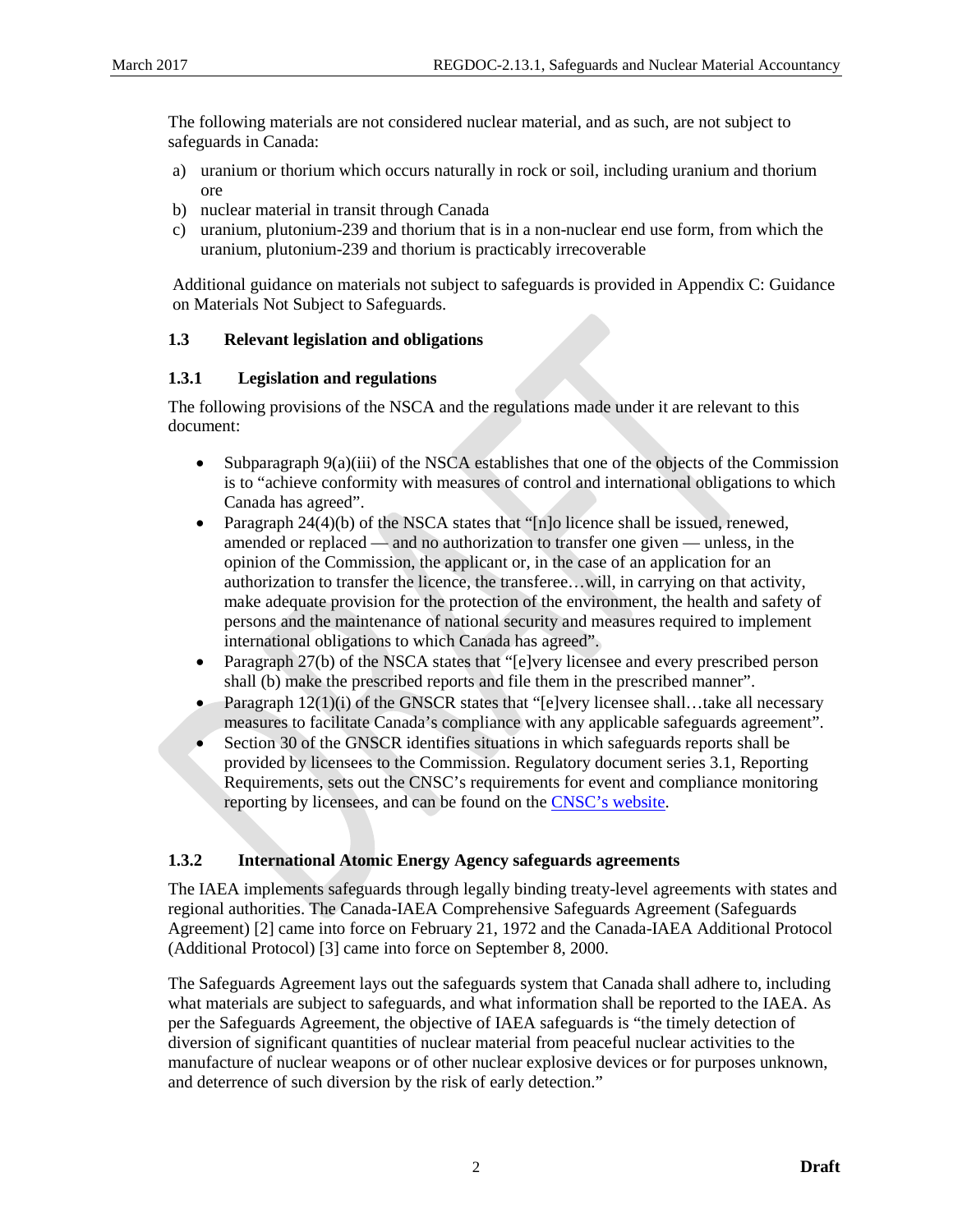The following materials are not considered nuclear material, and as such, are not subject to safeguards in Canada:

- a) uranium or thorium which occurs naturally in rock or soil, including uranium and thorium ore
- b) nuclear material in transit through Canada
- c) uranium, plutonium-239 and thorium that is in a non-nuclear end use form, from which the uranium, plutonium-239 and thorium is practicably irrecoverable

Additional guidance on materials not subject to safeguards is provided in [Appendix C:](#page-25-0) Guidance on Materials Not Subject to Safeguards.

#### <span id="page-7-0"></span>**1.3 Relevant legislation and obligations**

#### <span id="page-7-1"></span>**1.3.1 Legislation and regulations**

The following provisions of the NSCA and the regulations made under it are relevant to this document:

- Subparagraph  $9(a)(iii)$  of the NSCA establishes that one of the objects of the Commission is to "achieve conformity with measures of control and international obligations to which Canada has agreed".
- Paragraph  $24(4)(b)$  of the NSCA states that "[n]o licence shall be issued, renewed, amended or replaced — and no authorization to transfer one given — unless, in the opinion of the Commission, the applicant or, in the case of an application for an authorization to transfer the licence, the transferee…will, in carrying on that activity, make adequate provision for the protection of the environment, the health and safety of persons and the maintenance of national security and measures required to implement international obligations to which Canada has agreed".
- Paragraph 27(b) of the NSCA states that "[e]very licensee and every prescribed person shall (b) make the prescribed reports and file them in the prescribed manner".
- Paragraph  $12(1)(i)$  of the GNSCR states that "[e]very licensee shall...take all necessary measures to facilitate Canada's compliance with any applicable safeguards agreement".
- Section 30 of the GNSCR identifies situations in which safeguards reports shall be provided by licensees to the Commission. Regulatory document series 3.1, Reporting Requirements, sets out the CNSC's requirements for event and compliance monitoring reporting by licensees, and can be found on the [CNSC's website.](http://www.nuclearsafety.gc.ca/)

## <span id="page-7-2"></span>**1.3.2 International Atomic Energy Agency safeguards agreements**

The IAEA implements safeguards through legally binding treaty-level agreements with states and regional authorities. The Canada-IAEA Comprehensive Safeguards Agreement (Safeguards Agreement) [2] came into force on February 21, 1972 and the Canada-IAEA Additional Protocol (Additional Protocol) [3] came into force on September 8, 2000.

The Safeguards Agreement lays out the safeguards system that Canada shall adhere to, including what materials are subject to safeguards, and what information shall be reported to the IAEA. As per the Safeguards Agreement, the objective of IAEA safeguards is "the timely detection of diversion of significant quantities of nuclear material from peaceful nuclear activities to the manufacture of nuclear weapons or of other nuclear explosive devices or for purposes unknown, and deterrence of such diversion by the risk of early detection."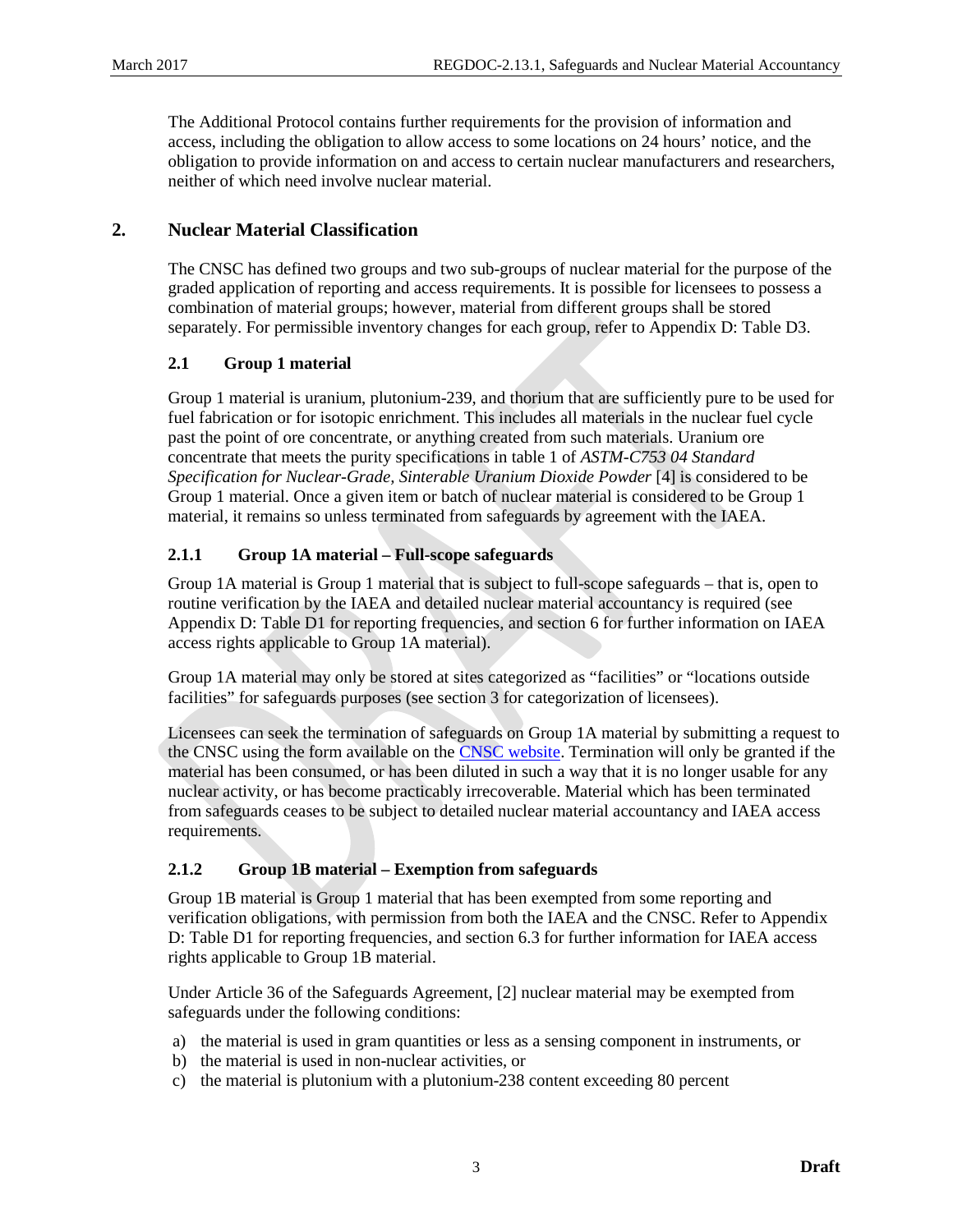The Additional Protocol contains further requirements for the provision of information and access, including the obligation to allow access to some locations on 24 hours' notice, and the obligation to provide information on and access to certain nuclear manufacturers and researchers, neither of which need involve nuclear material.

## <span id="page-8-0"></span>**2. Nuclear Material Classification**

The CNSC has defined two groups and two sub-groups of nuclear material for the purpose of the graded application of reporting and access requirements. It is possible for licensees to possess a combination of material groups; however, material from different groups shall be stored separately. For permissible inventory changes for each group, refer to [Appendix D:](#page-26-0) Table D3.

## <span id="page-8-1"></span>**2.1 Group 1 material**

Group 1 material is uranium, plutonium-239, and thorium that are sufficiently pure to be used for fuel fabrication or for isotopic enrichment. This includes all materials in the nuclear fuel cycle past the point of ore concentrate, or anything created from such materials. Uranium ore concentrate that meets the purity specifications in table 1 of *ASTM-C753 04 Standard Specification for Nuclear-Grade, Sinterable Uranium Dioxide Powder* [4] is considered to be Group 1 material. Once a given item or batch of nuclear material is considered to be Group 1 material, it remains so unless terminated from safeguards by agreement with the IAEA.

## <span id="page-8-2"></span>**2.1.1 Group 1A material – Full-scope safeguards**

Group 1A material is Group 1 material that is subject to full-scope safeguards – that is, open to routine verification by the IAEA and detailed nuclear material accountancy is required (see [Appendix D:](#page-26-0) Table D1 for reporting frequencies, and section [6](#page-11-0) for further information on IAEA access rights applicable to Group 1A material).

Group 1A material may only be stored at sites categorized as "facilities" or "locations outside facilities" for safeguards purposes (see section [3](#page-9-1) for categorization of licensees).

Licensees can seek the termination of safeguards on Group 1A material by submitting a request to the CNSC using the form available on the [CNSC website.](http://www.nuclearsafety.gc.ca/) Termination will only be granted if the material has been consumed, or has been diluted in such a way that it is no longer usable for any nuclear activity, or has become practicably irrecoverable. Material which has been terminated from safeguards ceases to be subject to detailed nuclear material accountancy and IAEA access requirements.

## <span id="page-8-3"></span>**2.1.2 Group 1B material – Exemption from safeguards**

Group 1B material is Group 1 material that has been exempted from some reporting and verification obligations, with permission from both the IAEA and the CNSC. Refer to [Appendix](#page-26-0)  [D:](#page-26-0) Table D1 for reporting frequencies, and section [6.3](#page-12-0) for further information for IAEA access rights applicable to Group 1B material.

Under Article 36 of the Safeguards Agreement, [2] nuclear material may be exempted from safeguards under the following conditions:

- a) the material is used in gram quantities or less as a sensing component in instruments, or
- b) the material is used in non-nuclear activities, or
- c) the material is plutonium with a plutonium-238 content exceeding 80 percent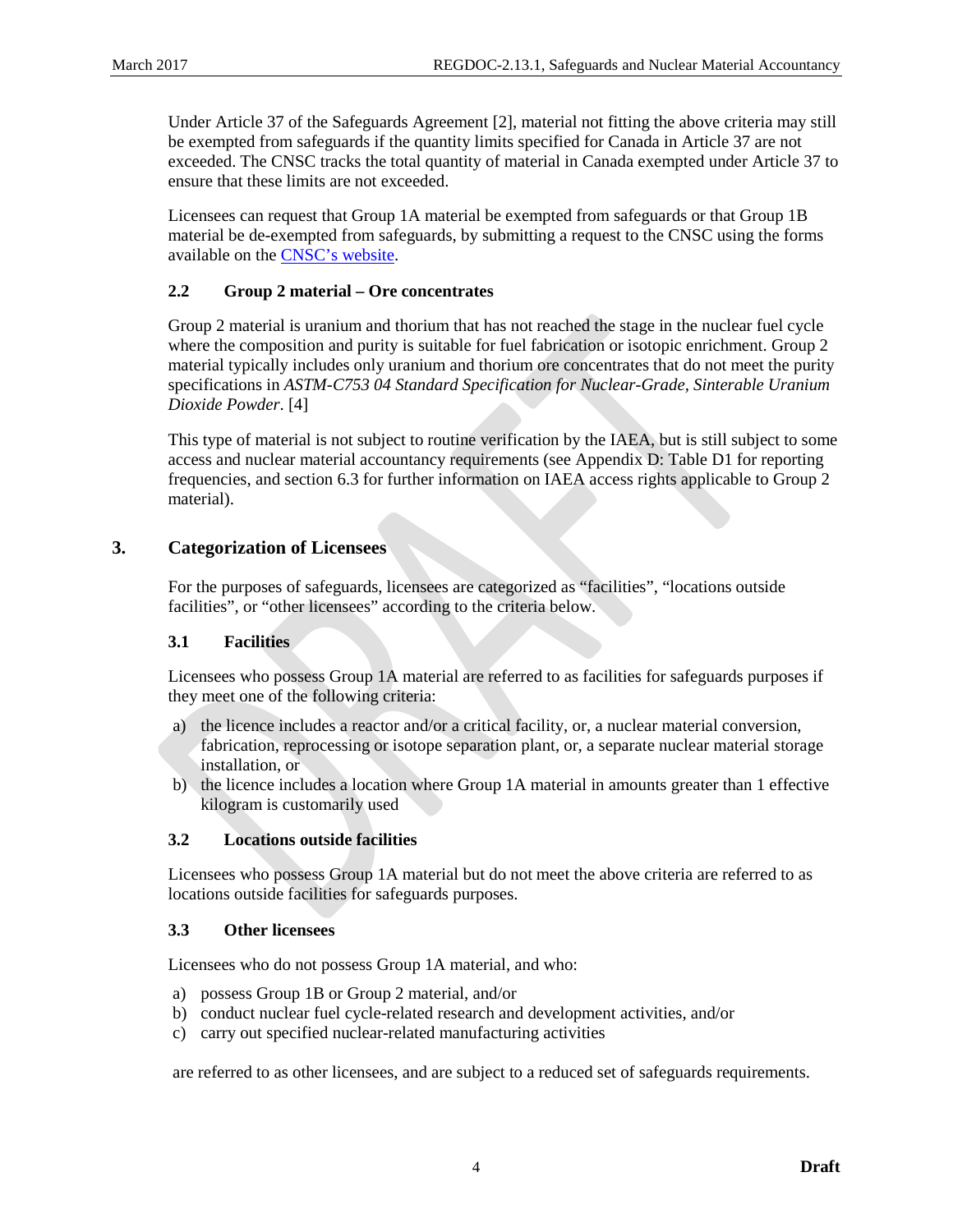Under Article 37 of the Safeguards Agreement [2], material not fitting the above criteria may still be exempted from safeguards if the quantity limits specified for Canada in Article 37 are not exceeded. The CNSC tracks the total quantity of material in Canada exempted under Article 37 to ensure that these limits are not exceeded.

Licensees can request that Group 1A material be exempted from safeguards or that Group 1B material be de-exempted from safeguards, by submitting a request to the CNSC using the forms available on the [CNSC's website.](http://www.nuclearsafety.gc.ca/)

## <span id="page-9-0"></span>**2.2 Group 2 material – Ore concentrates**

Group 2 material is uranium and thorium that has not reached the stage in the nuclear fuel cycle where the composition and purity is suitable for fuel fabrication or isotopic enrichment. Group 2 material typically includes only uranium and thorium ore concentrates that do not meet the purity specifications in *ASTM-C753 04 Standard Specification for Nuclear-Grade, Sinterable Uranium Dioxide Powder*. [4]

This type of material is not subject to routine verification by the IAEA, but is still subject to some access and nuclear material accountancy requirements (se[e Appendix D:](#page-26-0) Table D1 for reporting frequencies, and sectio[n 6.3](#page-12-0) for further information on IAEA access rights applicable to Group 2 material).

## <span id="page-9-1"></span>**3. Categorization of Licensees**

For the purposes of safeguards, licensees are categorized as "facilities", "locations outside facilities", or "other licensees" according to the criteria below.

## <span id="page-9-2"></span>**3.1 Facilities**

Licensees who possess Group 1A material are referred to as facilities for safeguards purposes if they meet one of the following criteria:

- a) the licence includes a reactor and/or a critical facility, or, a nuclear material conversion, fabrication, reprocessing or isotope separation plant, or, a separate nuclear material storage installation, or
- b) the licence includes a location where Group 1A material in amounts greater than 1 effective kilogram is customarily used

## <span id="page-9-3"></span>**3.2 Locations outside facilities**

Licensees who possess Group 1A material but do not meet the above criteria are referred to as locations outside facilities for safeguards purposes.

#### <span id="page-9-4"></span>**3.3 Other licensees**

Licensees who do not possess Group 1A material, and who:

- a) possess Group 1B or Group 2 material, and/or
- b) conduct nuclear fuel cycle-related research and development activities, and/or
- c) carry out specified nuclear-related manufacturing activities

are referred to as other licensees, and are subject to a reduced set of safeguards requirements.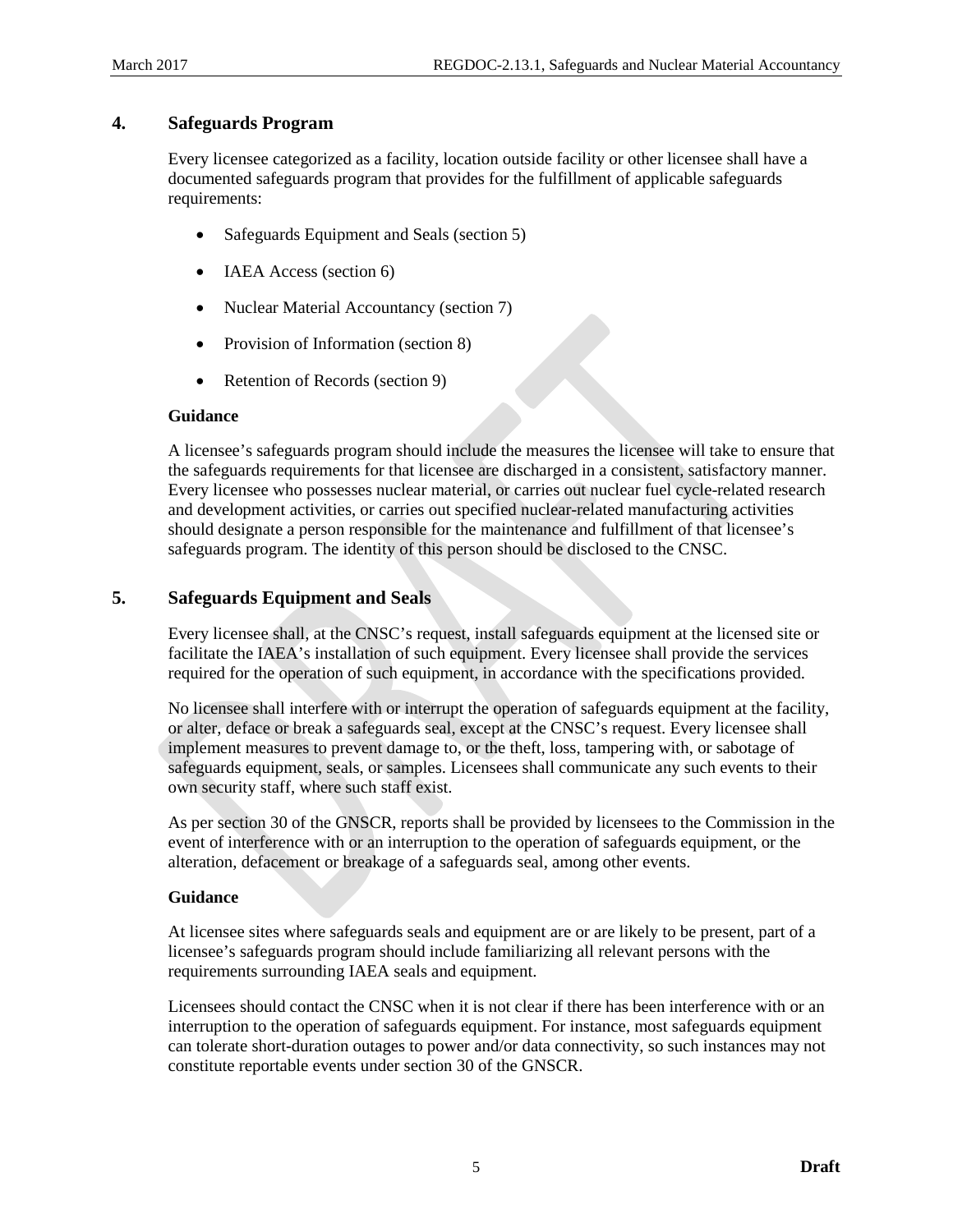## <span id="page-10-0"></span>**4. Safeguards Program**

Every licensee categorized as a facility, location outside facility or other licensee shall have a documented safeguards program that provides for the fulfillment of applicable safeguards requirements:

- Safeguards Equipment and Seals (section [5\)](#page-10-1)
- **IAEA** Access (section [6\)](#page-11-0)
- Nuclear Material Accountancy (section [7\)](#page-13-1)
- Provision of Information (sectio[n 8\)](#page-15-1)
- Retention of Records (section [9\)](#page-22-0)

#### **Guidance**

A licensee's safeguards program should include the measures the licensee will take to ensure that the safeguards requirements for that licensee are discharged in a consistent, satisfactory manner. Every licensee who possesses nuclear material, or carries out nuclear fuel cycle-related research and development activities, or carries out specified nuclear-related manufacturing activities should designate a person responsible for the maintenance and fulfillment of that licensee's safeguards program. The identity of this person should be disclosed to the CNSC.

## <span id="page-10-1"></span>**5. Safeguards Equipment and Seals**

Every licensee shall, at the CNSC's request, install safeguards equipment at the licensed site or facilitate the IAEA's installation of such equipment. Every licensee shall provide the services required for the operation of such equipment, in accordance with the specifications provided.

No licensee shall interfere with or interrupt the operation of safeguards equipment at the facility, or alter, deface or break a safeguards seal, except at the CNSC's request. Every licensee shall implement measures to prevent damage to, or the theft, loss, tampering with, or sabotage of safeguards equipment, seals, or samples. Licensees shall communicate any such events to their own security staff, where such staff exist.

As per section 30 of the GNSCR, reports shall be provided by licensees to the Commission in the event of interference with or an interruption to the operation of safeguards equipment, or the alteration, defacement or breakage of a safeguards seal, among other events.

## **Guidance**

At licensee sites where safeguards seals and equipment are or are likely to be present, part of a licensee's safeguards program should include familiarizing all relevant persons with the requirements surrounding IAEA seals and equipment.

Licensees should contact the CNSC when it is not clear if there has been interference with or an interruption to the operation of safeguards equipment. For instance, most safeguards equipment can tolerate short-duration outages to power and/or data connectivity, so such instances may not constitute reportable events under section 30 of the GNSCR.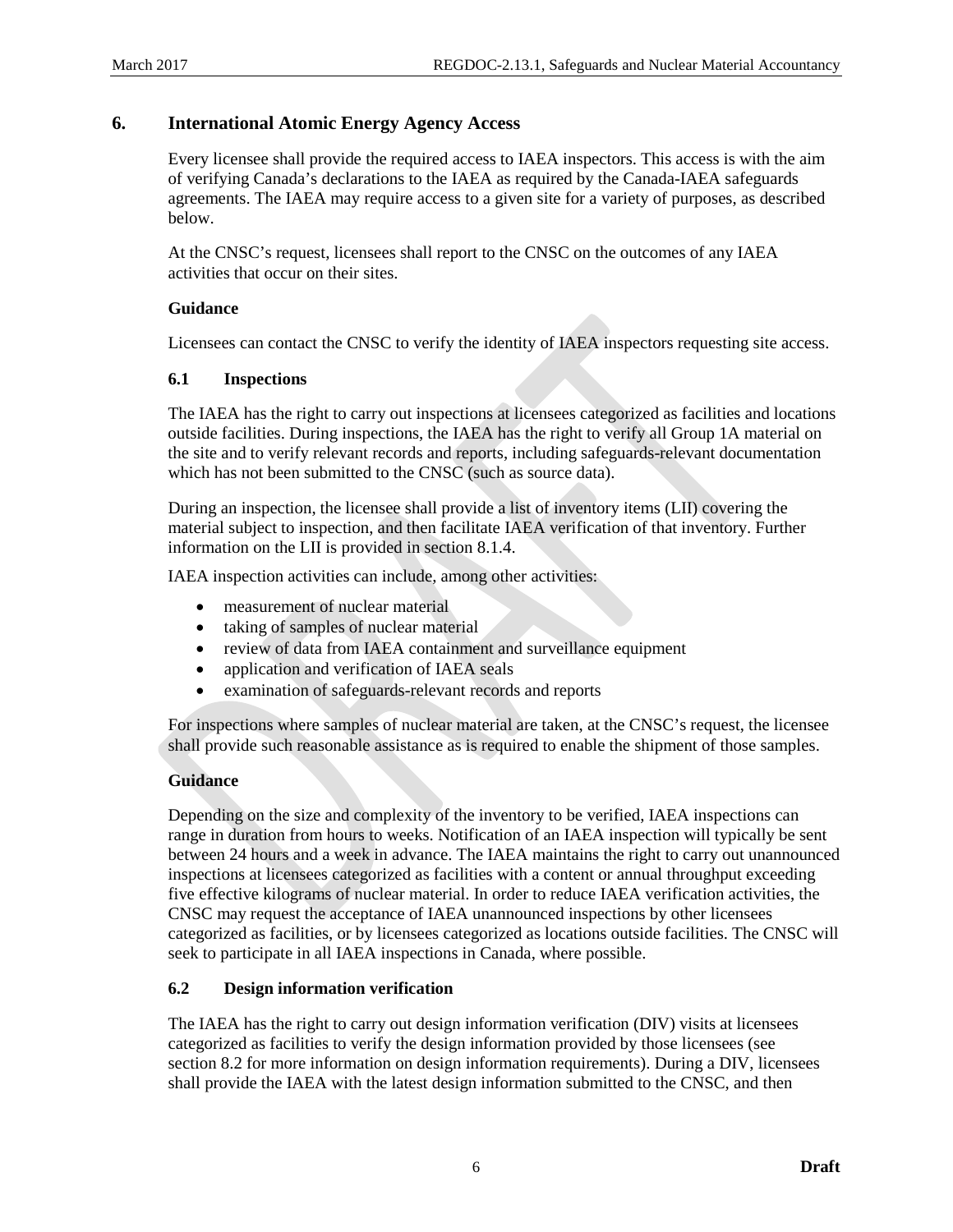## <span id="page-11-0"></span>**6. International Atomic Energy Agency Access**

Every licensee shall provide the required access to IAEA inspectors. This access is with the aim of verifying Canada's declarations to the IAEA as required by the Canada-IAEA safeguards agreements. The IAEA may require access to a given site for a variety of purposes, as described below.

At the CNSC's request, licensees shall report to the CNSC on the outcomes of any IAEA activities that occur on their sites.

#### **Guidance**

Licensees can contact the CNSC to verify the identity of IAEA inspectors requesting site access.

#### <span id="page-11-1"></span>**6.1 Inspections**

The IAEA has the right to carry out inspections at licensees categorized as facilities and locations outside facilities. During inspections, the IAEA has the right to verify all Group 1A material on the site and to verify relevant records and reports, including safeguards-relevant documentation which has not been submitted to the CNSC (such as source data).

During an inspection, the licensee shall provide a list of inventory items (LII) covering the material subject to inspection, and then facilitate IAEA verification of that inventory. Further information on the LII is provided in section [8.1.4.](#page-18-0)

IAEA inspection activities can include, among other activities:

- measurement of nuclear material
- taking of samples of nuclear material
- review of data from IAEA containment and surveillance equipment
- application and verification of IAEA seals
- examination of safeguards-relevant records and reports

For inspections where samples of nuclear material are taken, at the CNSC's request, the licensee shall provide such reasonable assistance as is required to enable the shipment of those samples.

## **Guidance**

Depending on the size and complexity of the inventory to be verified, IAEA inspections can range in duration from hours to weeks. Notification of an IAEA inspection will typically be sent between 24 hours and a week in advance. The IAEA maintains the right to carry out unannounced inspections at licensees categorized as facilities with a content or annual throughput exceeding five effective kilograms of nuclear material. In order to reduce IAEA verification activities, the CNSC may request the acceptance of IAEA unannounced inspections by other licensees categorized as facilities, or by licensees categorized as locations outside facilities. The CNSC will seek to participate in all IAEA inspections in Canada, where possible.

## <span id="page-11-2"></span>**6.2 Design information verification**

The IAEA has the right to carry out design information verification (DIV) visits at licensees categorized as facilities to verify the design information provided by those licensees (see section [8.2](#page-19-2) for more information on design information requirements). During a DIV, licensees shall provide the IAEA with the latest design information submitted to the CNSC, and then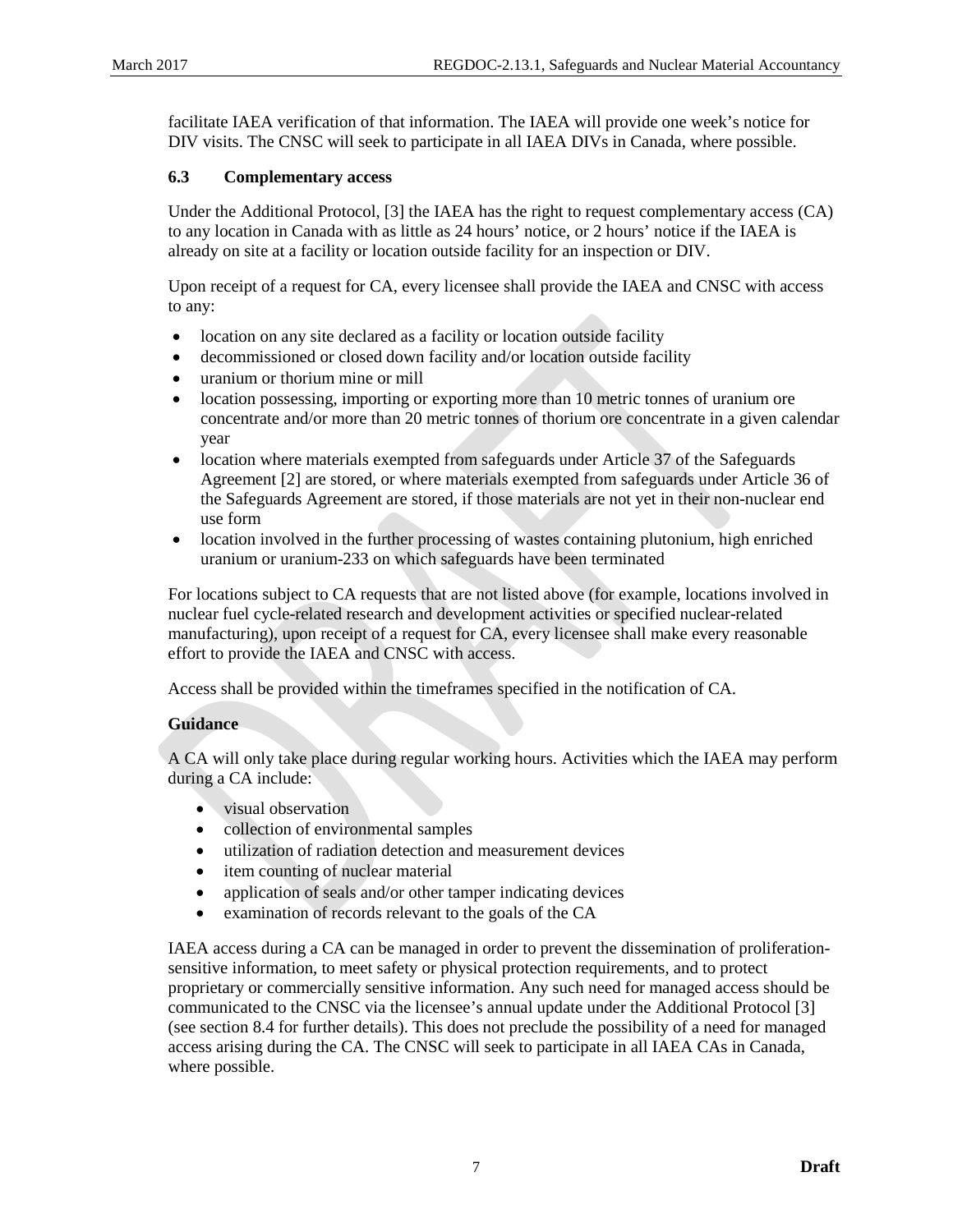facilitate IAEA verification of that information. The IAEA will provide one week's notice for DIV visits. The CNSC will seek to participate in all IAEA DIVs in Canada, where possible.

## <span id="page-12-0"></span>**6.3 Complementary access**

Under the Additional Protocol, [3] the IAEA has the right to request complementary access (CA) to any location in Canada with as little as 24 hours' notice, or 2 hours' notice if the IAEA is already on site at a facility or location outside facility for an inspection or DIV.

Upon receipt of a request for CA, every licensee shall provide the IAEA and CNSC with access to any:

- location on any site declared as a facility or location outside facility
- decommissioned or closed down facility and/or location outside facility
- uranium or thorium mine or mill
- location possessing, importing or exporting more than 10 metric tonnes of uranium ore concentrate and/or more than 20 metric tonnes of thorium ore concentrate in a given calendar year
- location where materials exempted from safeguards under Article 37 of the Safeguards Agreement [2] are stored, or where materials exempted from safeguards under Article 36 of the Safeguards Agreement are stored, if those materials are not yet in their non-nuclear end use form
- location involved in the further processing of wastes containing plutonium, high enriched uranium or uranium-233 on which safeguards have been terminated

For locations subject to CA requests that are not listed above (for example, locations involved in nuclear fuel cycle-related research and development activities or specified nuclear-related manufacturing), upon receipt of a request for CA, every licensee shall make every reasonable effort to provide the IAEA and CNSC with access.

Access shall be provided within the timeframes specified in the notification of CA.

## **Guidance**

A CA will only take place during regular working hours. Activities which the IAEA may perform during a CA include:

- visual observation
- collection of environmental samples
- utilization of radiation detection and measurement devices
- item counting of nuclear material
- application of seals and/or other tamper indicating devices
- examination of records relevant to the goals of the CA

IAEA access during a CA can be managed in order to prevent the dissemination of proliferationsensitive information, to meet safety or physical protection requirements, and to protect proprietary or commercially sensitive information. Any such need for managed access should be communicated to the CNSC via the licensee's annual update under the Additional Protocol [3] (see section [8.4](#page-21-0) for further details). This does not preclude the possibility of a need for managed access arising during the CA. The CNSC will seek to participate in all IAEA CAs in Canada, where possible.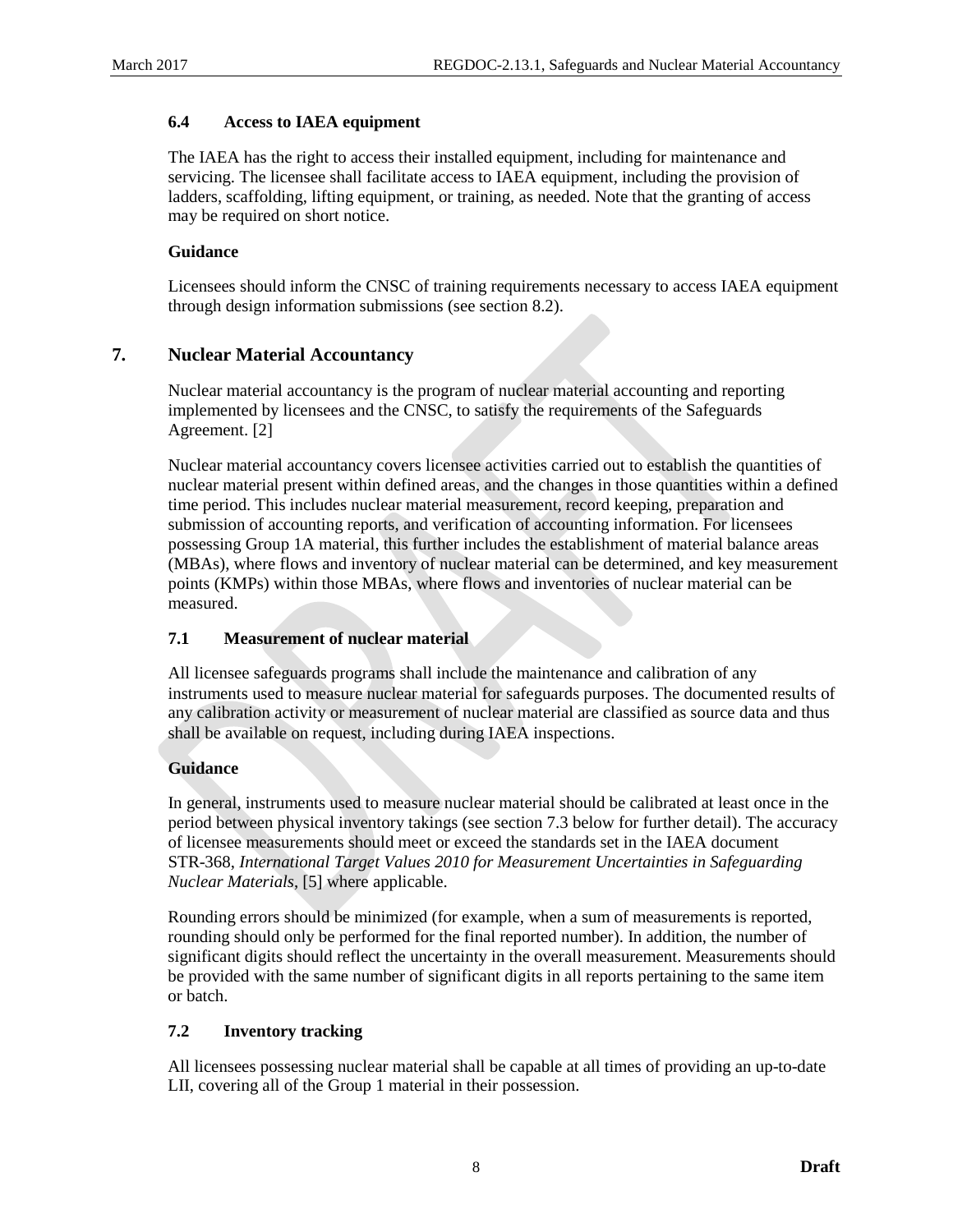## <span id="page-13-0"></span>**6.4 Access to IAEA equipment**

The IAEA has the right to access their installed equipment, including for maintenance and servicing. The licensee shall facilitate access to IAEA equipment, including the provision of ladders, scaffolding, lifting equipment, or training, as needed. Note that the granting of access may be required on short notice.

## **Guidance**

Licensees should inform the CNSC of training requirements necessary to access IAEA equipment through design information submissions (see section [8.2\)](#page-19-2).

## <span id="page-13-1"></span>**7. Nuclear Material Accountancy**

Nuclear material accountancy is the program of nuclear material accounting and reporting implemented by licensees and the CNSC, to satisfy the requirements of the Safeguards Agreement. [2]

Nuclear material accountancy covers licensee activities carried out to establish the quantities of nuclear material present within defined areas, and the changes in those quantities within a defined time period. This includes nuclear material measurement, record keeping, preparation and submission of accounting reports, and verification of accounting information. For licensees possessing Group 1A material, this further includes the establishment of material balance areas (MBAs), where flows and inventory of nuclear material can be determined, and key measurement points (KMPs) within those MBAs, where flows and inventories of nuclear material can be measured.

## <span id="page-13-2"></span>**7.1 Measurement of nuclear material**

All licensee safeguards programs shall include the maintenance and calibration of any instruments used to measure nuclear material for safeguards purposes. The documented results of any calibration activity or measurement of nuclear material are classified as source data and thus shall be available on request, including during IAEA inspections.

## **Guidance**

In general, instruments used to measure nuclear material should be calibrated at least once in the period between physical inventory takings (see section [7.3](#page-14-0) below for further detail). The accuracy of licensee measurements should meet or exceed the standards set in the IAEA document STR-368, *International Target Values 2010 for Measurement Uncertainties in Safeguarding Nuclear Materials*, [5] where applicable.

Rounding errors should be minimized (for example, when a sum of measurements is reported, rounding should only be performed for the final reported number). In addition, the number of significant digits should reflect the uncertainty in the overall measurement. Measurements should be provided with the same number of significant digits in all reports pertaining to the same item or batch.

## <span id="page-13-3"></span>**7.2 Inventory tracking**

All licensees possessing nuclear material shall be capable at all times of providing an up-to-date LII, covering all of the Group 1 material in their possession.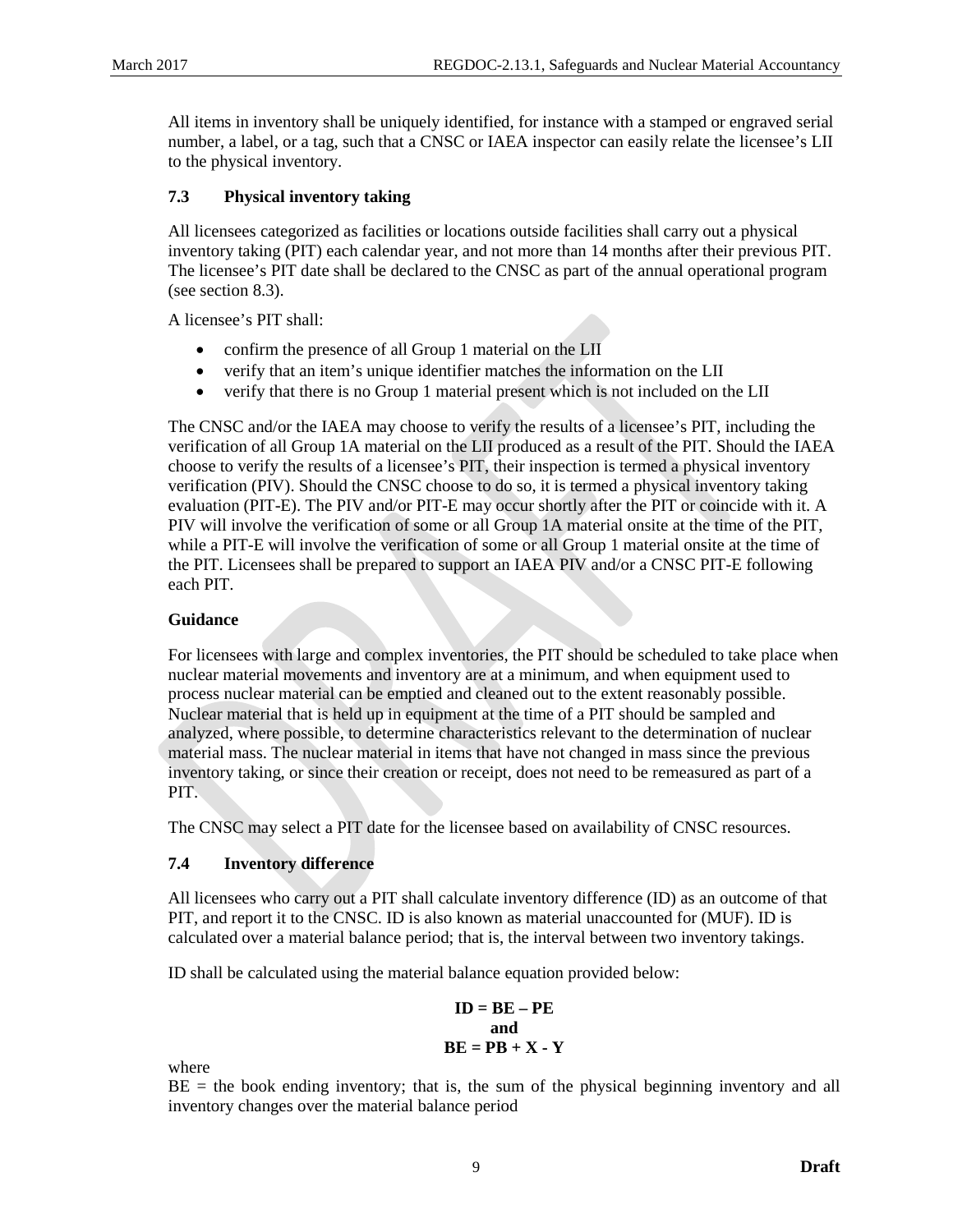All items in inventory shall be uniquely identified, for instance with a stamped or engraved serial number, a label, or a tag, such that a CNSC or IAEA inspector can easily relate the licensee's LII to the physical inventory.

## <span id="page-14-0"></span>**7.3 Physical inventory taking**

All licensees categorized as facilities or locations outside facilities shall carry out a physical inventory taking (PIT) each calendar year, and not more than 14 months after their previous PIT. The licensee's PIT date shall be declared to the CNSC as part of the annual operational program (see section [8.3\)](#page-20-0).

A licensee's PIT shall:

- confirm the presence of all Group 1 material on the LII
- verify that an item's unique identifier matches the information on the LII
- verify that there is no Group 1 material present which is not included on the LII

The CNSC and/or the IAEA may choose to verify the results of a licensee's PIT, including the verification of all Group 1A material on the LII produced as a result of the PIT. Should the IAEA choose to verify the results of a licensee's PIT, their inspection is termed a physical inventory verification (PIV). Should the CNSC choose to do so, it is termed a physical inventory taking evaluation (PIT-E). The PIV and/or PIT-E may occur shortly after the PIT or coincide with it. A PIV will involve the verification of some or all Group 1A material onsite at the time of the PIT, while a PIT-E will involve the verification of some or all Group 1 material onsite at the time of the PIT. Licensees shall be prepared to support an IAEA PIV and/or a CNSC PIT-E following each PIT.

## **Guidance**

For licensees with large and complex inventories, the PIT should be scheduled to take place when nuclear material movements and inventory are at a minimum, and when equipment used to process nuclear material can be emptied and cleaned out to the extent reasonably possible. Nuclear material that is held up in equipment at the time of a PIT should be sampled and analyzed, where possible, to determine characteristics relevant to the determination of nuclear material mass. The nuclear material in items that have not changed in mass since the previous inventory taking, or since their creation or receipt, does not need to be remeasured as part of a PIT.

The CNSC may select a PIT date for the licensee based on availability of CNSC resources.

## <span id="page-14-1"></span>**7.4 Inventory difference**

All licensees who carry out a PIT shall calculate inventory difference (ID) as an outcome of that PIT, and report it to the CNSC. ID is also known as material unaccounted for (MUF). ID is calculated over a material balance period; that is, the interval between two inventory takings.

ID shall be calculated using the material balance equation provided below:

$$
ID = BE - PE
$$
  
and  

$$
BE = PB + X - Y
$$

where

 $BE =$  the book ending inventory; that is, the sum of the physical beginning inventory and all inventory changes over the material balance period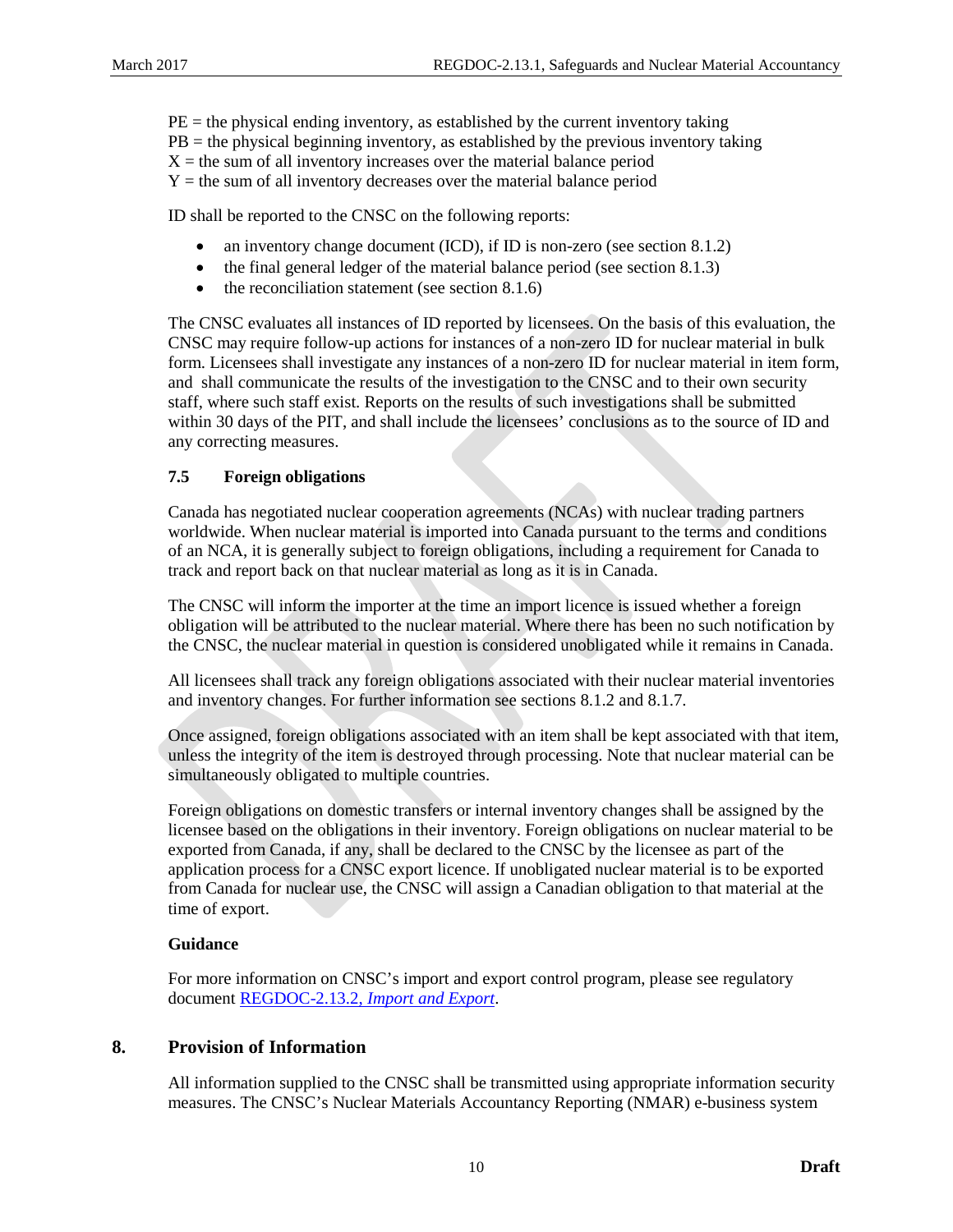$PE =$  the physical ending inventory, as established by the current inventory taking  $PB =$  the physical beginning inventory, as established by the previous inventory taking  $X =$  the sum of all inventory increases over the material balance period  $Y =$  the sum of all inventory decreases over the material balance period

ID shall be reported to the CNSC on the following reports:

- an inventory change document (ICD), if ID is non-zero (see section [8.1.2\)](#page-16-2)
- the final general ledger of the material balance period (see section [8.1.3\)](#page-17-0)
- the reconciliation statement (see sectio[n 8.1.6\)](#page-19-0)

The CNSC evaluates all instances of ID reported by licensees. On the basis of this evaluation, the CNSC may require follow-up actions for instances of a non-zero ID for nuclear material in bulk form. Licensees shall investigate any instances of a non-zero ID for nuclear material in item form, and shall communicate the results of the investigation to the CNSC and to their own security staff, where such staff exist. Reports on the results of such investigations shall be submitted within 30 days of the PIT, and shall include the licensees' conclusions as to the source of ID and any correcting measures.

## <span id="page-15-0"></span>**7.5 Foreign obligations**

Canada has negotiated nuclear cooperation agreements (NCAs) with nuclear trading partners worldwide. When nuclear material is imported into Canada pursuant to the terms and conditions of an NCA, it is generally subject to foreign obligations, including a requirement for Canada to track and report back on that nuclear material as long as it is in Canada.

The CNSC will inform the importer at the time an import licence is issued whether a foreign obligation will be attributed to the nuclear material. Where there has been no such notification by the CNSC, the nuclear material in question is considered unobligated while it remains in Canada.

All licensees shall track any foreign obligations associated with their nuclear material inventories and inventory changes. For further information see sections [8.1.2](#page-16-2) and [8.1.7.](#page-19-1)

Once assigned, foreign obligations associated with an item shall be kept associated with that item, unless the integrity of the item is destroyed through processing. Note that nuclear material can be simultaneously obligated to multiple countries.

Foreign obligations on domestic transfers or internal inventory changes shall be assigned by the licensee based on the obligations in their inventory. Foreign obligations on nuclear material to be exported from Canada, if any, shall be declared to the CNSC by the licensee as part of the application process for a CNSC export licence. If unobligated nuclear material is to be exported from Canada for nuclear use, the CNSC will assign a Canadian obligation to that material at the time of export.

## **Guidance**

For more information on CNSC's import and export control program, please see regulatory document [REGDOC-2.13.2,](http://www.nuclearsafety.gc.ca/pubs_catalogue/uploads/REGDOC-2-13-2-Import-and-Export-eng.pdf) *Import and Export*.

## <span id="page-15-1"></span>**8. Provision of Information**

All information supplied to the CNSC shall be transmitted using appropriate information security measures. The CNSC's Nuclear Materials Accountancy Reporting (NMAR) e-business system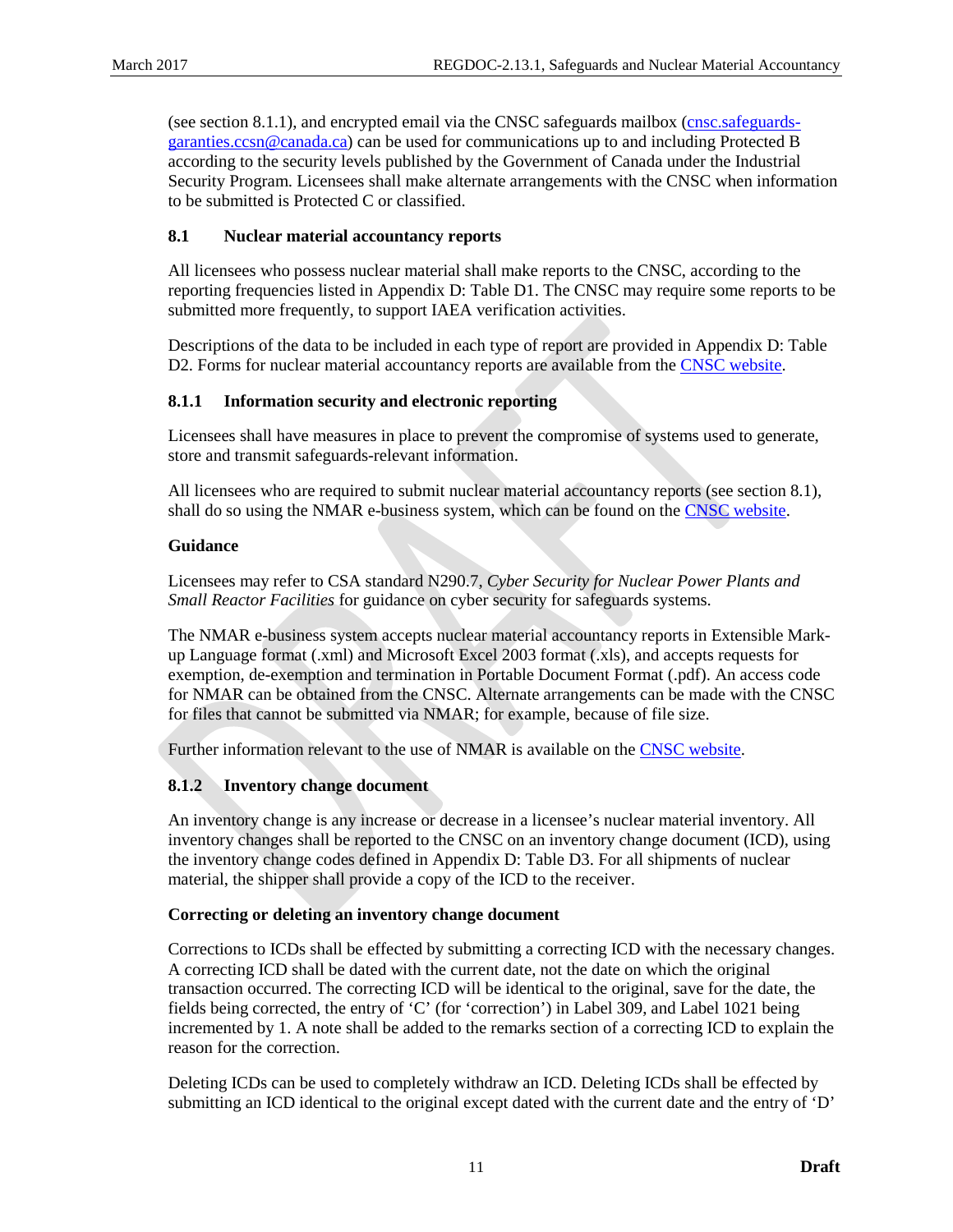(see section [8.1.1\)](#page-16-1), and encrypted email via the CNSC safeguards mailbox [\(cnsc.safeguards](mailto:cnsc.safeguards-garanties.ccsn@canada.ca)[garanties.ccsn@canada.ca\)](mailto:cnsc.safeguards-garanties.ccsn@canada.ca) can be used for communications up to and including Protected B according to the security levels published by the Government of Canada under the Industrial Security Program. Licensees shall make alternate arrangements with the CNSC when information to be submitted is Protected C or classified.

## <span id="page-16-0"></span>**8.1 Nuclear material accountancy reports**

All licensees who possess nuclear material shall make reports to the CNSC, according to the reporting frequencies listed in [Appendix D:](#page-26-0) Table D1. The CNSC may require some reports to be submitted more frequently, to support IAEA verification activities.

Descriptions of the data to be included in each type of report are provided i[n Appendix D:](#page-26-0) Table D2. Forms for nuclear material accountancy reports are available from the [CNSC website.](http://www.nuclearsafety.gc.ca/)

## <span id="page-16-1"></span>**8.1.1 Information security and electronic reporting**

Licensees shall have measures in place to prevent the compromise of systems used to generate, store and transmit safeguards-relevant information.

All licensees who are required to submit nuclear material accountancy reports (see section [8.1\)](#page-16-0), shall do so using the NMAR e-business system, which can be found on the [CNSC website.](http://www.nuclearsafety.gc.ca/)

## **Guidance**

Licensees may refer to CSA standard N290.7, *Cyber Security for Nuclear Power Plants and Small Reactor Facilities* for guidance on cyber security for safeguards systems.

The NMAR e-business system accepts nuclear material accountancy reports in Extensible Markup Language format (.xml) and Microsoft Excel 2003 format (.xls), and accepts requests for exemption, de-exemption and termination in Portable Document Format (.pdf). An access code for NMAR can be obtained from the CNSC. Alternate arrangements can be made with the CNSC for files that cannot be submitted via NMAR; for example, because of file size.

<span id="page-16-2"></span>Further information relevant to the use of NMAR is available on the [CNSC website.](http://www.nuclearsafety.gc.ca/)

## **8.1.2 Inventory change document**

An inventory change is any increase or decrease in a licensee's nuclear material inventory. All inventory changes shall be reported to the CNSC on an inventory change document (ICD), using the inventory change codes defined in [Appendix D:](#page-26-0) Table D3. For all shipments of nuclear material, the shipper shall provide a copy of the ICD to the receiver.

## **Correcting or deleting an inventory change document**

Corrections to ICDs shall be effected by submitting a correcting ICD with the necessary changes. A correcting ICD shall be dated with the current date, not the date on which the original transaction occurred. The correcting ICD will be identical to the original, save for the date, the fields being corrected, the entry of 'C' (for 'correction') in Label 309, and Label 1021 being incremented by 1. A note shall be added to the remarks section of a correcting ICD to explain the reason for the correction.

Deleting ICDs can be used to completely withdraw an ICD. Deleting ICDs shall be effected by submitting an ICD identical to the original except dated with the current date and the entry of 'D'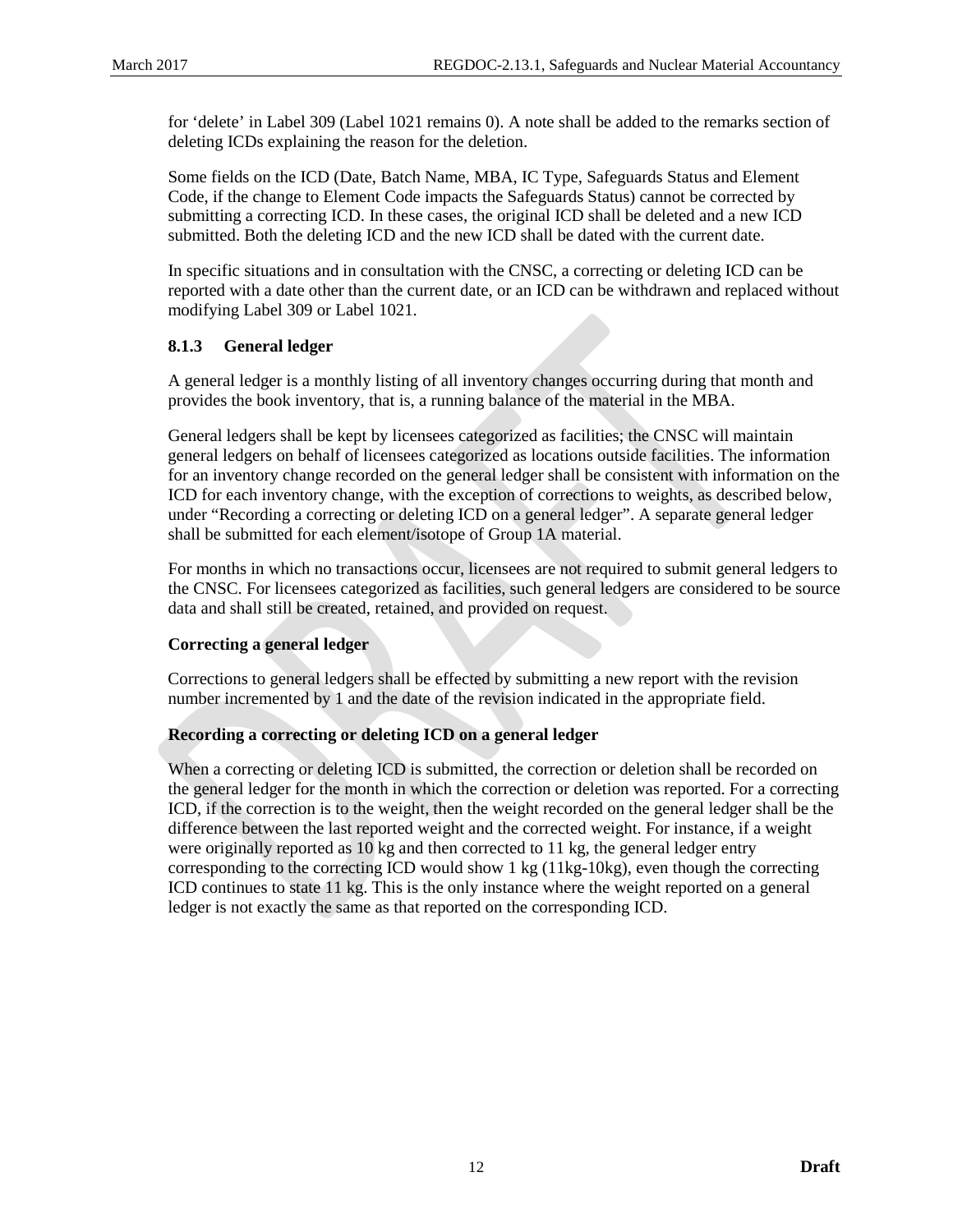for 'delete' in Label 309 (Label 1021 remains 0). A note shall be added to the remarks section of deleting ICDs explaining the reason for the deletion.

Some fields on the ICD (Date, Batch Name, MBA, IC Type, Safeguards Status and Element Code, if the change to Element Code impacts the Safeguards Status) cannot be corrected by submitting a correcting ICD. In these cases, the original ICD shall be deleted and a new ICD submitted. Both the deleting ICD and the new ICD shall be dated with the current date.

In specific situations and in consultation with the CNSC, a correcting or deleting ICD can be reported with a date other than the current date, or an ICD can be withdrawn and replaced without modifying Label 309 or Label 1021.

## <span id="page-17-0"></span>**8.1.3 General ledger**

A general ledger is a monthly listing of all inventory changes occurring during that month and provides the book inventory, that is, a running balance of the material in the MBA.

General ledgers shall be kept by licensees categorized as facilities; the CNSC will maintain general ledgers on behalf of licensees categorized as locations outside facilities. The information for an inventory change recorded on the general ledger shall be consistent with information on the ICD for each inventory change, with the exception of corrections to weights, as described below, under "Recording a correcting or deleting ICD on a general ledger". A separate general ledger shall be submitted for each element/isotope of Group 1A material.

For months in which no transactions occur, licensees are not required to submit general ledgers to the CNSC. For licensees categorized as facilities, such general ledgers are considered to be source data and shall still be created, retained, and provided on request.

## **Correcting a general ledger**

Corrections to general ledgers shall be effected by submitting a new report with the revision number incremented by 1 and the date of the revision indicated in the appropriate field.

#### **Recording a correcting or deleting ICD on a general ledger**

When a correcting or deleting ICD is submitted, the correction or deletion shall be recorded on the general ledger for the month in which the correction or deletion was reported. For a correcting ICD, if the correction is to the weight, then the weight recorded on the general ledger shall be the difference between the last reported weight and the corrected weight. For instance, if a weight were originally reported as 10 kg and then corrected to 11 kg, the general ledger entry corresponding to the correcting ICD would show 1 kg (11kg-10kg), even though the correcting ICD continues to state 11 kg. This is the only instance where the weight reported on a general ledger is not exactly the same as that reported on the corresponding ICD.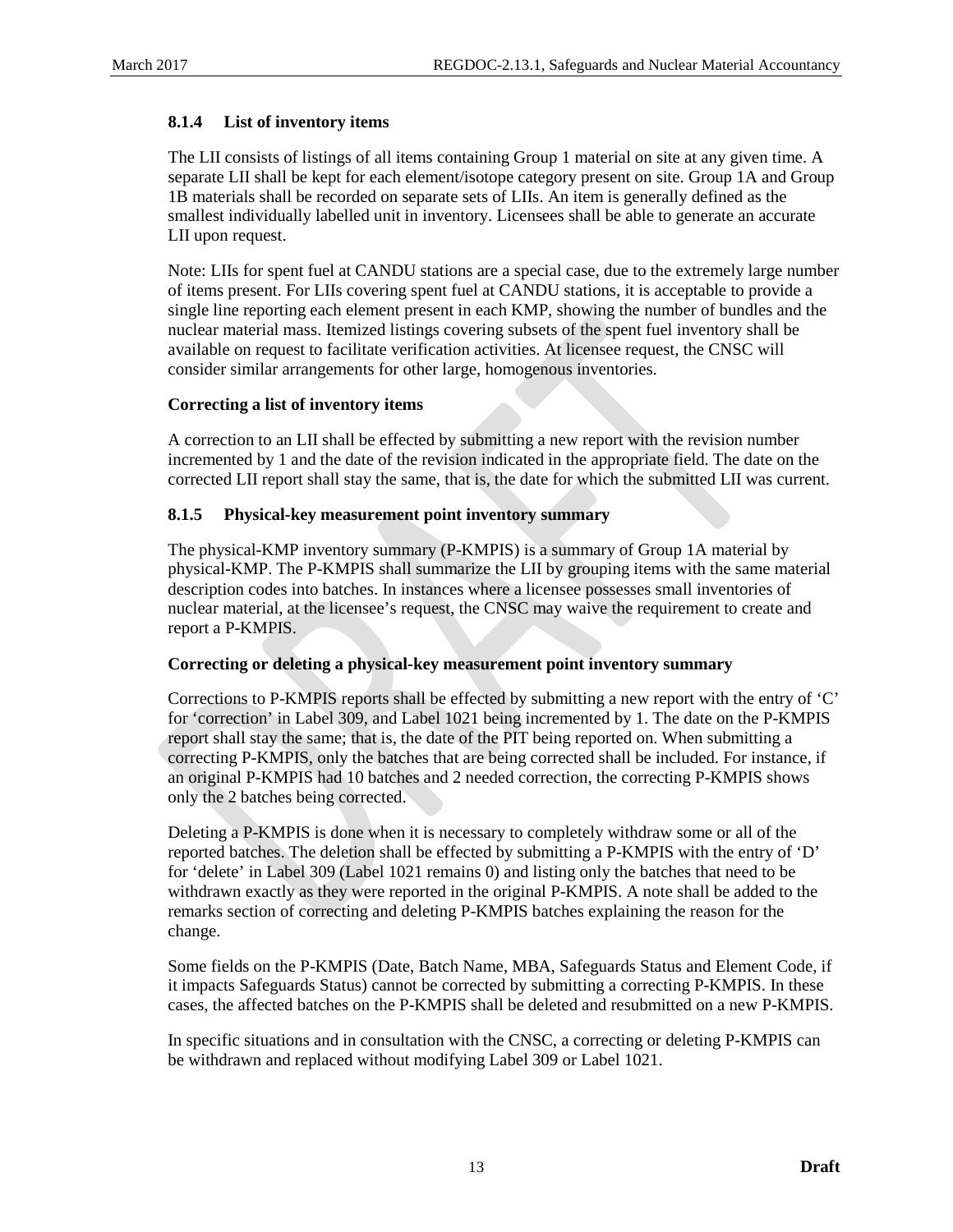## <span id="page-18-0"></span>**8.1.4 List of inventory items**

The LII consists of listings of all items containing Group 1 material on site at any given time. A separate LII shall be kept for each element/isotope category present on site. Group 1A and Group 1B materials shall be recorded on separate sets of LIIs. An item is generally defined as the smallest individually labelled unit in inventory. Licensees shall be able to generate an accurate LII upon request.

Note: LIIs for spent fuel at CANDU stations are a special case, due to the extremely large number of items present. For LIIs covering spent fuel at CANDU stations, it is acceptable to provide a single line reporting each element present in each KMP, showing the number of bundles and the nuclear material mass. Itemized listings covering subsets of the spent fuel inventory shall be available on request to facilitate verification activities. At licensee request, the CNSC will consider similar arrangements for other large, homogenous inventories.

#### **Correcting a list of inventory items**

A correction to an LII shall be effected by submitting a new report with the revision number incremented by 1 and the date of the revision indicated in the appropriate field. The date on the corrected LII report shall stay the same, that is, the date for which the submitted LII was current.

#### <span id="page-18-1"></span>**8.1.5 Physical-key measurement point inventory summary**

The physical-KMP inventory summary (P-KMPIS) is a summary of Group 1A material by physical-KMP. The P-KMPIS shall summarize the LII by grouping items with the same material description codes into batches. In instances where a licensee possesses small inventories of nuclear material, at the licensee's request, the CNSC may waive the requirement to create and report a P-KMPIS.

#### **Correcting or deleting a physical-key measurement point inventory summary**

Corrections to P-KMPIS reports shall be effected by submitting a new report with the entry of 'C' for 'correction' in Label 309, and Label 1021 being incremented by 1. The date on the P-KMPIS report shall stay the same; that is, the date of the PIT being reported on. When submitting a correcting P-KMPIS, only the batches that are being corrected shall be included. For instance, if an original P-KMPIS had 10 batches and 2 needed correction, the correcting P-KMPIS shows only the 2 batches being corrected.

Deleting a P-KMPIS is done when it is necessary to completely withdraw some or all of the reported batches. The deletion shall be effected by submitting a P-KMPIS with the entry of 'D' for 'delete' in Label 309 (Label 1021 remains 0) and listing only the batches that need to be withdrawn exactly as they were reported in the original P-KMPIS. A note shall be added to the remarks section of correcting and deleting P-KMPIS batches explaining the reason for the change.

Some fields on the P-KMPIS (Date, Batch Name, MBA, Safeguards Status and Element Code, if it impacts Safeguards Status) cannot be corrected by submitting a correcting P-KMPIS. In these cases, the affected batches on the P-KMPIS shall be deleted and resubmitted on a new P-KMPIS.

In specific situations and in consultation with the CNSC, a correcting or deleting P-KMPIS can be withdrawn and replaced without modifying Label 309 or Label 1021.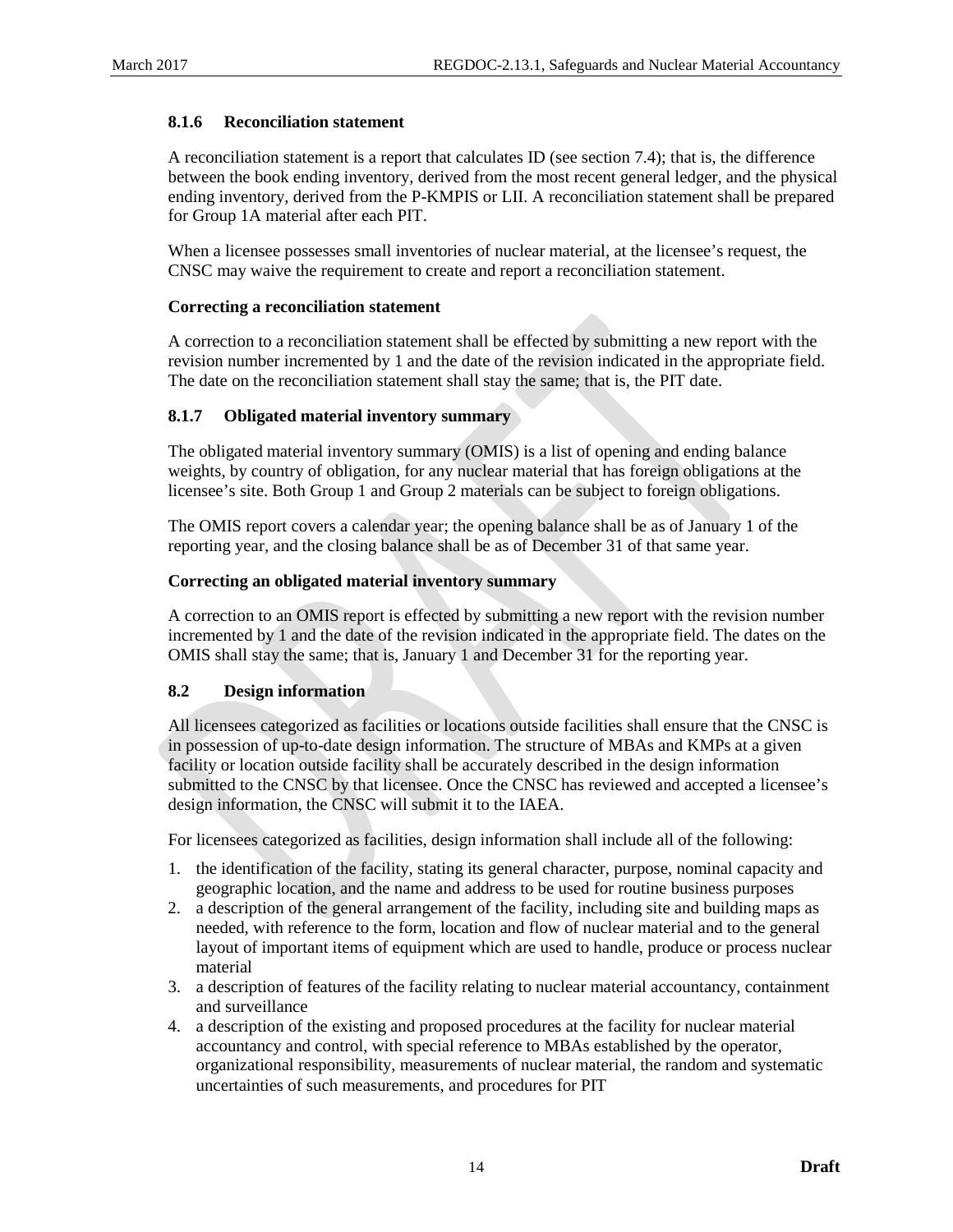#### <span id="page-19-0"></span>**8.1.6 Reconciliation statement**

A reconciliation statement is a report that calculates ID (see sectio[n 7.4\)](#page-14-1); that is, the difference between the book ending inventory, derived from the most recent general ledger, and the physical ending inventory, derived from the P-KMPIS or LII. A reconciliation statement shall be prepared for Group 1A material after each PIT.

When a licensee possesses small inventories of nuclear material, at the licensee's request, the CNSC may waive the requirement to create and report a reconciliation statement.

#### **Correcting a reconciliation statement**

A correction to a reconciliation statement shall be effected by submitting a new report with the revision number incremented by 1 and the date of the revision indicated in the appropriate field. The date on the reconciliation statement shall stay the same; that is, the PIT date.

#### <span id="page-19-1"></span>**8.1.7 Obligated material inventory summary**

The obligated material inventory summary (OMIS) is a list of opening and ending balance weights, by country of obligation, for any nuclear material that has foreign obligations at the licensee's site. Both Group 1 and Group 2 materials can be subject to foreign obligations.

The OMIS report covers a calendar year; the opening balance shall be as of January 1 of the reporting year, and the closing balance shall be as of December 31 of that same year.

#### **Correcting an obligated material inventory summary**

A correction to an OMIS report is effected by submitting a new report with the revision number incremented by 1 and the date of the revision indicated in the appropriate field. The dates on the OMIS shall stay the same; that is, January 1 and December 31 for the reporting year.

#### <span id="page-19-2"></span>**8.2 Design information**

All licensees categorized as facilities or locations outside facilities shall ensure that the CNSC is in possession of up-to-date design information. The structure of MBAs and KMPs at a given facility or location outside facility shall be accurately described in the design information submitted to the CNSC by that licensee. Once the CNSC has reviewed and accepted a licensee's design information, the CNSC will submit it to the IAEA.

For licensees categorized as facilities, design information shall include all of the following:

- 1. the identification of the facility, stating its general character, purpose, nominal capacity and geographic location, and the name and address to be used for routine business purposes
- 2. a description of the general arrangement of the facility, including site and building maps as needed, with reference to the form, location and flow of nuclear material and to the general layout of important items of equipment which are used to handle, produce or process nuclear material
- 3. a description of features of the facility relating to nuclear material accountancy, containment and surveillance
- 4. a description of the existing and proposed procedures at the facility for nuclear material accountancy and control, with special reference to MBAs established by the operator, organizational responsibility, measurements of nuclear material, the random and systematic uncertainties of such measurements, and procedures for PIT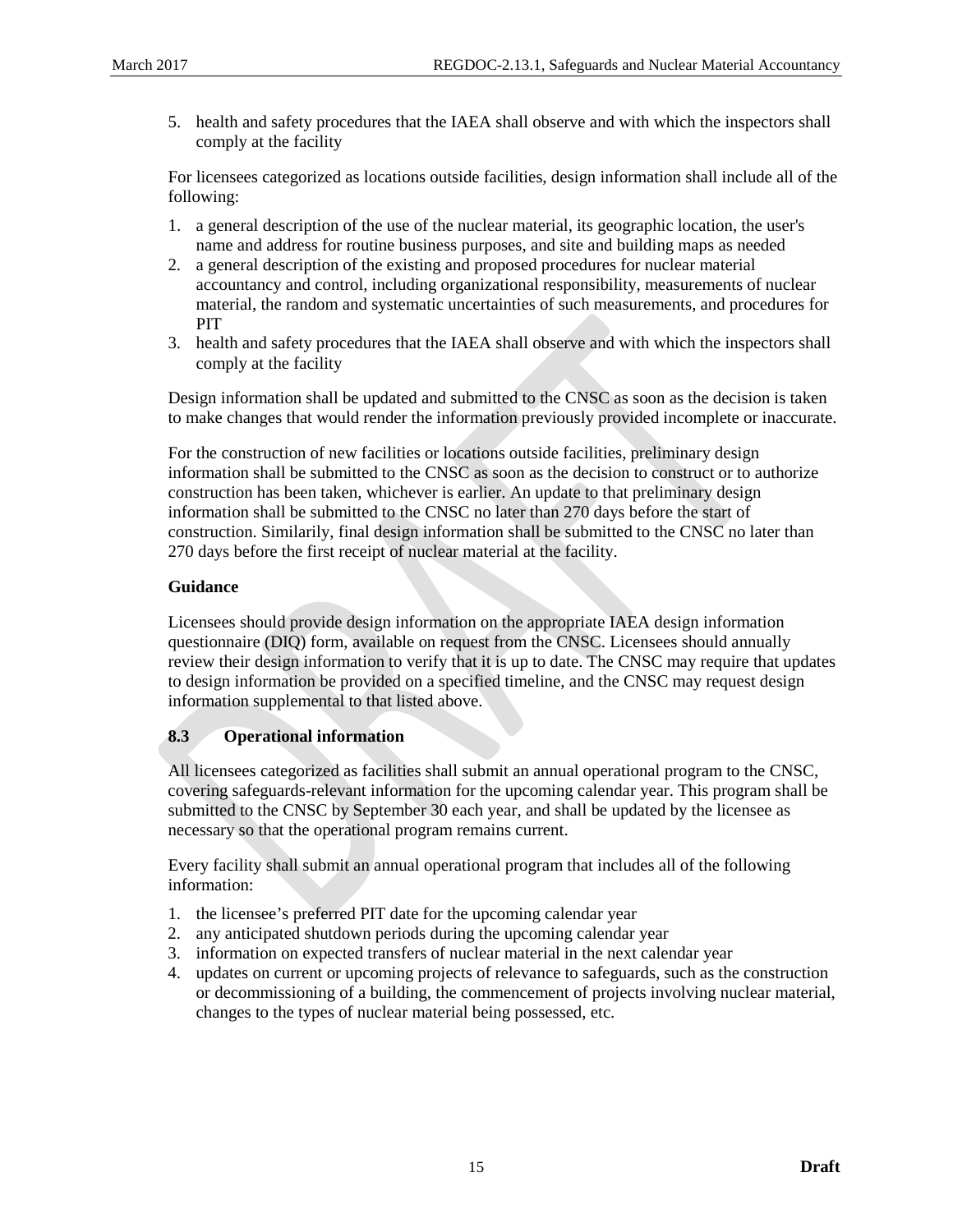5. health and safety procedures that the IAEA shall observe and with which the inspectors shall comply at the facility

For licensees categorized as locations outside facilities, design information shall include all of the following:

- 1. a general description of the use of the nuclear material, its geographic location, the user's name and address for routine business purposes, and site and building maps as needed
- 2. a general description of the existing and proposed procedures for nuclear material accountancy and control, including organizational responsibility, measurements of nuclear material, the random and systematic uncertainties of such measurements, and procedures for PIT
- 3. health and safety procedures that the IAEA shall observe and with which the inspectors shall comply at the facility

Design information shall be updated and submitted to the CNSC as soon as the decision is taken to make changes that would render the information previously provided incomplete or inaccurate.

For the construction of new facilities or locations outside facilities, preliminary design information shall be submitted to the CNSC as soon as the decision to construct or to authorize construction has been taken, whichever is earlier. An update to that preliminary design information shall be submitted to the CNSC no later than 270 days before the start of construction. Similarily, final design information shall be submitted to the CNSC no later than 270 days before the first receipt of nuclear material at the facility.

## **Guidance**

Licensees should provide design information on the appropriate IAEA design information questionnaire (DIQ) form, available on request from the CNSC. Licensees should annually review their design information to verify that it is up to date. The CNSC may require that updates to design information be provided on a specified timeline, and the CNSC may request design information supplemental to that listed above.

## <span id="page-20-0"></span>**8.3 Operational information**

All licensees categorized as facilities shall submit an annual operational program to the CNSC, covering safeguards-relevant information for the upcoming calendar year. This program shall be submitted to the CNSC by September 30 each year, and shall be updated by the licensee as necessary so that the operational program remains current.

Every facility shall submit an annual operational program that includes all of the following information:

- 1. the licensee's preferred PIT date for the upcoming calendar year
- 2. any anticipated shutdown periods during the upcoming calendar year
- 3. information on expected transfers of nuclear material in the next calendar year
- 4. updates on current or upcoming projects of relevance to safeguards, such as the construction or decommissioning of a building, the commencement of projects involving nuclear material, changes to the types of nuclear material being possessed, etc.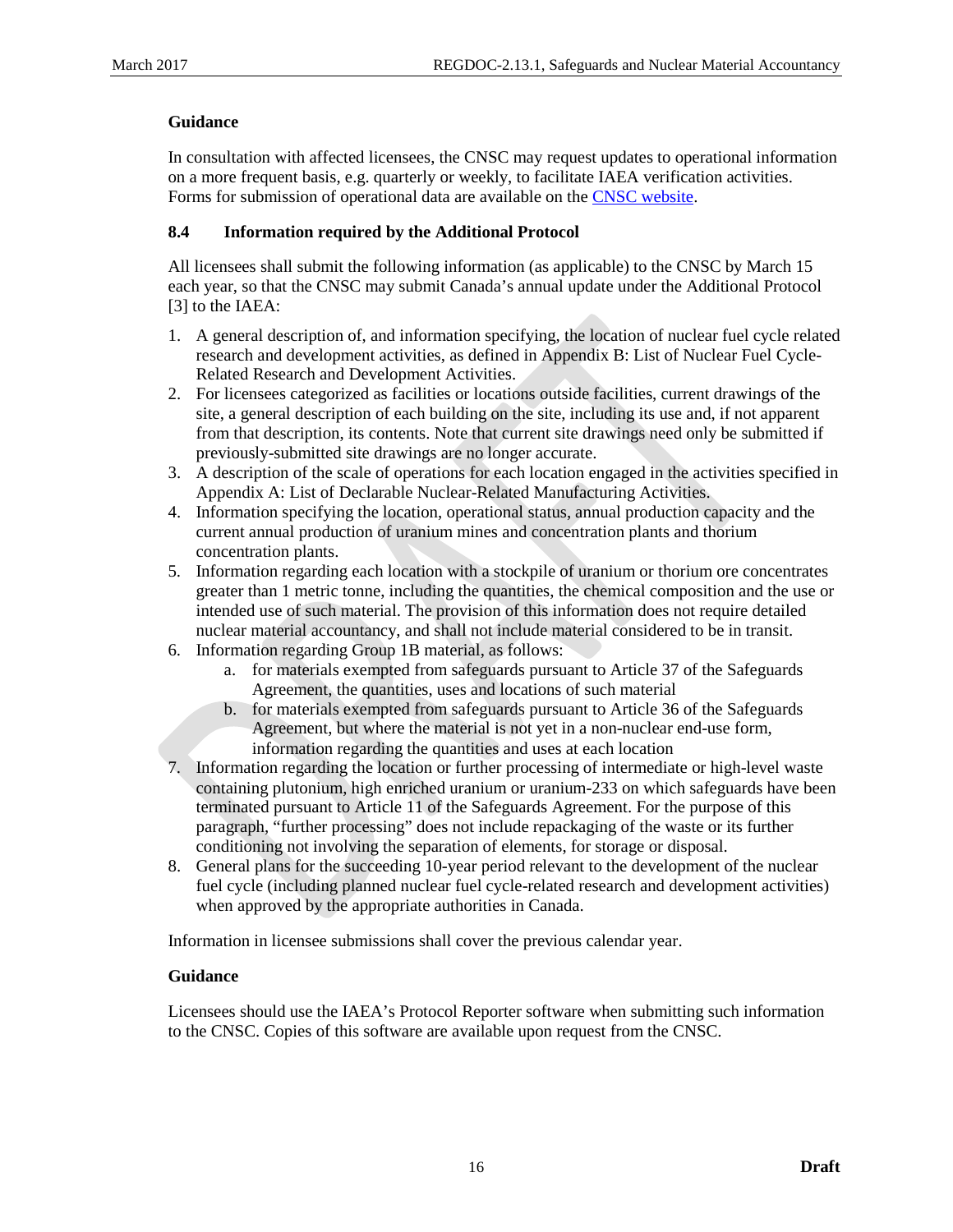## **Guidance**

In consultation with affected licensees, the CNSC may request updates to operational information on a more frequent basis, e.g. quarterly or weekly, to facilitate IAEA verification activities. Forms for submission of operational data are available on the [CNSC website.](http://www.nuclearsafety.gc.ca/)

## <span id="page-21-0"></span>**8.4 Information required by the Additional Protocol**

All licensees shall submit the following information (as applicable) to the CNSC by March 15 each year, so that the CNSC may submit Canada's annual update under the Additional Protocol [3] to the IAEA:

- 1. A general description of, and information specifying, the location of nuclear fuel cycle related research and development activities, as defined i[n Appendix B:](#page-24-0) List of Nuclear Fuel Cycle-Related Research and Development Activities.
- 2. For licensees categorized as facilities or locations outside facilities, current drawings of the site, a general description of each building on the site, including its use and, if not apparent from that description, its contents. Note that current site drawings need only be submitted if previously-submitted site drawings are no longer accurate.
- 3. A description of the scale of operations for each location engaged in the activities specified in [Appendix A:](#page-23-0) List of Declarable Nuclear-Related Manufacturing Activities.
- 4. Information specifying the location, operational status, annual production capacity and the current annual production of uranium mines and concentration plants and thorium concentration plants.
- 5. Information regarding each location with a stockpile of uranium or thorium ore concentrates greater than 1 metric tonne, including the quantities, the chemical composition and the use or intended use of such material. The provision of this information does not require detailed nuclear material accountancy, and shall not include material considered to be in transit.
- 6. Information regarding Group 1B material, as follows:
	- a. for materials exempted from safeguards pursuant to Article 37 of the Safeguards Agreement, the quantities, uses and locations of such material
	- b. for materials exempted from safeguards pursuant to Article 36 of the Safeguards Agreement, but where the material is not yet in a non-nuclear end-use form, information regarding the quantities and uses at each location
- 7. Information regarding the location or further processing of intermediate or high-level waste containing plutonium, high enriched uranium or uranium-233 on which safeguards have been terminated pursuant to Article 11 of the Safeguards Agreement. For the purpose of this paragraph, "further processing" does not include repackaging of the waste or its further conditioning not involving the separation of elements, for storage or disposal.
- 8. General plans for the succeeding 10-year period relevant to the development of the nuclear fuel cycle (including planned nuclear fuel cycle-related research and development activities) when approved by the appropriate authorities in Canada.

Information in licensee submissions shall cover the previous calendar year.

## **Guidance**

Licensees should use the IAEA's Protocol Reporter software when submitting such information to the CNSC. Copies of this software are available upon request from the CNSC.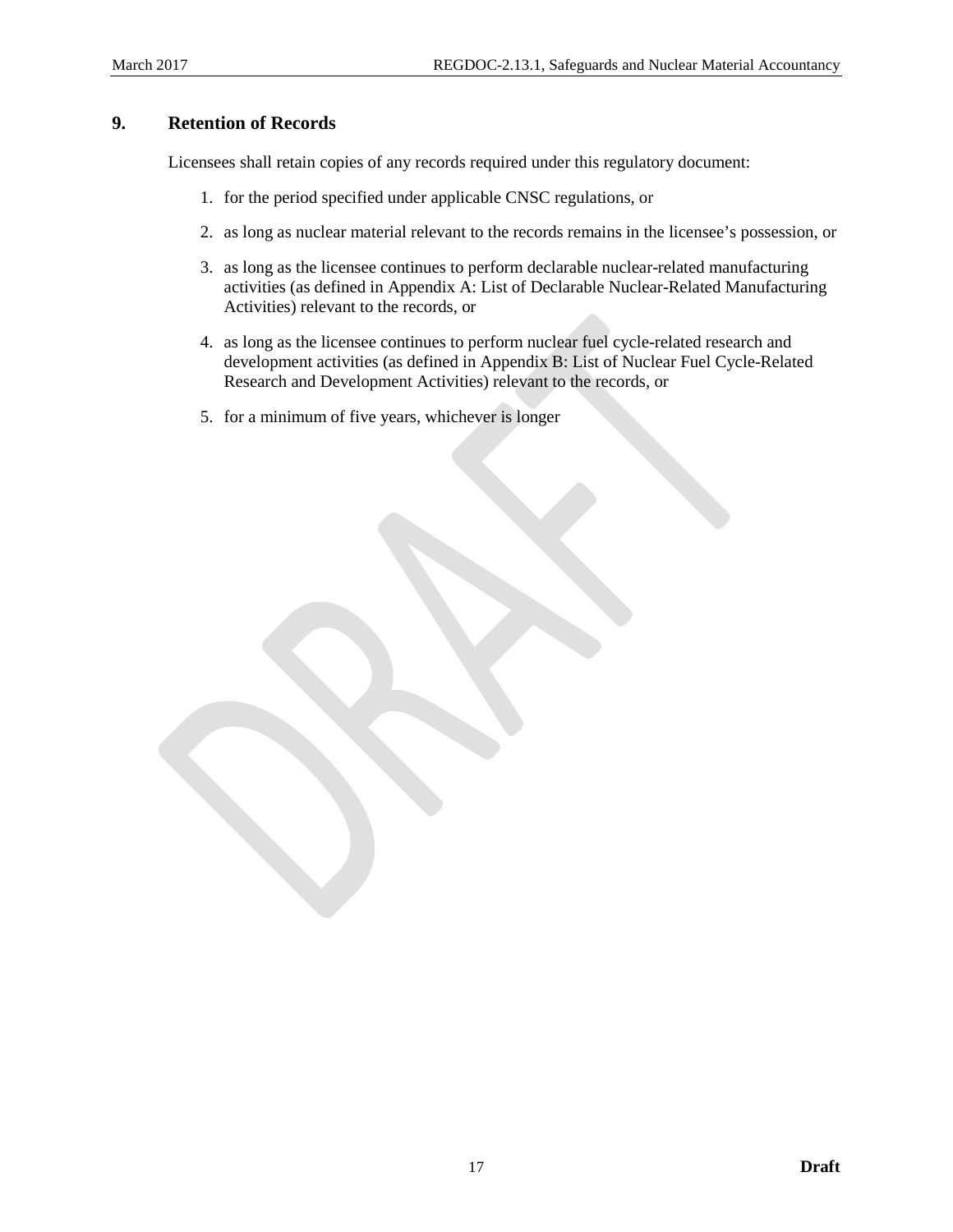# <span id="page-22-0"></span>**9. Retention of Records**

Licensees shall retain copies of any records required under this regulatory document:

- 1. for the period specified under applicable CNSC regulations, or
- 2. as long as nuclear material relevant to the records remains in the licensee's possession, or
- 3. as long as the licensee continues to perform declarable nuclear-related manufacturing activities (as defined in [Appendix A:](#page-23-0) List of Declarable Nuclear-Related Manufacturing Activities) relevant to the records, or
- 4. as long as the licensee continues to perform nuclear fuel cycle-related research and development activities (as defined in [Appendix B:](#page-24-0) List of Nuclear Fuel Cycle-Related Research and Development Activities) relevant to the records, or
- 5. for a minimum of five years, whichever is longer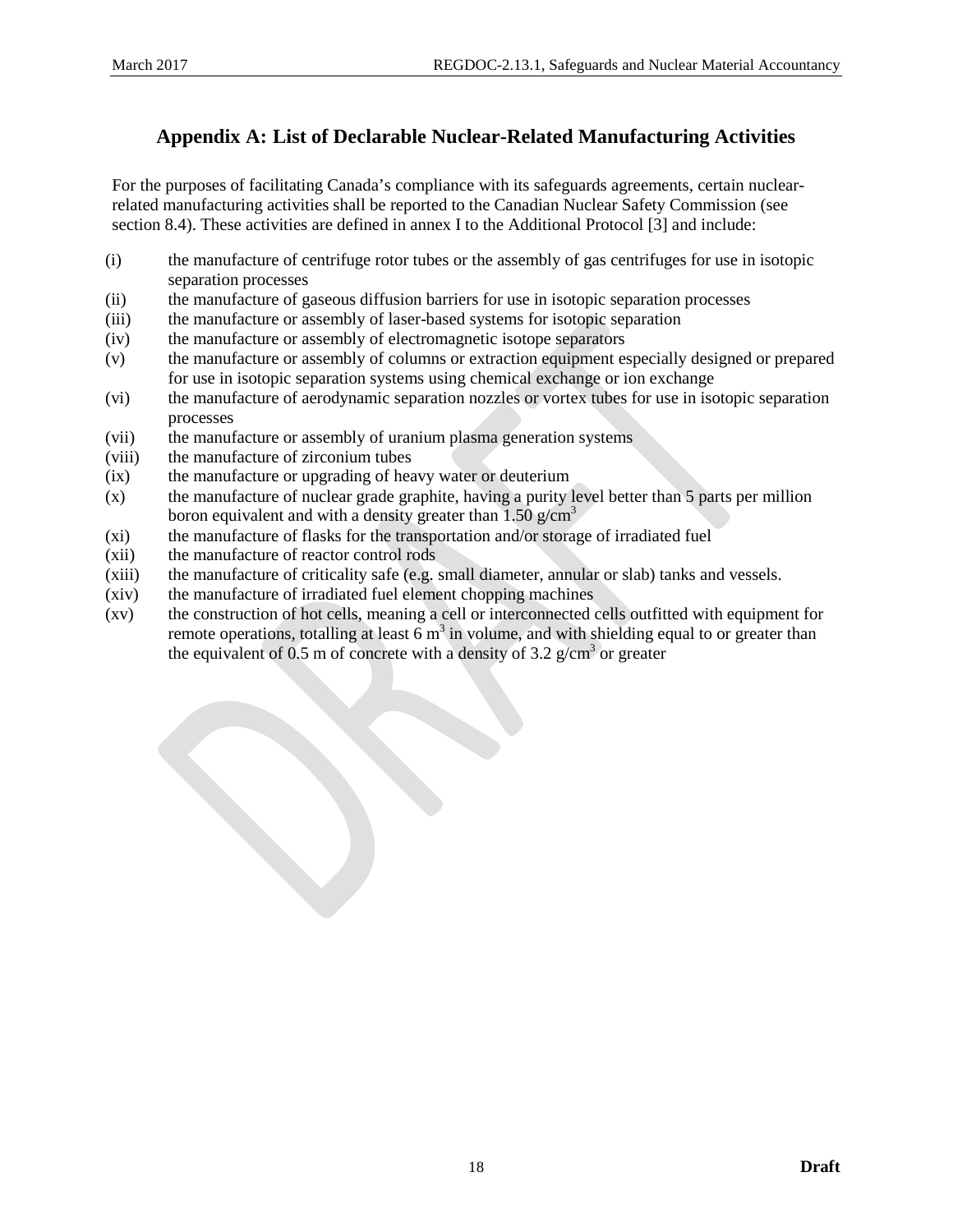# <span id="page-23-0"></span>**Appendix A: List of Declarable Nuclear-Related Manufacturing Activities**

For the purposes of facilitating Canada's compliance with its safeguards agreements, certain nuclearrelated manufacturing activities shall be reported to the Canadian Nuclear Safety Commission (see section [8.4\)](#page-21-0). These activities are defined in annex I to the Additional Protocol [3] and include:

- (i) the manufacture of centrifuge rotor tubes or the assembly of gas centrifuges for use in isotopic separation processes
- (ii) the manufacture of gaseous diffusion barriers for use in isotopic separation processes
- (iii) the manufacture or assembly of laser-based systems for isotopic separation
- (iv) the manufacture or assembly of electromagnetic isotope separators
- (v) the manufacture or assembly of columns or extraction equipment especially designed or prepared for use in isotopic separation systems using chemical exchange or ion exchange
- (vi) the manufacture of aerodynamic separation nozzles or vortex tubes for use in isotopic separation processes
- (vii) the manufacture or assembly of uranium plasma generation systems
- (viii) the manufacture of zirconium tubes
- (ix) the manufacture or upgrading of heavy water or deuterium
- (x) the manufacture of nuclear grade graphite, having a purity level better than 5 parts per million boron equivalent and with a density greater than 1.50  $g/cm<sup>3</sup>$
- (xi) the manufacture of flasks for the transportation and/or storage of irradiated fuel
- (xii) the manufacture of reactor control rods
- (xiii) the manufacture of criticality safe (e.g. small diameter, annular or slab) tanks and vessels.
- (xiv) the manufacture of irradiated fuel element chopping machines
- (xv) the construction of hot cells, meaning a cell or interconnected cells outfitted with equipment for remote operations, totalling at least  $6 \text{ m}^3$  in volume, and with shielding equal to or greater than the equivalent of 0.5 m of concrete with a density of 3.2  $g/cm<sup>3</sup>$  or greater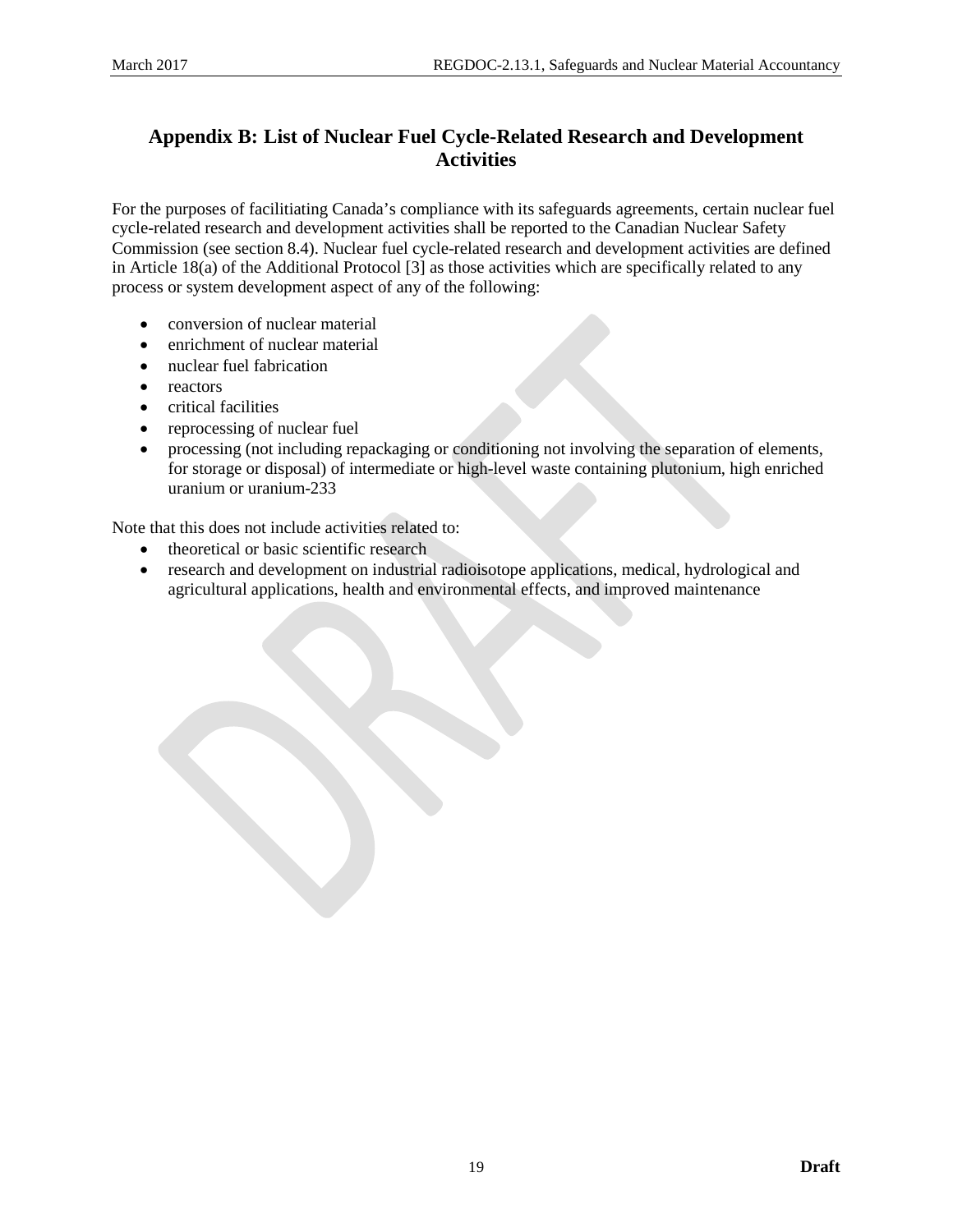# <span id="page-24-0"></span>**Appendix B: List of Nuclear Fuel Cycle-Related Research and Development Activities**

For the purposes of facilitiating Canada's compliance with its safeguards agreements, certain nuclear fuel cycle-related research and development activities shall be reported to the Canadian Nuclear Safety Commission (see sectio[n 8.4\)](#page-21-0). Nuclear fuel cycle-related research and development activities are defined in Article 18(a) of the Additional Protocol [3] as those activities which are specifically related to any process or system development aspect of any of the following:

- conversion of nuclear material
- enrichment of nuclear material
- nuclear fuel fabrication
- reactors
- critical facilities
- reprocessing of nuclear fuel
- processing (not including repackaging or conditioning not involving the separation of elements, for storage or disposal) of intermediate or high-level waste containing plutonium, high enriched uranium or uranium-233

Note that this does not include activities related to:

- theoretical or basic scientific research
- research and development on industrial radioisotope applications, medical, hydrological and agricultural applications, health and environmental effects, and improved maintenance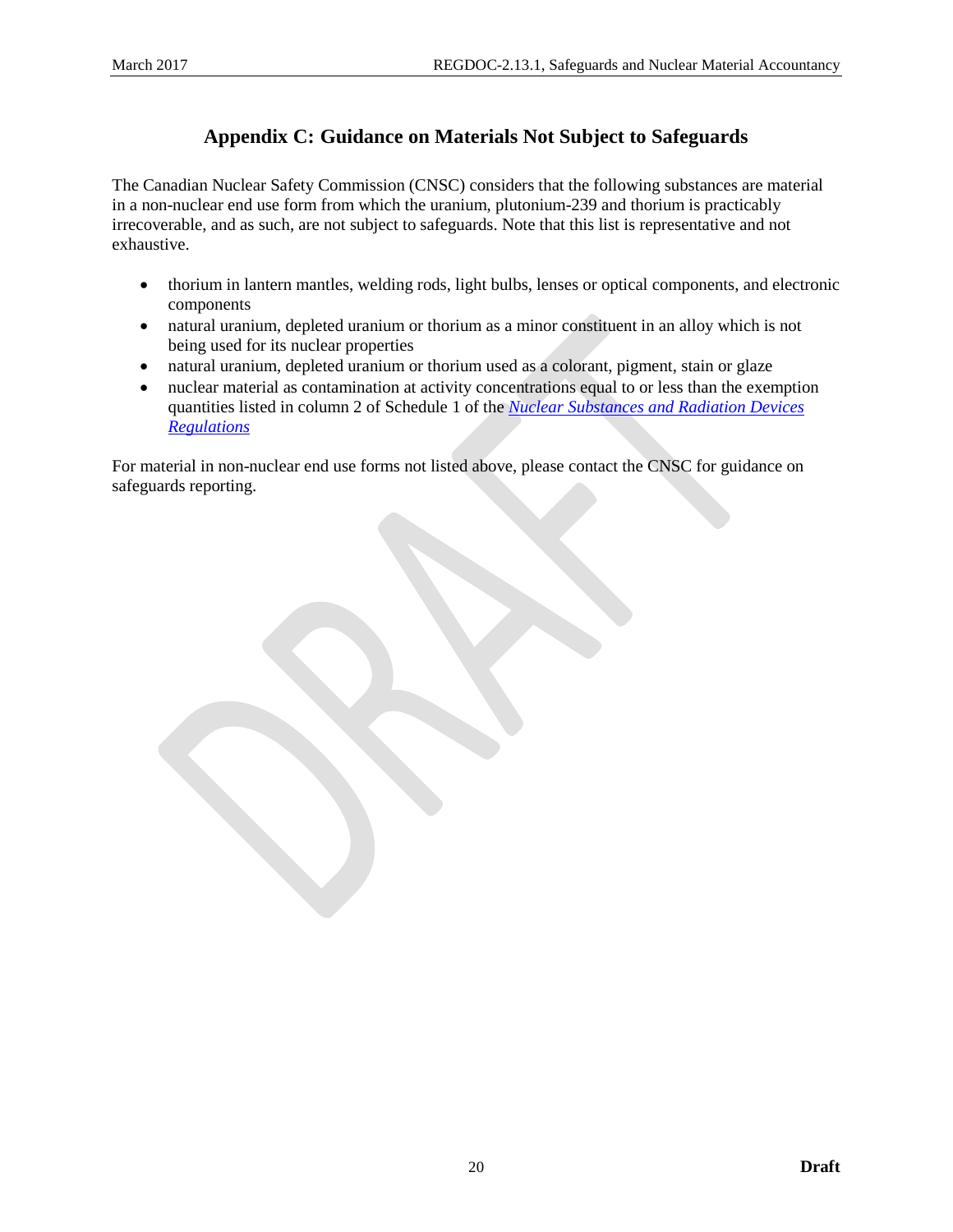# **Appendix C: Guidance on Materials Not Subject to Safeguards**

<span id="page-25-0"></span>The Canadian Nuclear Safety Commission (CNSC) considers that the following substances are material in a non-nuclear end use form from which the uranium, plutonium-239 and thorium is practicably irrecoverable, and as such, are not subject to safeguards. Note that this list is representative and not exhaustive.

- thorium in lantern mantles, welding rods, light bulbs, lenses or optical components, and electronic components
- natural uranium, depleted uranium or thorium as a minor constituent in an alloy which is not being used for its nuclear properties
- natural uranium, depleted uranium or thorium used as a colorant, pigment, stain or glaze
- nuclear material as contamination at activity concentrations equal to or less than the exemption quantities listed in column 2 of Schedule 1 of the *[Nuclear Substances and Radiation Devices](http://laws.justice.gc.ca/eng/regulations/sor-2000-207/page-1.html)  [Regulations](http://laws.justice.gc.ca/eng/regulations/sor-2000-207/page-1.html)*

For material in non-nuclear end use forms not listed above, please contact the CNSC for guidance on safeguards reporting.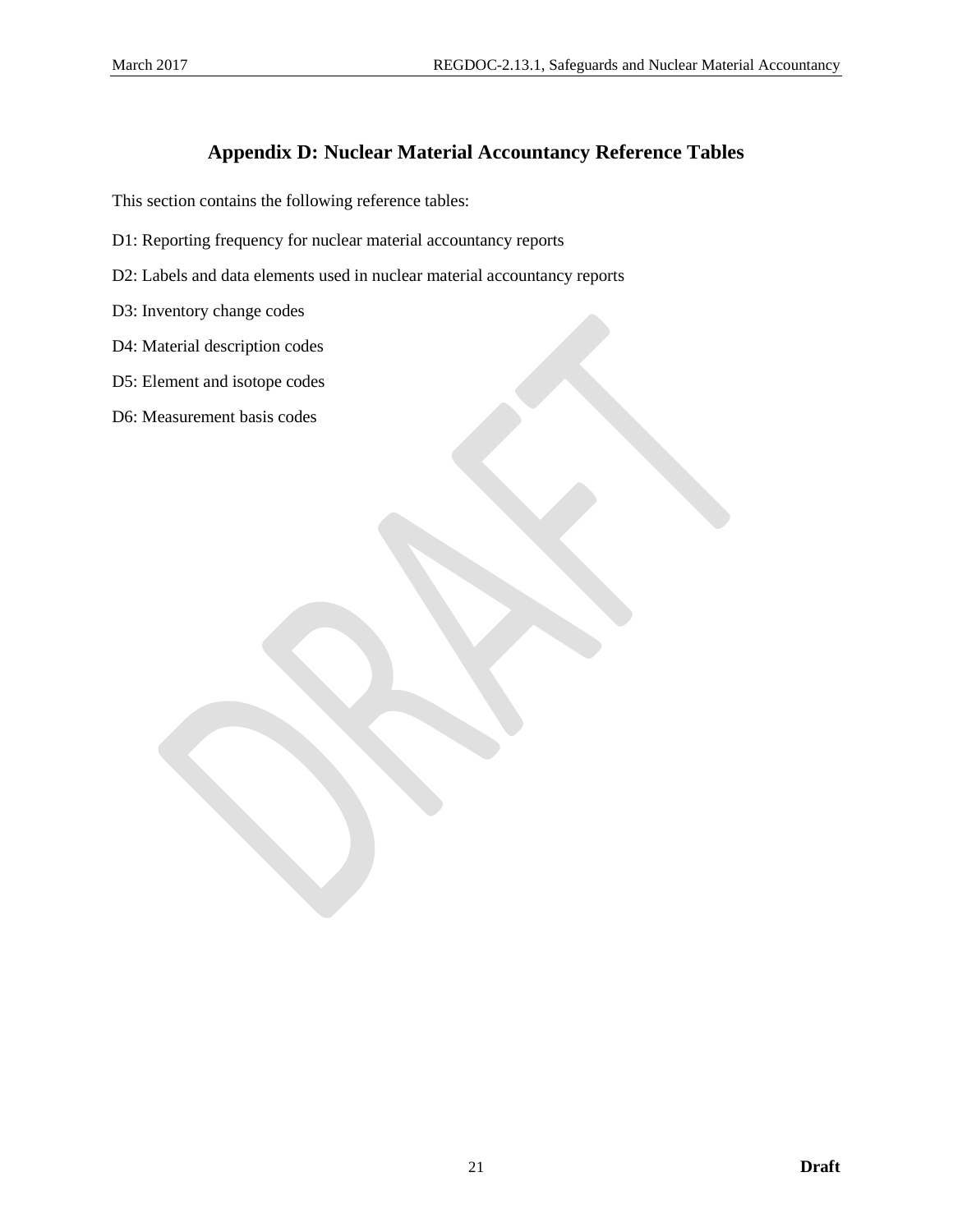# **Appendix D: Nuclear Material Accountancy Reference Tables**

<span id="page-26-0"></span>This section contains the following reference tables:

- D1: Reporting frequency for nuclear material accountancy reports
- D2: Labels and data elements used in nuclear material accountancy reports
- D3: Inventory change codes
- D4: Material description codes
- D5: Element and isotope codes
- D6: Measurement basis codes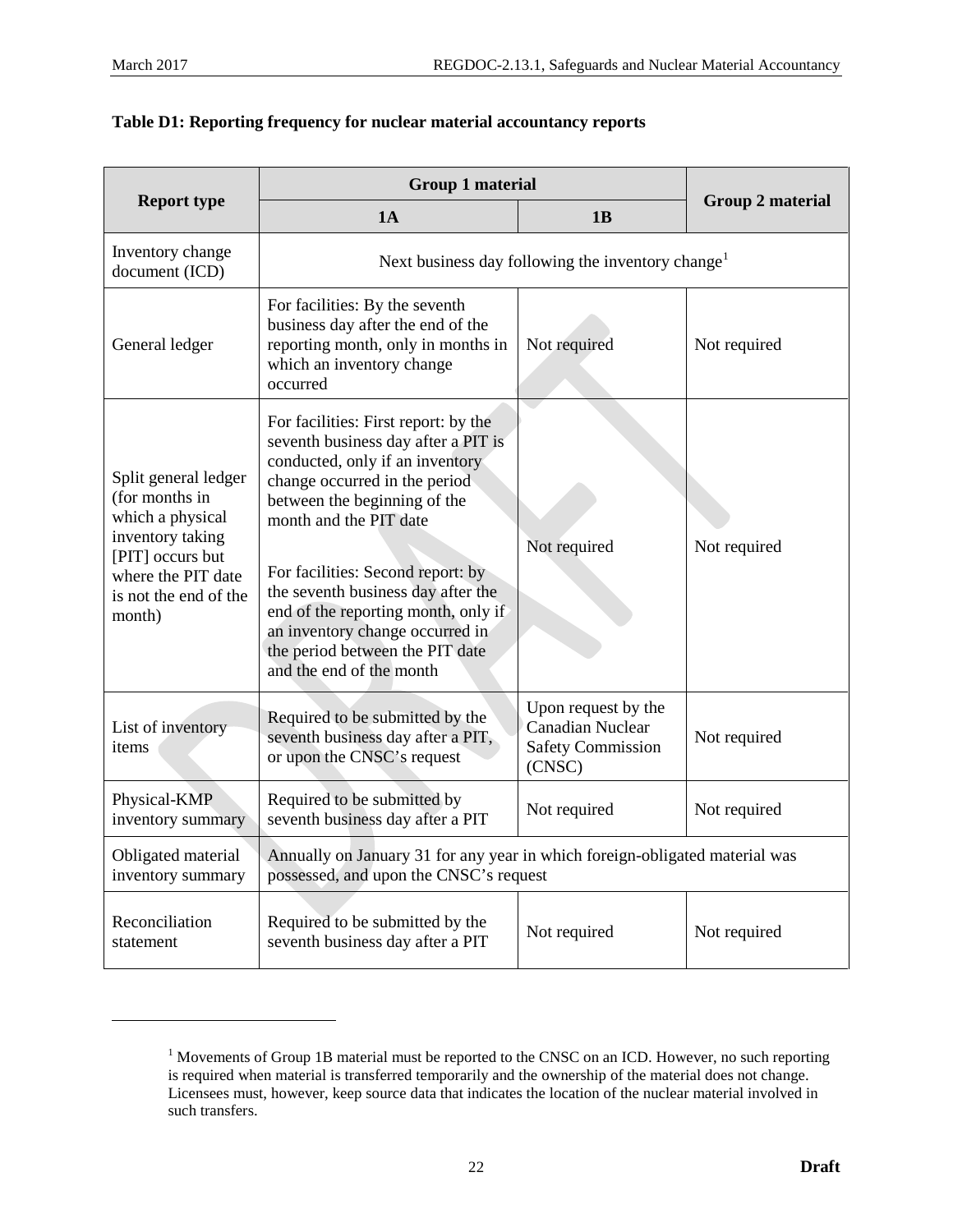<span id="page-27-0"></span> $\overline{a}$ 

|                                                                                                                                                             | <b>Group 1 material</b>                                                                                                                                                                                                                                                                                                                                                                                                       | <b>Group 2 material</b>                                                              |              |
|-------------------------------------------------------------------------------------------------------------------------------------------------------------|-------------------------------------------------------------------------------------------------------------------------------------------------------------------------------------------------------------------------------------------------------------------------------------------------------------------------------------------------------------------------------------------------------------------------------|--------------------------------------------------------------------------------------|--------------|
| <b>Report type</b>                                                                                                                                          | 1A                                                                                                                                                                                                                                                                                                                                                                                                                            | 1B                                                                                   |              |
| Inventory change<br>document (ICD)                                                                                                                          |                                                                                                                                                                                                                                                                                                                                                                                                                               | Next business day following the inventory change <sup>1</sup>                        |              |
| General ledger                                                                                                                                              | For facilities: By the seventh<br>business day after the end of the<br>reporting month, only in months in<br>which an inventory change<br>occurred                                                                                                                                                                                                                                                                            | Not required                                                                         | Not required |
| Split general ledger<br>(for months in<br>which a physical<br>inventory taking<br>[PIT] occurs but<br>where the PIT date<br>is not the end of the<br>month) | For facilities: First report: by the<br>seventh business day after a PIT is<br>conducted, only if an inventory<br>change occurred in the period<br>between the beginning of the<br>month and the PIT date<br>For facilities: Second report: by<br>the seventh business day after the<br>end of the reporting month, only if<br>an inventory change occurred in<br>the period between the PIT date<br>and the end of the month | Not required                                                                         | Not required |
| List of inventory<br>items                                                                                                                                  | Required to be submitted by the<br>seventh business day after a PIT,<br>or upon the CNSC's request                                                                                                                                                                                                                                                                                                                            | Upon request by the<br><b>Canadian Nuclear</b><br><b>Safety Commission</b><br>(CNSC) | Not required |
| Physical-KMP<br>inventory summary                                                                                                                           | Required to be submitted by<br>seventh business day after a PIT                                                                                                                                                                                                                                                                                                                                                               | Not required                                                                         | Not required |
| Obligated material<br>inventory summary                                                                                                                     | Annually on January 31 for any year in which foreign-obligated material was<br>possessed, and upon the CNSC's request                                                                                                                                                                                                                                                                                                         |                                                                                      |              |
| Reconciliation<br>statement                                                                                                                                 | Required to be submitted by the<br>seventh business day after a PIT                                                                                                                                                                                                                                                                                                                                                           | Not required                                                                         | Not required |

<sup>&</sup>lt;sup>1</sup> Movements of Group 1B material must be reported to the CNSC on an ICD. However, no such reporting is required when material is transferred temporarily and the ownership of the material does not change. Licensees must, however, keep source data that indicates the location of the nuclear material involved in such transfers.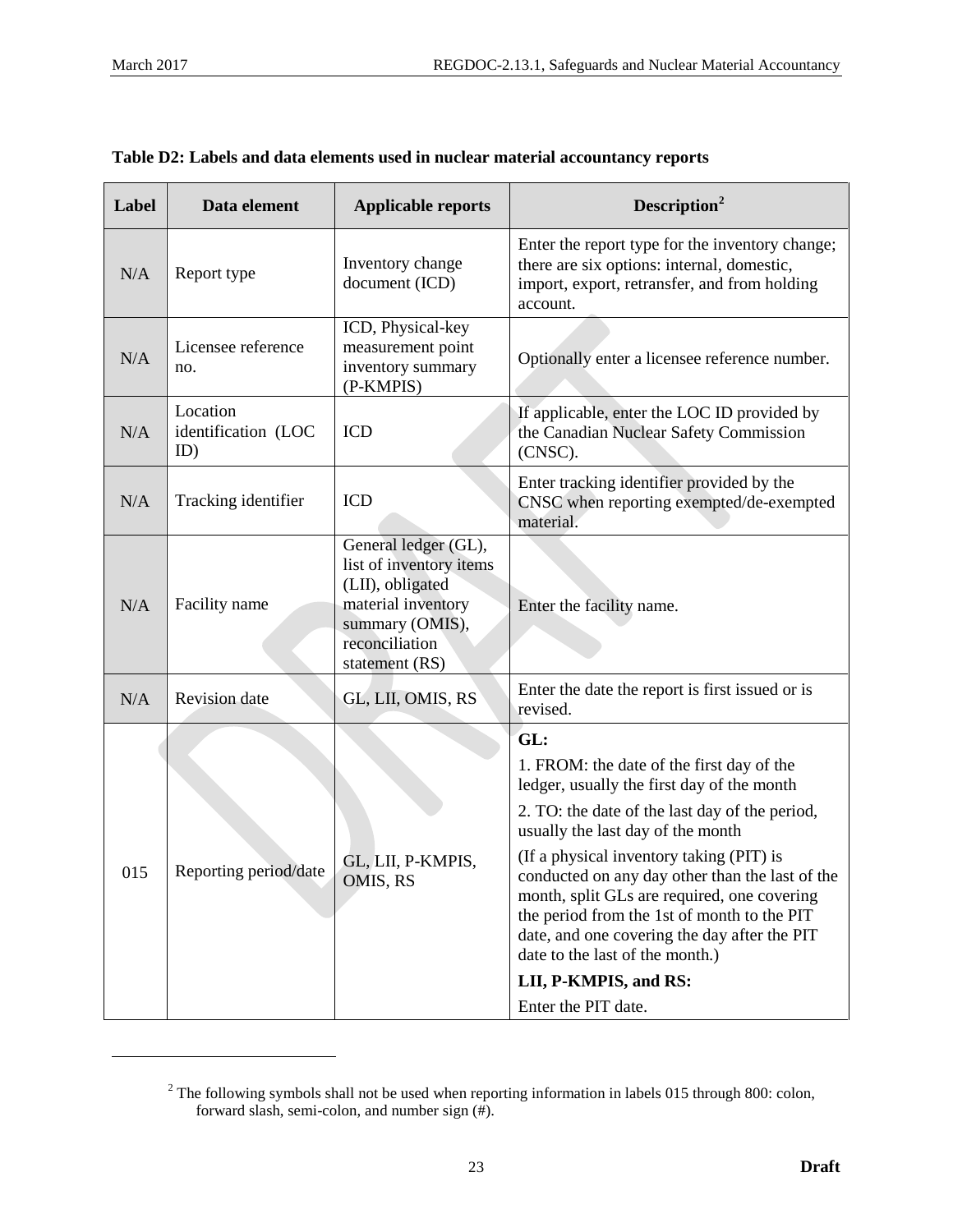<span id="page-28-0"></span> $\overline{a}$ 

| Label | Data element                           | <b>Applicable reports</b>                                                                                                                        | Description <sup>2</sup>                                                                                                                                                                                                                                                                                                                                                                                                                                                                                              |
|-------|----------------------------------------|--------------------------------------------------------------------------------------------------------------------------------------------------|-----------------------------------------------------------------------------------------------------------------------------------------------------------------------------------------------------------------------------------------------------------------------------------------------------------------------------------------------------------------------------------------------------------------------------------------------------------------------------------------------------------------------|
| N/A   | Report type                            | Inventory change<br>document (ICD)                                                                                                               | Enter the report type for the inventory change;<br>there are six options: internal, domestic,<br>import, export, retransfer, and from holding<br>account.                                                                                                                                                                                                                                                                                                                                                             |
| N/A   | Licensee reference<br>no.              | ICD, Physical-key<br>measurement point<br>inventory summary<br>(P-KMPIS)                                                                         | Optionally enter a licensee reference number.                                                                                                                                                                                                                                                                                                                                                                                                                                                                         |
| N/A   | Location<br>identification (LOC<br>ID) | <b>ICD</b>                                                                                                                                       | If applicable, enter the LOC ID provided by<br>the Canadian Nuclear Safety Commission<br>(CNSC).                                                                                                                                                                                                                                                                                                                                                                                                                      |
| N/A   | Tracking identifier                    | <b>ICD</b>                                                                                                                                       | Enter tracking identifier provided by the<br>CNSC when reporting exempted/de-exempted<br>material.                                                                                                                                                                                                                                                                                                                                                                                                                    |
| N/A   | Facility name                          | General ledger (GL),<br>list of inventory items<br>(LII), obligated<br>material inventory<br>summary (OMIS),<br>reconciliation<br>statement (RS) | Enter the facility name.                                                                                                                                                                                                                                                                                                                                                                                                                                                                                              |
| N/A   | <b>Revision</b> date                   | GL, LII, OMIS, RS                                                                                                                                | Enter the date the report is first issued or is<br>revised.                                                                                                                                                                                                                                                                                                                                                                                                                                                           |
| 015   | Reporting period/date                  | GL, LII, P-KMPIS,<br>OMIS, RS                                                                                                                    | GL:<br>1. FROM: the date of the first day of the<br>ledger, usually the first day of the month<br>2. TO: the date of the last day of the period,<br>usually the last day of the month<br>(If a physical inventory taking (PIT) is<br>conducted on any day other than the last of the<br>month, split GLs are required, one covering<br>the period from the 1st of month to the PIT<br>date, and one covering the day after the PIT<br>date to the last of the month.)<br>LII, P-KMPIS, and RS:<br>Enter the PIT date. |

| Table D2: Labels and data elements used in nuclear material accountancy reports |  |  |
|---------------------------------------------------------------------------------|--|--|
|                                                                                 |  |  |
|                                                                                 |  |  |

<sup>&</sup>lt;sup>2</sup> The following symbols shall not be used when reporting information in labels 015 through 800: colon, forward slash, semi-colon, and number sign (#).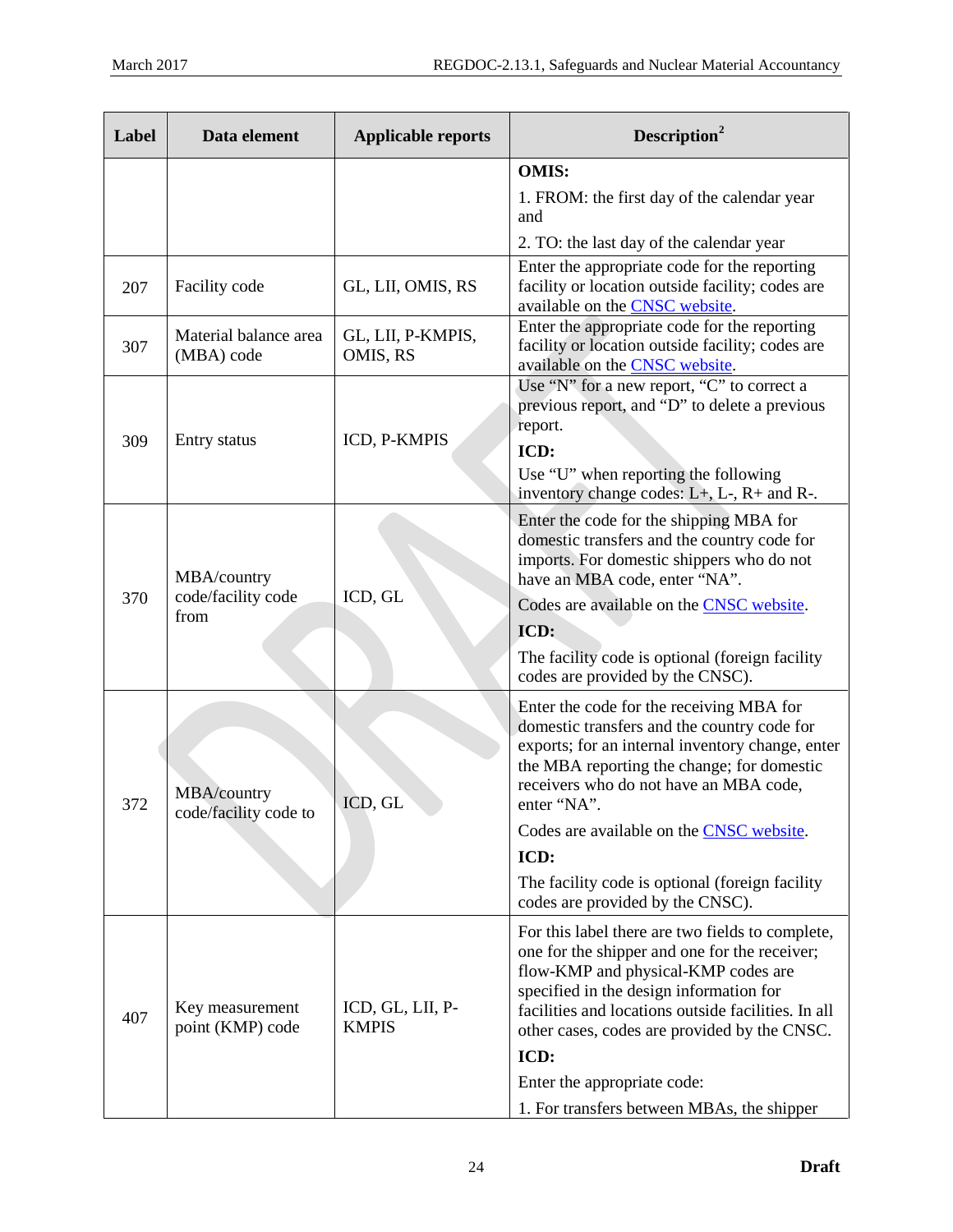| Label | Data element                              | <b>Applicable reports</b>        | Description <sup>2</sup>                                                                                                                                                                                                                                                                                                                                                                             |
|-------|-------------------------------------------|----------------------------------|------------------------------------------------------------------------------------------------------------------------------------------------------------------------------------------------------------------------------------------------------------------------------------------------------------------------------------------------------------------------------------------------------|
|       |                                           |                                  | <b>OMIS:</b><br>1. FROM: the first day of the calendar year<br>and<br>2. TO: the last day of the calendar year                                                                                                                                                                                                                                                                                       |
| 207   | Facility code                             | GL, LII, OMIS, RS                | Enter the appropriate code for the reporting<br>facility or location outside facility; codes are<br>available on the <b>CNSC</b> website.                                                                                                                                                                                                                                                            |
| 307   | Material balance area<br>(MBA) code       | GL, LII, P-KMPIS,<br>OMIS, RS    | Enter the appropriate code for the reporting<br>facility or location outside facility; codes are<br>available on the <b>CNSC</b> website.                                                                                                                                                                                                                                                            |
| 309   | Entry status                              | ICD, P-KMPIS                     | Use "N" for a new report, "C" to correct a<br>previous report, and "D" to delete a previous<br>report.<br>ICD:<br>Use "U" when reporting the following<br>inventory change codes: $L+$ , $L-$ , $R+$ and $R-$ .                                                                                                                                                                                      |
| 370   | MBA/country<br>code/facility code<br>from | ICD, GL                          | Enter the code for the shipping MBA for<br>domestic transfers and the country code for<br>imports. For domestic shippers who do not<br>have an MBA code, enter "NA".<br>Codes are available on the CNSC website.<br>ICD:<br>The facility code is optional (foreign facility<br>codes are provided by the CNSC).                                                                                      |
| 372   | MBA/country<br>code/facility code to      | ICD, GL                          | Enter the code for the receiving MBA for<br>domestic transfers and the country code for<br>exports; for an internal inventory change, enter<br>the MBA reporting the change; for domestic<br>receivers who do not have an MBA code,<br>enter "NA".<br>Codes are available on the <b>CNSC</b> website.<br>ICD:<br>The facility code is optional (foreign facility<br>codes are provided by the CNSC). |
| 407   | Key measurement<br>point (KMP) code       | ICD, GL, LII, P-<br><b>KMPIS</b> | For this label there are two fields to complete,<br>one for the shipper and one for the receiver;<br>flow-KMP and physical-KMP codes are<br>specified in the design information for<br>facilities and locations outside facilities. In all<br>other cases, codes are provided by the CNSC.<br>ICD:<br>Enter the appropriate code:<br>1. For transfers between MBAs, the shipper                      |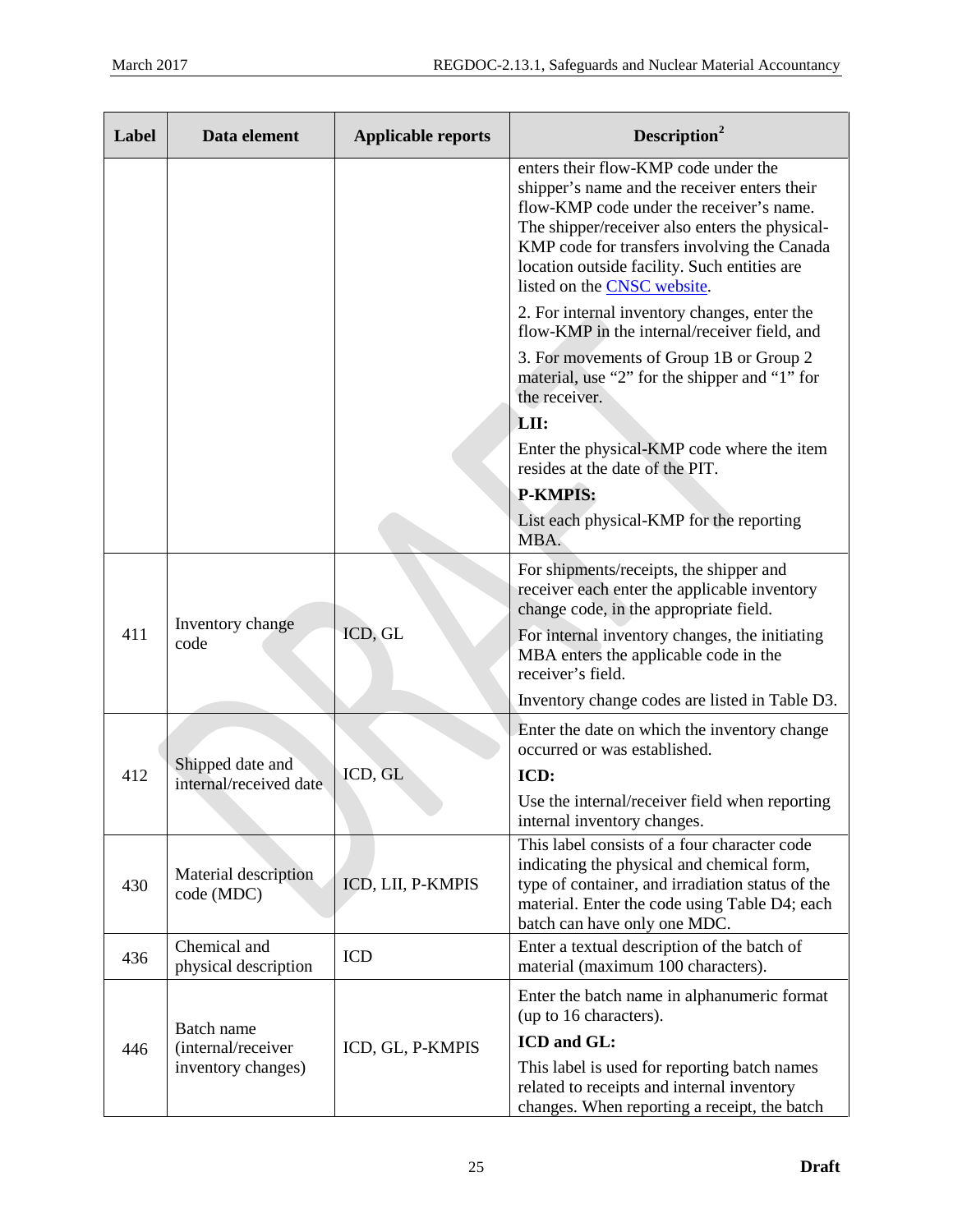| Label | Data element                                                                     | <b>Applicable reports</b> | Description <sup>2</sup>                                                                                                                                                                                                                                                                                         |
|-------|----------------------------------------------------------------------------------|---------------------------|------------------------------------------------------------------------------------------------------------------------------------------------------------------------------------------------------------------------------------------------------------------------------------------------------------------|
|       |                                                                                  |                           | enters their flow-KMP code under the<br>shipper's name and the receiver enters their<br>flow-KMP code under the receiver's name.<br>The shipper/receiver also enters the physical-<br>KMP code for transfers involving the Canada<br>location outside facility. Such entities are<br>listed on the CNSC website. |
|       |                                                                                  |                           | 2. For internal inventory changes, enter the<br>flow-KMP in the internal/receiver field, and                                                                                                                                                                                                                     |
|       |                                                                                  |                           | 3. For movements of Group 1B or Group 2<br>material, use "2" for the shipper and "1" for<br>the receiver.                                                                                                                                                                                                        |
|       |                                                                                  |                           | LII:                                                                                                                                                                                                                                                                                                             |
|       |                                                                                  |                           | Enter the physical-KMP code where the item<br>resides at the date of the PIT.                                                                                                                                                                                                                                    |
|       |                                                                                  |                           | <b>P-KMPIS:</b>                                                                                                                                                                                                                                                                                                  |
|       |                                                                                  |                           | List each physical-KMP for the reporting<br>MBA.                                                                                                                                                                                                                                                                 |
|       | Inventory change<br>code                                                         | ICD, GL                   | For shipments/receipts, the shipper and<br>receiver each enter the applicable inventory<br>change code, in the appropriate field.                                                                                                                                                                                |
| 411   |                                                                                  |                           | For internal inventory changes, the initiating<br>MBA enters the applicable code in the<br>receiver's field.                                                                                                                                                                                                     |
|       |                                                                                  |                           | Inventory change codes are listed in Table D3.                                                                                                                                                                                                                                                                   |
|       |                                                                                  | ICD, GL                   | Enter the date on which the inventory change<br>occurred or was established.                                                                                                                                                                                                                                     |
| 412   | Shipped date and<br>internal/received date<br>Material description<br>code (MDC) |                           | ICD:                                                                                                                                                                                                                                                                                                             |
|       |                                                                                  |                           | Use the internal/receiver field when reporting<br>internal inventory changes.                                                                                                                                                                                                                                    |
| 430   |                                                                                  | ICD, LII, P-KMPIS         | This label consists of a four character code<br>indicating the physical and chemical form,<br>type of container, and irradiation status of the<br>material. Enter the code using Table D4; each<br>batch can have only one MDC.                                                                                  |
| 436   | Chemical and<br>physical description                                             | <b>ICD</b>                | Enter a textual description of the batch of<br>material (maximum 100 characters).                                                                                                                                                                                                                                |
|       |                                                                                  | ICD, GL, P-KMPIS          | Enter the batch name in alphanumeric format<br>(up to 16 characters).                                                                                                                                                                                                                                            |
| 446   | Batch name<br>(internal/receiver                                                 |                           | ICD and GL:                                                                                                                                                                                                                                                                                                      |
|       | inventory changes)                                                               |                           | This label is used for reporting batch names<br>related to receipts and internal inventory<br>changes. When reporting a receipt, the batch                                                                                                                                                                       |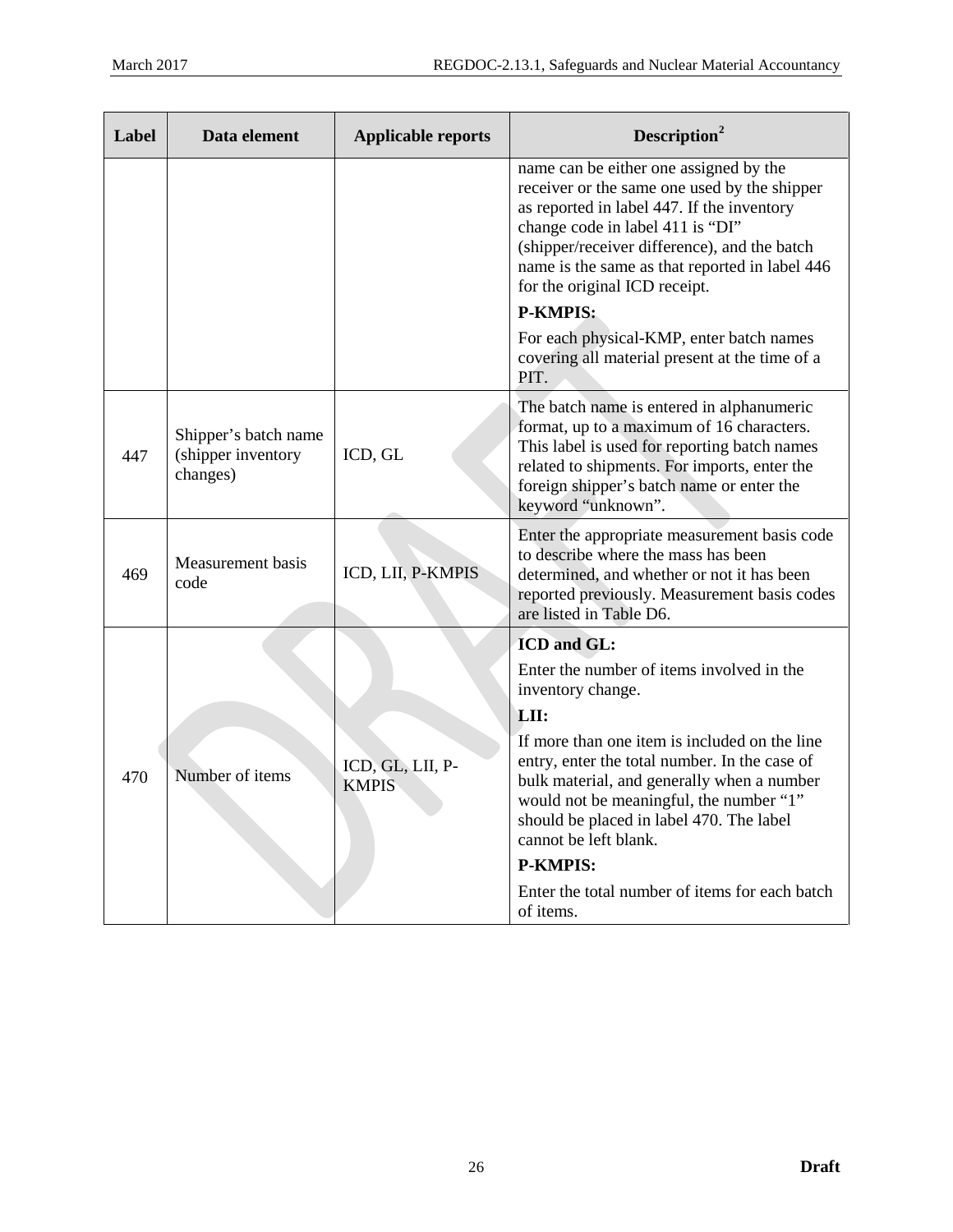| Label | Data element                                           | <b>Applicable reports</b>        | Description <sup>2</sup>                                                                                                                                                                                                                                                                                    |
|-------|--------------------------------------------------------|----------------------------------|-------------------------------------------------------------------------------------------------------------------------------------------------------------------------------------------------------------------------------------------------------------------------------------------------------------|
|       |                                                        |                                  | name can be either one assigned by the<br>receiver or the same one used by the shipper<br>as reported in label 447. If the inventory<br>change code in label 411 is "DI"<br>(shipper/receiver difference), and the batch<br>name is the same as that reported in label 446<br>for the original ICD receipt. |
|       |                                                        |                                  | <b>P-KMPIS:</b>                                                                                                                                                                                                                                                                                             |
|       |                                                        |                                  | For each physical-KMP, enter batch names<br>covering all material present at the time of a<br>PIT.                                                                                                                                                                                                          |
| 447   | Shipper's batch name<br>(shipper inventory<br>changes) | ICD, GL                          | The batch name is entered in alphanumeric<br>format, up to a maximum of 16 characters.<br>This label is used for reporting batch names<br>related to shipments. For imports, enter the<br>foreign shipper's batch name or enter the<br>keyword "unknown".                                                   |
| 469   | Measurement basis<br>code                              | ICD, LII, P-KMPIS                | Enter the appropriate measurement basis code<br>to describe where the mass has been<br>determined, and whether or not it has been<br>reported previously. Measurement basis codes<br>are listed in Table D6.                                                                                                |
|       |                                                        |                                  | ICD and GL:                                                                                                                                                                                                                                                                                                 |
|       |                                                        |                                  | Enter the number of items involved in the<br>inventory change.                                                                                                                                                                                                                                              |
|       |                                                        |                                  | LII:                                                                                                                                                                                                                                                                                                        |
| 470   | Number of items                                        | ICD, GL, LII, P-<br><b>KMPIS</b> | If more than one item is included on the line<br>entry, enter the total number. In the case of<br>bulk material, and generally when a number<br>would not be meaningful, the number "1"<br>should be placed in label 470. The label<br>cannot be left blank.                                                |
|       |                                                        |                                  | <b>P-KMPIS:</b>                                                                                                                                                                                                                                                                                             |
|       |                                                        |                                  | Enter the total number of items for each batch<br>of items.                                                                                                                                                                                                                                                 |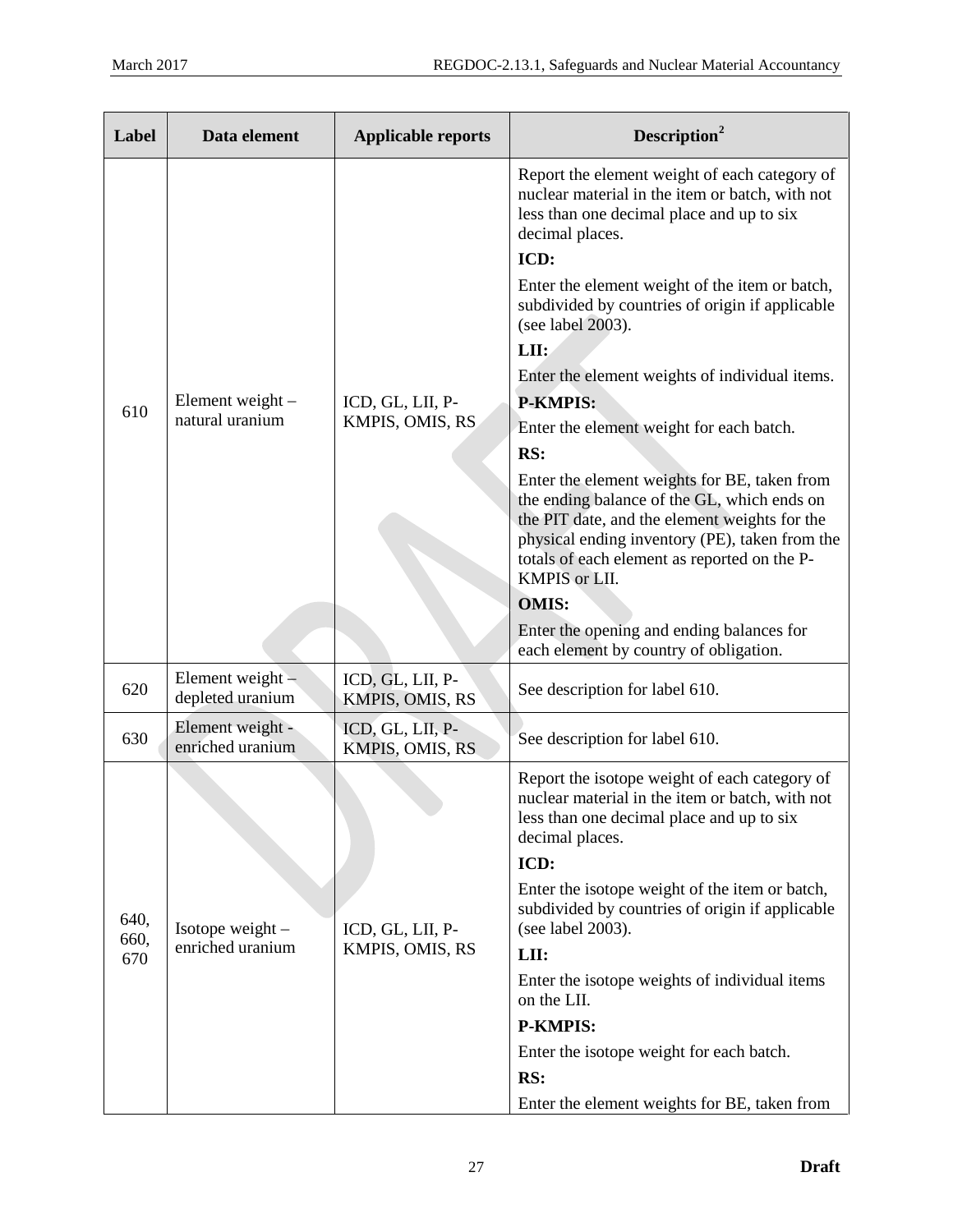| Label               | Data element                           | <b>Applicable reports</b>           | Description <sup>2</sup>                                                                                                                                                                                                                                                                                                                                                                                                                                                                                                                                                                                                                                                                                                                                                                                     |
|---------------------|----------------------------------------|-------------------------------------|--------------------------------------------------------------------------------------------------------------------------------------------------------------------------------------------------------------------------------------------------------------------------------------------------------------------------------------------------------------------------------------------------------------------------------------------------------------------------------------------------------------------------------------------------------------------------------------------------------------------------------------------------------------------------------------------------------------------------------------------------------------------------------------------------------------|
| 610                 | Element weight -<br>natural uranium    | ICD, GL, LII, P-<br>KMPIS, OMIS, RS | Report the element weight of each category of<br>nuclear material in the item or batch, with not<br>less than one decimal place and up to six<br>decimal places.<br>ICD:<br>Enter the element weight of the item or batch,<br>subdivided by countries of origin if applicable<br>(see label 2003).<br>LII:<br>Enter the element weights of individual items.<br><b>P-KMPIS:</b><br>Enter the element weight for each batch.<br>RS:<br>Enter the element weights for BE, taken from<br>the ending balance of the GL, which ends on<br>the PIT date, and the element weights for the<br>physical ending inventory (PE), taken from the<br>totals of each element as reported on the P-<br>KMPIS or LII.<br><b>OMIS:</b><br>Enter the opening and ending balances for<br>each element by country of obligation. |
| 620                 | Element weight $-$<br>depleted uranium | ICD, GL, LII, P-<br>KMPIS, OMIS, RS | See description for label 610.                                                                                                                                                                                                                                                                                                                                                                                                                                                                                                                                                                                                                                                                                                                                                                               |
| 630                 | Element weight -<br>enriched uranium   | ICD, GL, LII, P-<br>KMPIS, OMIS, RS | See description for label 610.                                                                                                                                                                                                                                                                                                                                                                                                                                                                                                                                                                                                                                                                                                                                                                               |
| 640,<br>660,<br>670 | Isotope weight $-$<br>enriched uranium | ICD, GL, LII, P-<br>KMPIS, OMIS, RS | Report the isotope weight of each category of<br>nuclear material in the item or batch, with not<br>less than one decimal place and up to six<br>decimal places.<br>ICD:<br>Enter the isotope weight of the item or batch,<br>subdivided by countries of origin if applicable<br>(see label 2003).<br>LII:<br>Enter the isotope weights of individual items<br>on the LII.<br><b>P-KMPIS:</b><br>Enter the isotope weight for each batch.<br>RS:<br>Enter the element weights for BE, taken from                                                                                                                                                                                                                                                                                                             |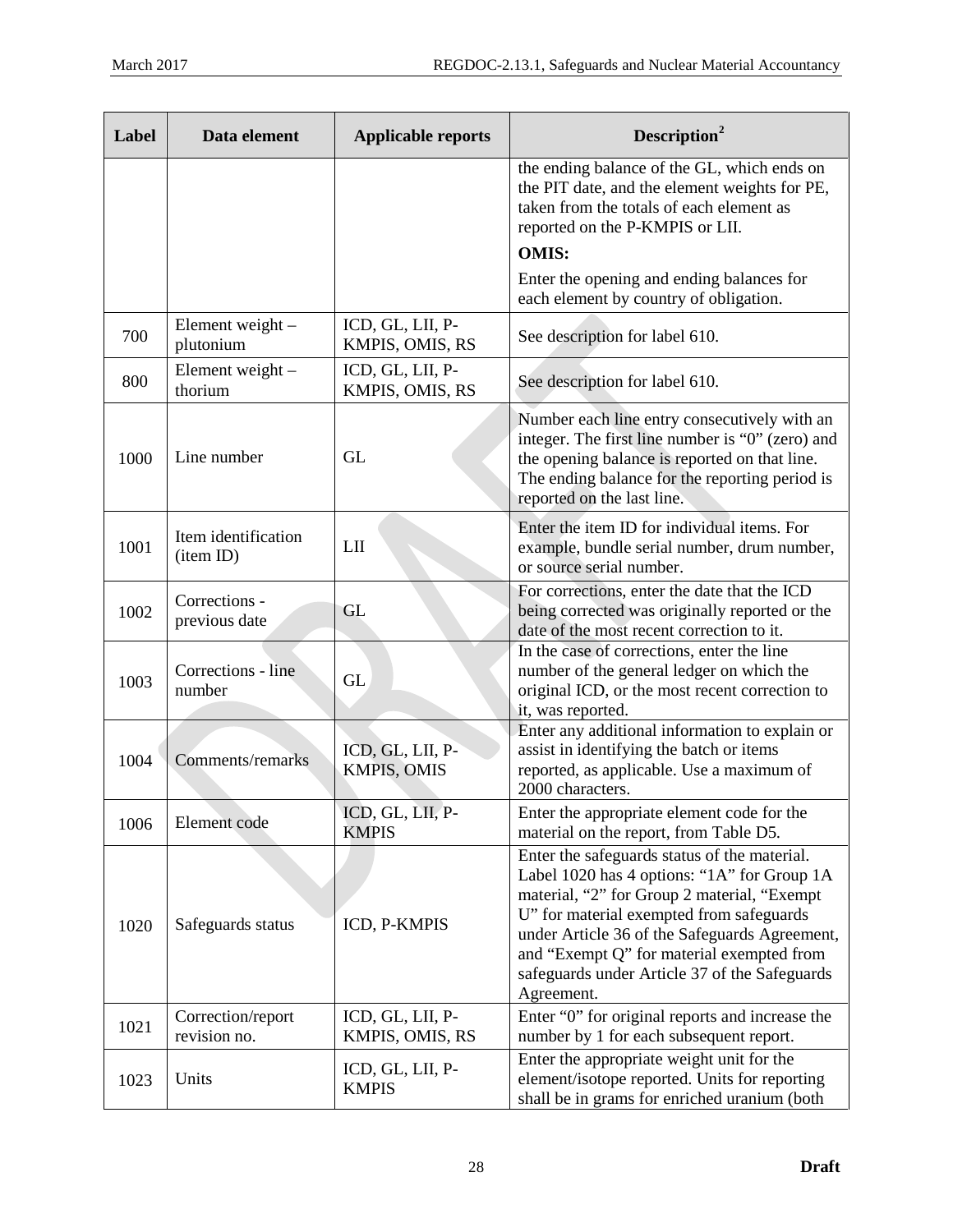| Label | Data element                      | <b>Applicable reports</b>              | Description <sup>2</sup>                                                                                                                                                                                                                                                                                                                            |
|-------|-----------------------------------|----------------------------------------|-----------------------------------------------------------------------------------------------------------------------------------------------------------------------------------------------------------------------------------------------------------------------------------------------------------------------------------------------------|
|       |                                   |                                        | the ending balance of the GL, which ends on<br>the PIT date, and the element weights for PE,<br>taken from the totals of each element as<br>reported on the P-KMPIS or LII.<br><b>OMIS:</b>                                                                                                                                                         |
|       |                                   |                                        | Enter the opening and ending balances for<br>each element by country of obligation.                                                                                                                                                                                                                                                                 |
| 700   | Element weight -<br>plutonium     | ICD, GL, LII, P-<br>KMPIS, OMIS, RS    | See description for label 610.                                                                                                                                                                                                                                                                                                                      |
| 800   | Element weight -<br>thorium       | ICD, GL, LII, P-<br>KMPIS, OMIS, RS    | See description for label 610.                                                                                                                                                                                                                                                                                                                      |
| 1000  | Line number                       | GL                                     | Number each line entry consecutively with an<br>integer. The first line number is "0" (zero) and<br>the opening balance is reported on that line.<br>The ending balance for the reporting period is<br>reported on the last line.                                                                                                                   |
| 1001  | Item identification<br>(item ID)  | LII                                    | Enter the item ID for individual items. For<br>example, bundle serial number, drum number,<br>or source serial number.                                                                                                                                                                                                                              |
| 1002  | Corrections -<br>previous date    | GL                                     | For corrections, enter the date that the ICD<br>being corrected was originally reported or the<br>date of the most recent correction to it.                                                                                                                                                                                                         |
| 1003  | Corrections - line<br>number      | <b>GL</b>                              | In the case of corrections, enter the line<br>number of the general ledger on which the<br>original ICD, or the most recent correction to<br>it, was reported.                                                                                                                                                                                      |
| 1004  | Comments/remarks                  | ICD, GL, LII, P-<br><b>KMPIS, OMIS</b> | Enter any additional information to explain or<br>assist in identifying the batch or items<br>reported, as applicable. Use a maximum of<br>2000 characters.                                                                                                                                                                                         |
| 1006  | Element code                      | ICD, GL, LII, P-<br><b>KMPIS</b>       | Enter the appropriate element code for the<br>material on the report, from Table D5.                                                                                                                                                                                                                                                                |
| 1020  | Safeguards status                 | ICD, P-KMPIS                           | Enter the safeguards status of the material.<br>Label 1020 has 4 options: "1A" for Group 1A<br>material, "2" for Group 2 material, "Exempt<br>U" for material exempted from safeguards<br>under Article 36 of the Safeguards Agreement,<br>and "Exempt Q" for material exempted from<br>safeguards under Article 37 of the Safeguards<br>Agreement. |
| 1021  | Correction/report<br>revision no. | ICD, GL, LII, P-<br>KMPIS, OMIS, RS    | Enter "0" for original reports and increase the<br>number by 1 for each subsequent report.                                                                                                                                                                                                                                                          |
| 1023  | Units                             | ICD, GL, LII, P-<br><b>KMPIS</b>       | Enter the appropriate weight unit for the<br>element/isotope reported. Units for reporting<br>shall be in grams for enriched uranium (both                                                                                                                                                                                                          |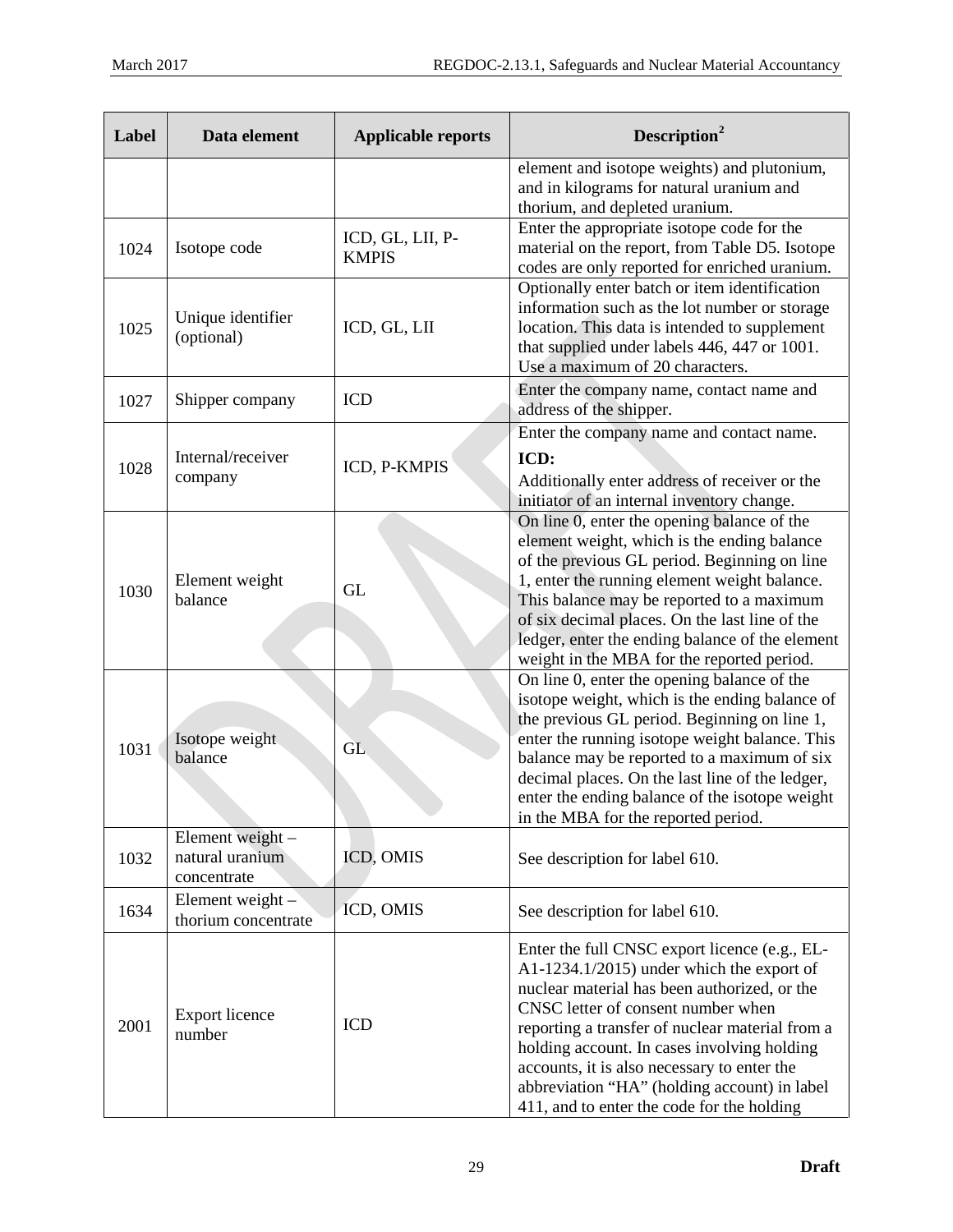| Label | Data element                                       | <b>Applicable reports</b>        | Description <sup>2</sup>                                                                                                                                                                                                                                                                                                                                                                                                        |
|-------|----------------------------------------------------|----------------------------------|---------------------------------------------------------------------------------------------------------------------------------------------------------------------------------------------------------------------------------------------------------------------------------------------------------------------------------------------------------------------------------------------------------------------------------|
|       |                                                    |                                  | element and isotope weights) and plutonium,<br>and in kilograms for natural uranium and<br>thorium, and depleted uranium.                                                                                                                                                                                                                                                                                                       |
| 1024  | Isotope code                                       | ICD, GL, LII, P-<br><b>KMPIS</b> | Enter the appropriate isotope code for the<br>material on the report, from Table D5. Isotope<br>codes are only reported for enriched uranium.                                                                                                                                                                                                                                                                                   |
| 1025  | Unique identifier<br>(optional)                    | ICD, GL, LII                     | Optionally enter batch or item identification<br>information such as the lot number or storage<br>location. This data is intended to supplement<br>that supplied under labels 446, 447 or 1001.<br>Use a maximum of 20 characters.                                                                                                                                                                                              |
| 1027  | Shipper company                                    | <b>ICD</b>                       | Enter the company name, contact name and<br>address of the shipper.                                                                                                                                                                                                                                                                                                                                                             |
| 1028  | Internal/receiver<br>company                       | ICD, P-KMPIS                     | Enter the company name and contact name.<br>ICD:<br>Additionally enter address of receiver or the<br>initiator of an internal inventory change.                                                                                                                                                                                                                                                                                 |
| 1030  | Element weight<br>balance                          | <b>GL</b>                        | On line 0, enter the opening balance of the<br>element weight, which is the ending balance<br>of the previous GL period. Beginning on line<br>1, enter the running element weight balance.<br>This balance may be reported to a maximum<br>of six decimal places. On the last line of the<br>ledger, enter the ending balance of the element<br>weight in the MBA for the reported period.                                      |
| 1031  | Isotope weight<br>balance                          | GL                               | On line 0, enter the opening balance of the<br>isotope weight, which is the ending balance of<br>the previous GL period. Beginning on line 1,<br>enter the running isotope weight balance. This<br>balance may be reported to a maximum of six<br>decimal places. On the last line of the ledger,<br>enter the ending balance of the isotope weight<br>in the MBA for the reported period.                                      |
| 1032  | Element weight -<br>natural uranium<br>concentrate | ICD, OMIS                        | See description for label 610.                                                                                                                                                                                                                                                                                                                                                                                                  |
| 1634  | Element weight -<br>thorium concentrate            | ICD, OMIS                        | See description for label 610.                                                                                                                                                                                                                                                                                                                                                                                                  |
| 2001  | <b>Export licence</b><br>number                    | <b>ICD</b>                       | Enter the full CNSC export licence (e.g., EL-<br>A1-1234.1/2015) under which the export of<br>nuclear material has been authorized, or the<br>CNSC letter of consent number when<br>reporting a transfer of nuclear material from a<br>holding account. In cases involving holding<br>accounts, it is also necessary to enter the<br>abbreviation "HA" (holding account) in label<br>411, and to enter the code for the holding |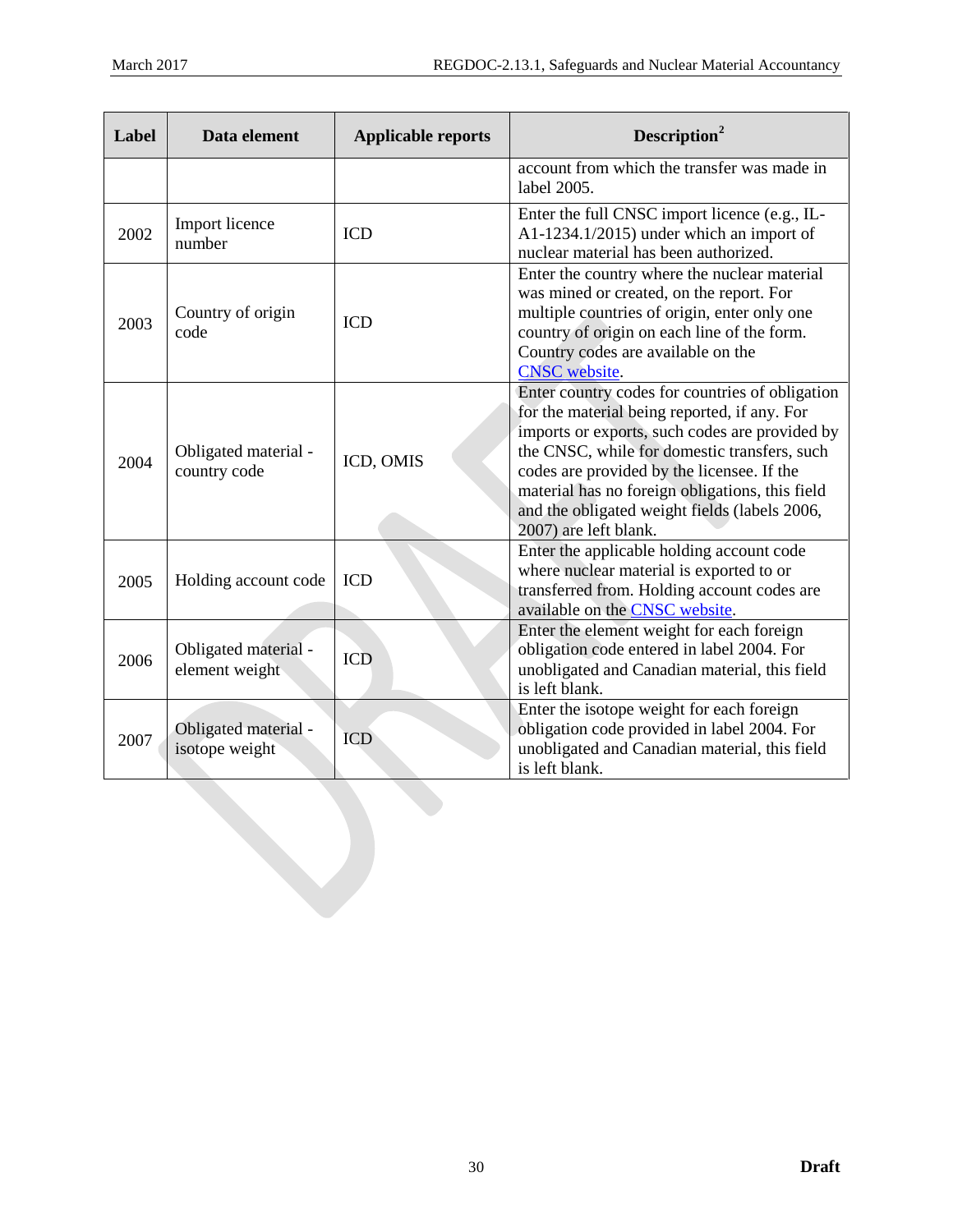| Label | Data element                           | <b>Applicable reports</b> | Description <sup>2</sup>                                                                                                                                                                                                                                                                                                                                                     |
|-------|----------------------------------------|---------------------------|------------------------------------------------------------------------------------------------------------------------------------------------------------------------------------------------------------------------------------------------------------------------------------------------------------------------------------------------------------------------------|
|       |                                        |                           | account from which the transfer was made in<br>label 2005.                                                                                                                                                                                                                                                                                                                   |
| 2002  | Import licence<br>number               | <b>ICD</b>                | Enter the full CNSC import licence (e.g., IL-<br>A1-1234.1/2015) under which an import of<br>nuclear material has been authorized.                                                                                                                                                                                                                                           |
| 2003  | Country of origin<br>code              | <b>ICD</b>                | Enter the country where the nuclear material<br>was mined or created, on the report. For<br>multiple countries of origin, enter only one<br>country of origin on each line of the form.<br>Country codes are available on the<br><b>CNSC</b> website.                                                                                                                        |
| 2004  | Obligated material -<br>country code   | ICD, OMIS                 | Enter country codes for countries of obligation<br>for the material being reported, if any. For<br>imports or exports, such codes are provided by<br>the CNSC, while for domestic transfers, such<br>codes are provided by the licensee. If the<br>material has no foreign obligations, this field<br>and the obligated weight fields (labels 2006,<br>2007) are left blank. |
| 2005  | Holding account code                   | <b>ICD</b>                | Enter the applicable holding account code<br>where nuclear material is exported to or<br>transferred from. Holding account codes are<br>available on the <b>CNSC</b> website.                                                                                                                                                                                                |
| 2006  | Obligated material -<br>element weight | ICD                       | Enter the element weight for each foreign<br>obligation code entered in label 2004. For<br>unobligated and Canadian material, this field<br>is left blank.                                                                                                                                                                                                                   |
| 2007  | Obligated material -<br>isotope weight | <b>ICD</b>                | Enter the isotope weight for each foreign<br>obligation code provided in label 2004. For<br>unobligated and Canadian material, this field<br>is left blank.                                                                                                                                                                                                                  |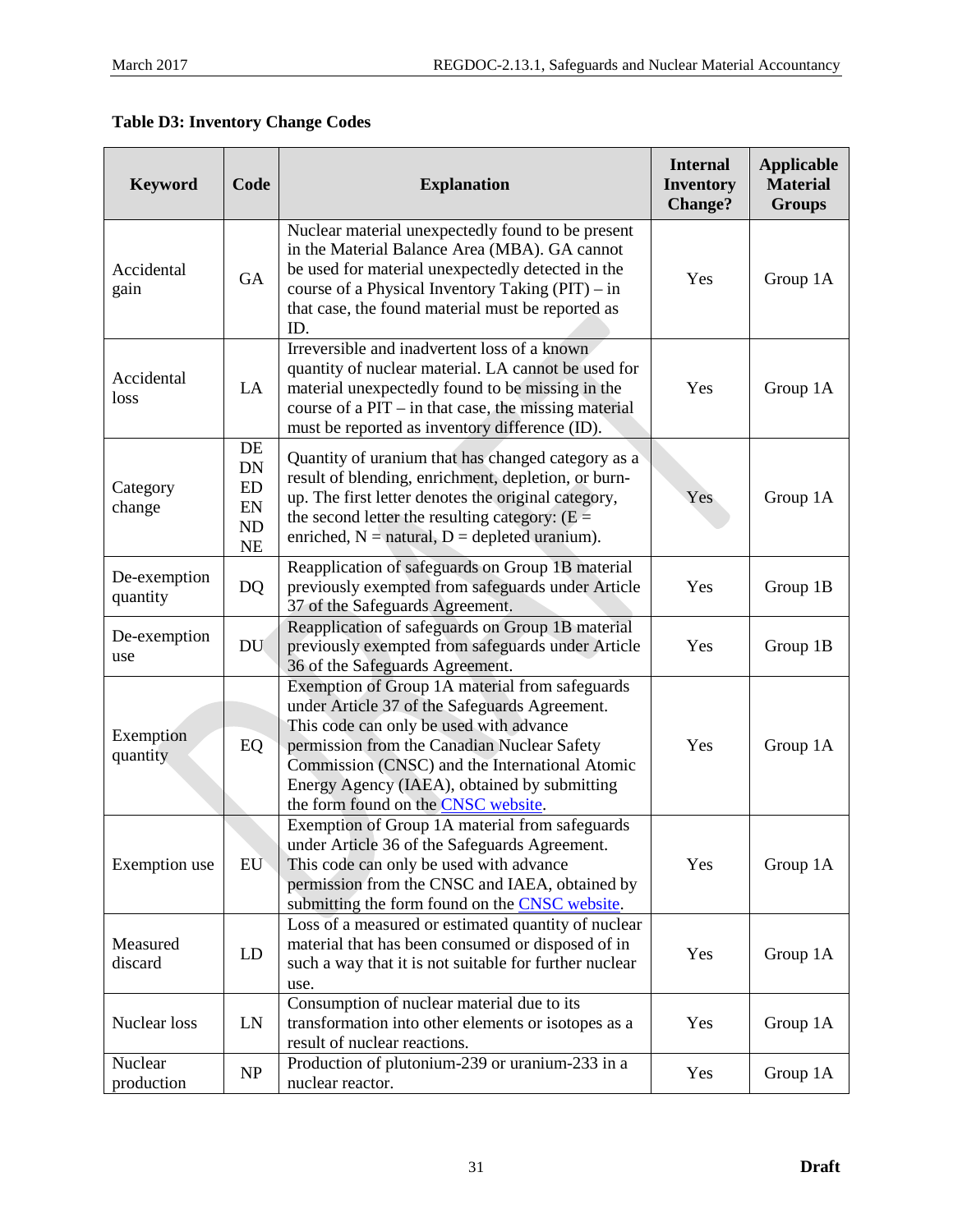# **Table D3: Inventory Change Codes**

| <b>Keyword</b>           | Code                                    | <b>Explanation</b>                                                                                                                                                                                                                                                                                                                 | <b>Internal</b><br><b>Inventory</b><br><b>Change?</b> | <b>Applicable</b><br><b>Material</b><br><b>Groups</b> |
|--------------------------|-----------------------------------------|------------------------------------------------------------------------------------------------------------------------------------------------------------------------------------------------------------------------------------------------------------------------------------------------------------------------------------|-------------------------------------------------------|-------------------------------------------------------|
| Accidental<br>gain       | GA                                      | Nuclear material unexpectedly found to be present<br>in the Material Balance Area (MBA). GA cannot<br>be used for material unexpectedly detected in the<br>course of a Physical Inventory Taking $(PIT) - in$<br>that case, the found material must be reported as<br>ID.                                                          | Yes                                                   | Group 1A                                              |
| Accidental<br>loss       | LA                                      | Irreversible and inadvertent loss of a known<br>quantity of nuclear material. LA cannot be used for<br>material unexpectedly found to be missing in the<br>course of a $PIT - in$ that case, the missing material<br>must be reported as inventory difference (ID).                                                                | Yes                                                   | Group 1A                                              |
| Category<br>change       | DE<br>DN<br>ED<br>EN<br>ND<br><b>NE</b> | Quantity of uranium that has changed category as a<br>result of blending, enrichment, depletion, or burn-<br>up. The first letter denotes the original category,<br>the second letter the resulting category: $(E =$<br>enriched, $N =$ natural, $D =$ depleted uranium).                                                          | Yes                                                   | Group 1A                                              |
| De-exemption<br>quantity | DQ                                      | Reapplication of safeguards on Group 1B material<br>previously exempted from safeguards under Article<br>37 of the Safeguards Agreement.                                                                                                                                                                                           | Yes                                                   | Group 1B                                              |
| De-exemption<br>use      | <b>DU</b>                               | Reapplication of safeguards on Group 1B material<br>previously exempted from safeguards under Article<br>36 of the Safeguards Agreement.                                                                                                                                                                                           | Yes                                                   | Group 1B                                              |
| Exemption<br>quantity    | EQ                                      | Exemption of Group 1A material from safeguards<br>under Article 37 of the Safeguards Agreement.<br>This code can only be used with advance<br>permission from the Canadian Nuclear Safety<br>Commission (CNSC) and the International Atomic<br>Energy Agency (IAEA), obtained by submitting<br>the form found on the CNSC website. | Yes                                                   | Group 1A                                              |
| Exemption use            | EU                                      | Exemption of Group 1A material from safeguards<br>under Article 36 of the Safeguards Agreement.<br>This code can only be used with advance<br>permission from the CNSC and IAEA, obtained by<br>submitting the form found on the <b>CNSC</b> website.                                                                              | Yes                                                   | Group 1A                                              |
| Measured<br>discard      | LD                                      | Loss of a measured or estimated quantity of nuclear<br>material that has been consumed or disposed of in<br>such a way that it is not suitable for further nuclear<br>use.                                                                                                                                                         | Yes                                                   | Group 1A                                              |
| Nuclear loss             | LN                                      | Consumption of nuclear material due to its<br>transformation into other elements or isotopes as a<br>result of nuclear reactions.                                                                                                                                                                                                  | Yes                                                   | Group 1A                                              |
| Nuclear<br>production    | NP                                      | Production of plutonium-239 or uranium-233 in a<br>nuclear reactor.                                                                                                                                                                                                                                                                | Yes                                                   | Group 1A                                              |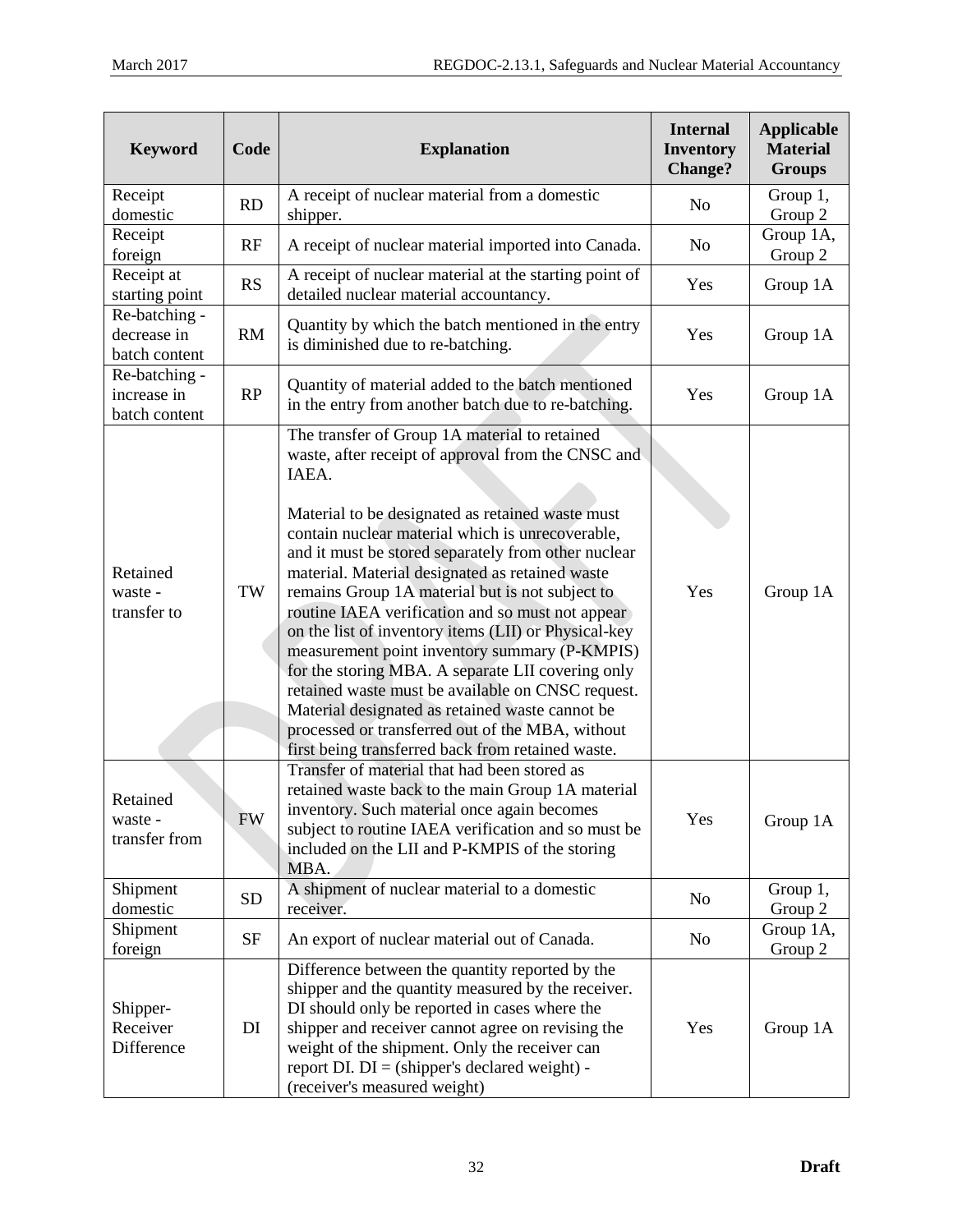| <b>Keyword</b>                                | Code      | <b>Explanation</b>                                                                                                                                                                                                                                                                                                                                                                                                                                                                                                                                                                                                                                                                                                                                                                                                   | <b>Internal</b><br><b>Inventory</b><br><b>Change?</b> | <b>Applicable</b><br><b>Material</b><br><b>Groups</b> |
|-----------------------------------------------|-----------|----------------------------------------------------------------------------------------------------------------------------------------------------------------------------------------------------------------------------------------------------------------------------------------------------------------------------------------------------------------------------------------------------------------------------------------------------------------------------------------------------------------------------------------------------------------------------------------------------------------------------------------------------------------------------------------------------------------------------------------------------------------------------------------------------------------------|-------------------------------------------------------|-------------------------------------------------------|
| Receipt<br>domestic                           | <b>RD</b> | A receipt of nuclear material from a domestic<br>shipper.                                                                                                                                                                                                                                                                                                                                                                                                                                                                                                                                                                                                                                                                                                                                                            | No                                                    | Group 1,<br>Group 2                                   |
| Receipt<br>foreign                            | RF        | A receipt of nuclear material imported into Canada.                                                                                                                                                                                                                                                                                                                                                                                                                                                                                                                                                                                                                                                                                                                                                                  | No                                                    | Group 1A,<br>Group 2                                  |
| Receipt at<br>starting point                  | <b>RS</b> | A receipt of nuclear material at the starting point of<br>detailed nuclear material accountancy.                                                                                                                                                                                                                                                                                                                                                                                                                                                                                                                                                                                                                                                                                                                     | Yes                                                   | Group 1A                                              |
| Re-batching -<br>decrease in<br>batch content | RM        | Quantity by which the batch mentioned in the entry<br>is diminished due to re-batching.                                                                                                                                                                                                                                                                                                                                                                                                                                                                                                                                                                                                                                                                                                                              | Yes                                                   | Group 1A                                              |
| Re-batching -<br>increase in<br>batch content | RP        | Quantity of material added to the batch mentioned<br>in the entry from another batch due to re-batching.                                                                                                                                                                                                                                                                                                                                                                                                                                                                                                                                                                                                                                                                                                             | Yes                                                   | Group 1A                                              |
| Retained<br>waste -<br>transfer to            | TW        | The transfer of Group 1A material to retained<br>waste, after receipt of approval from the CNSC and<br>IAEA.<br>Material to be designated as retained waste must<br>contain nuclear material which is unrecoverable,<br>and it must be stored separately from other nuclear<br>material. Material designated as retained waste<br>remains Group 1A material but is not subject to<br>routine IAEA verification and so must not appear<br>on the list of inventory items (LII) or Physical-key<br>measurement point inventory summary (P-KMPIS)<br>for the storing MBA. A separate LII covering only<br>retained waste must be available on CNSC request.<br>Material designated as retained waste cannot be<br>processed or transferred out of the MBA, without<br>first being transferred back from retained waste. | Yes                                                   | Group 1A                                              |
| Retained<br>waste -<br>transfer from          | <b>FW</b> | Transfer of material that had been stored as<br>retained waste back to the main Group 1A material<br>inventory. Such material once again becomes<br>subject to routine IAEA verification and so must be<br>included on the LII and P-KMPIS of the storing<br>MBA.                                                                                                                                                                                                                                                                                                                                                                                                                                                                                                                                                    | Yes                                                   | Group 1A                                              |
| Shipment<br>domestic                          | <b>SD</b> | A shipment of nuclear material to a domestic<br>receiver.                                                                                                                                                                                                                                                                                                                                                                                                                                                                                                                                                                                                                                                                                                                                                            | N <sub>0</sub>                                        | Group $1$ ,<br>Group 2                                |
| Shipment<br>foreign                           | <b>SF</b> | An export of nuclear material out of Canada.                                                                                                                                                                                                                                                                                                                                                                                                                                                                                                                                                                                                                                                                                                                                                                         | No                                                    | Group 1A,<br>Group 2                                  |
| Shipper-<br>Receiver<br>Difference            | DI        | Difference between the quantity reported by the<br>shipper and the quantity measured by the receiver.<br>DI should only be reported in cases where the<br>shipper and receiver cannot agree on revising the<br>weight of the shipment. Only the receiver can<br>report DI. $DI = (shipper's declared weight) -$<br>(receiver's measured weight)                                                                                                                                                                                                                                                                                                                                                                                                                                                                      | Yes                                                   | Group 1A                                              |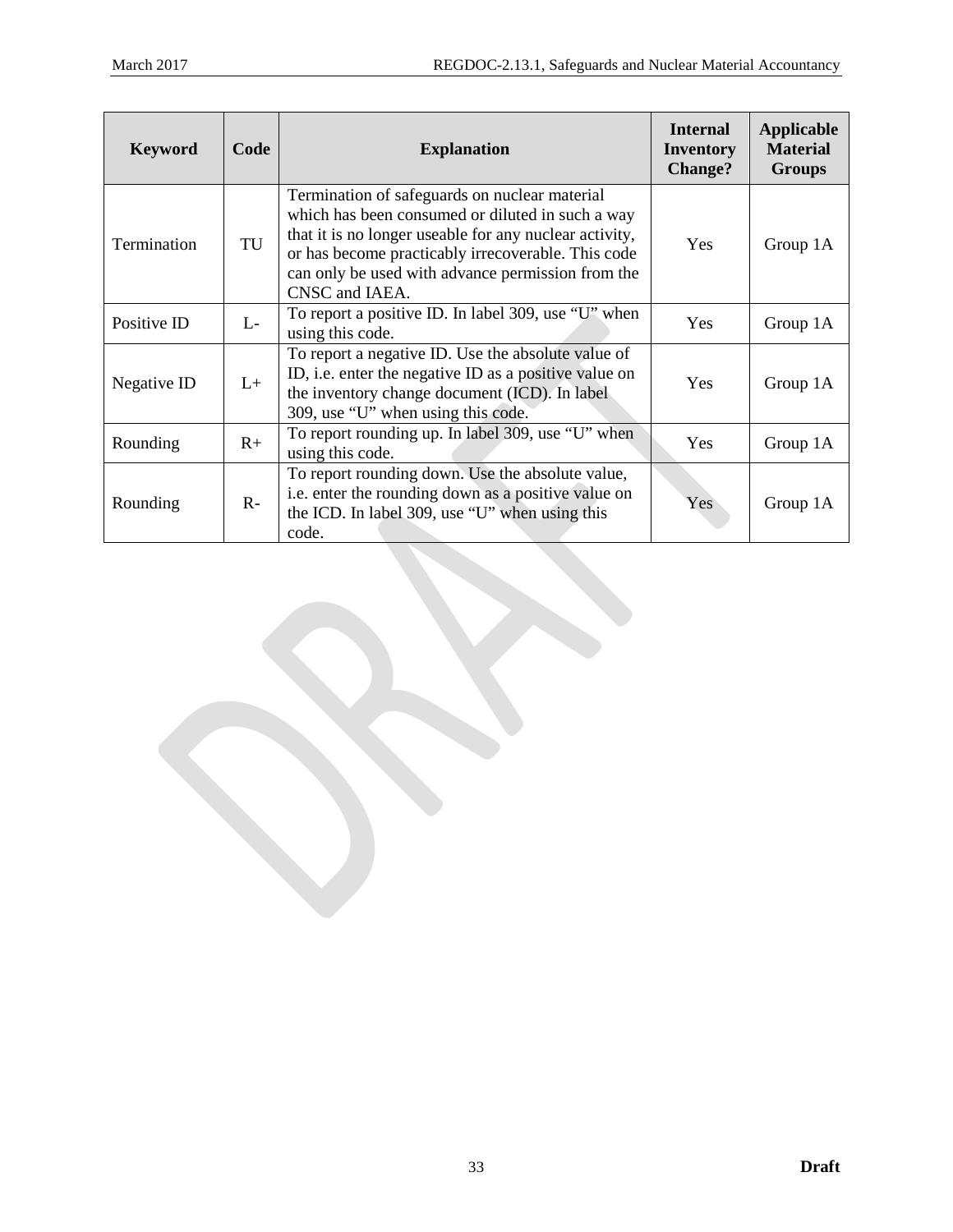| <b>Keyword</b> | Code | <b>Explanation</b>                                                                                                                                                                                                                                                                       | <b>Internal</b><br><b>Inventory</b><br><b>Change?</b> | Applicable<br><b>Material</b><br><b>Groups</b> |
|----------------|------|------------------------------------------------------------------------------------------------------------------------------------------------------------------------------------------------------------------------------------------------------------------------------------------|-------------------------------------------------------|------------------------------------------------|
| Termination    | TU   | Termination of safeguards on nuclear material<br>which has been consumed or diluted in such a way<br>that it is no longer useable for any nuclear activity,<br>or has become practicably irrecoverable. This code<br>can only be used with advance permission from the<br>CNSC and IAEA. | <b>Yes</b>                                            | Group 1A                                       |
| Positive ID    | $L-$ | To report a positive ID. In label 309, use "U" when<br>using this code.                                                                                                                                                                                                                  | Yes                                                   | Group 1A                                       |
| Negative ID    | $L+$ | To report a negative ID. Use the absolute value of<br>ID, i.e. enter the negative ID as a positive value on<br>the inventory change document (ICD). In label<br>309, use "U" when using this code.                                                                                       | <b>Yes</b>                                            | Group 1A                                       |
| Rounding       | $R+$ | To report rounding up. In label 309, use "U" when<br>using this code.                                                                                                                                                                                                                    | <b>Yes</b>                                            | Group 1A                                       |
| Rounding       | $R-$ | To report rounding down. Use the absolute value,<br>i.e. enter the rounding down as a positive value on<br>the ICD. In label 309, use "U" when using this<br>code.                                                                                                                       | Yes                                                   | Group 1A                                       |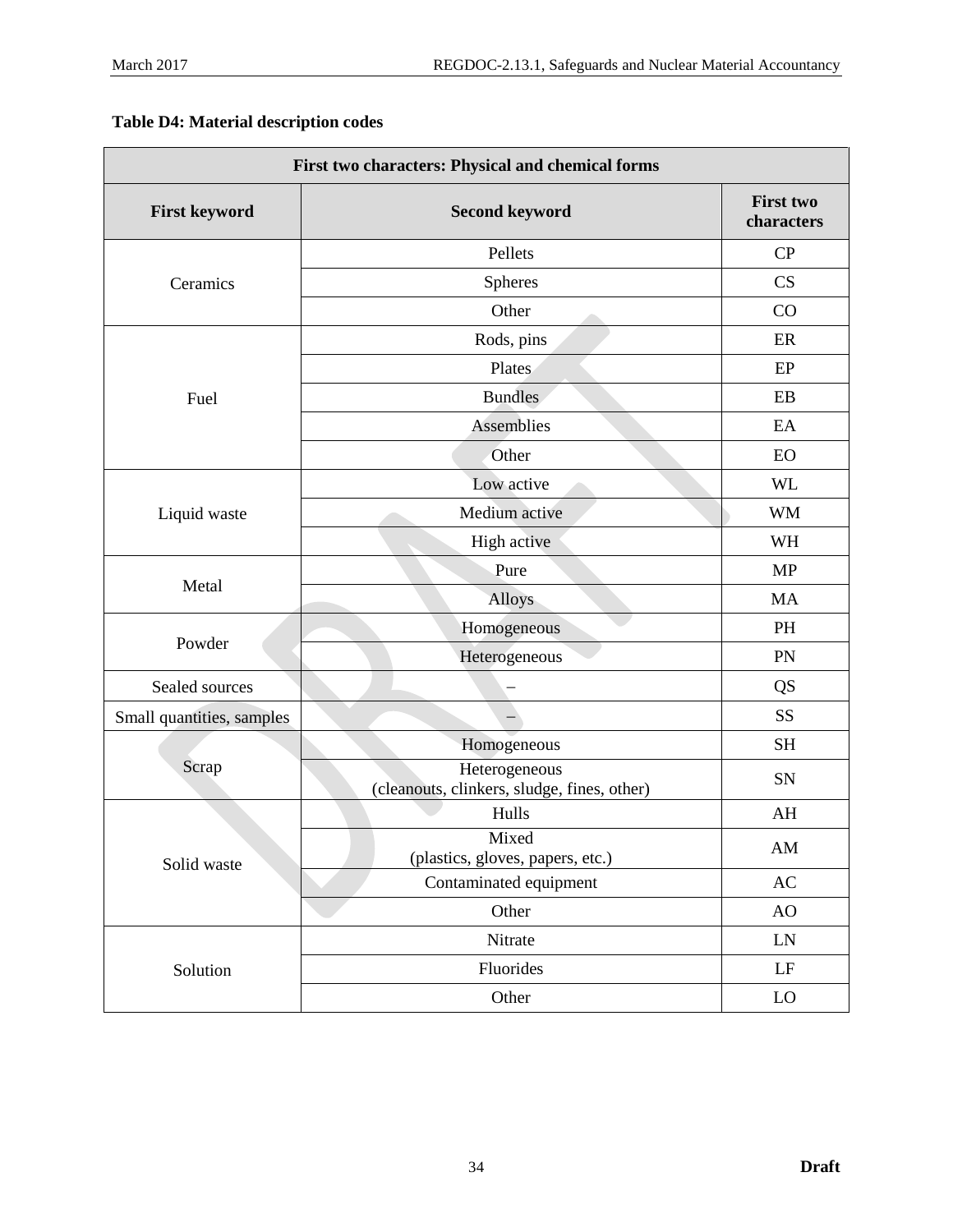|  |  | <b>Table D4: Material description codes</b> |  |
|--|--|---------------------------------------------|--|
|--|--|---------------------------------------------|--|

| First two characters: Physical and chemical forms |                                                              |                                |  |  |
|---------------------------------------------------|--------------------------------------------------------------|--------------------------------|--|--|
| <b>First keyword</b>                              | <b>Second keyword</b>                                        | <b>First two</b><br>characters |  |  |
|                                                   | Pellets                                                      | CP                             |  |  |
| Ceramics                                          | <b>Spheres</b>                                               | CS                             |  |  |
|                                                   | Other                                                        | CO                             |  |  |
|                                                   | Rods, pins                                                   | ER                             |  |  |
|                                                   | Plates                                                       | EP                             |  |  |
| Fuel                                              | <b>Bundles</b>                                               | EB                             |  |  |
|                                                   | <b>Assemblies</b>                                            | EA                             |  |  |
|                                                   | Other                                                        | EO                             |  |  |
|                                                   | Low active                                                   | <b>WL</b>                      |  |  |
| Liquid waste                                      | Medium active                                                | <b>WM</b>                      |  |  |
|                                                   | High active                                                  | WH                             |  |  |
|                                                   | Pure                                                         | <b>MP</b>                      |  |  |
| Metal                                             | Alloys                                                       | <b>MA</b>                      |  |  |
|                                                   | Homogeneous                                                  | PH                             |  |  |
| Powder                                            | Heterogeneous                                                | PN                             |  |  |
| Sealed sources                                    |                                                              | <b>QS</b>                      |  |  |
| Small quantities, samples                         |                                                              | SS                             |  |  |
|                                                   | Homogeneous                                                  | <b>SH</b>                      |  |  |
| Scrap                                             | Heterogeneous<br>(cleanouts, clinkers, sludge, fines, other) | SN                             |  |  |
|                                                   | Hulls                                                        | AH                             |  |  |
| Solid waste                                       | Mixed<br>(plastics, gloves, papers, etc.)                    | AM                             |  |  |
|                                                   | Contaminated equipment                                       | $\mathbf{A}\mathbf{C}$         |  |  |
|                                                   | Other                                                        | AO                             |  |  |
|                                                   | Nitrate                                                      | ${\rm LN}$                     |  |  |
| Solution                                          | Fluorides                                                    | $\rm LF$                       |  |  |
|                                                   | Other                                                        | ${\rm LO}$                     |  |  |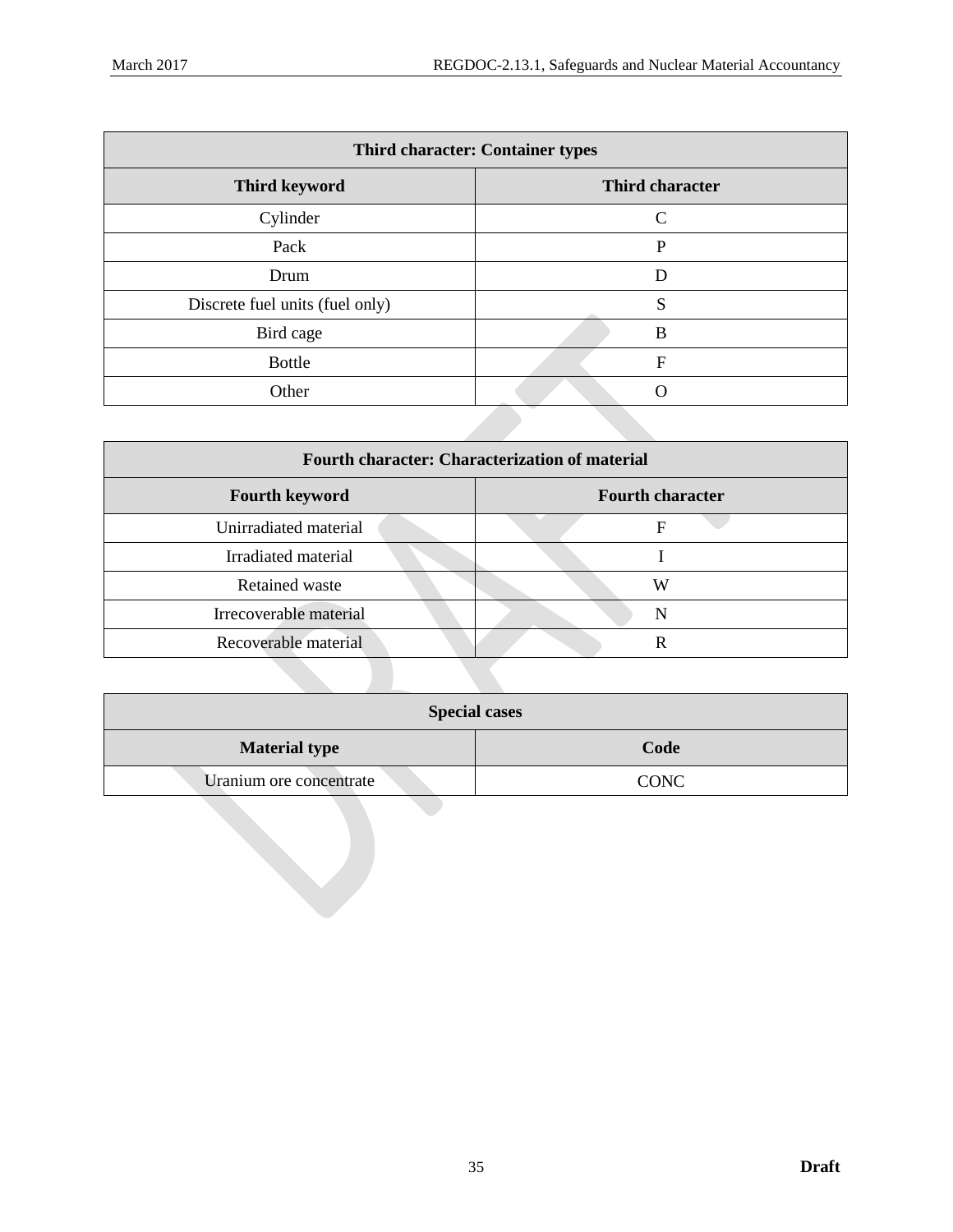| <b>Third character: Container types</b> |                 |  |  |
|-----------------------------------------|-----------------|--|--|
| <b>Third keyword</b>                    | Third character |  |  |
| Cylinder                                | C               |  |  |
| Pack                                    | P               |  |  |
| Drum                                    | D               |  |  |
| Discrete fuel units (fuel only)         | S               |  |  |
| Bird cage                               | B               |  |  |
| <b>Bottle</b>                           | F               |  |  |
| Other                                   |                 |  |  |

| <b>Fourth character: Characterization of material</b> |                         |  |  |  |
|-------------------------------------------------------|-------------------------|--|--|--|
| <b>Fourth keyword</b>                                 | <b>Fourth character</b> |  |  |  |
| Unirradiated material                                 | F                       |  |  |  |
| Irradiated material                                   |                         |  |  |  |
| Retained waste                                        | W                       |  |  |  |
| Irrecoverable material                                | N                       |  |  |  |
| Recoverable material                                  |                         |  |  |  |

| <b>Special cases</b>         |             |  |  |
|------------------------------|-------------|--|--|
| Code<br><b>Material type</b> |             |  |  |
| Uranium ore concentrate      | <b>CONC</b> |  |  |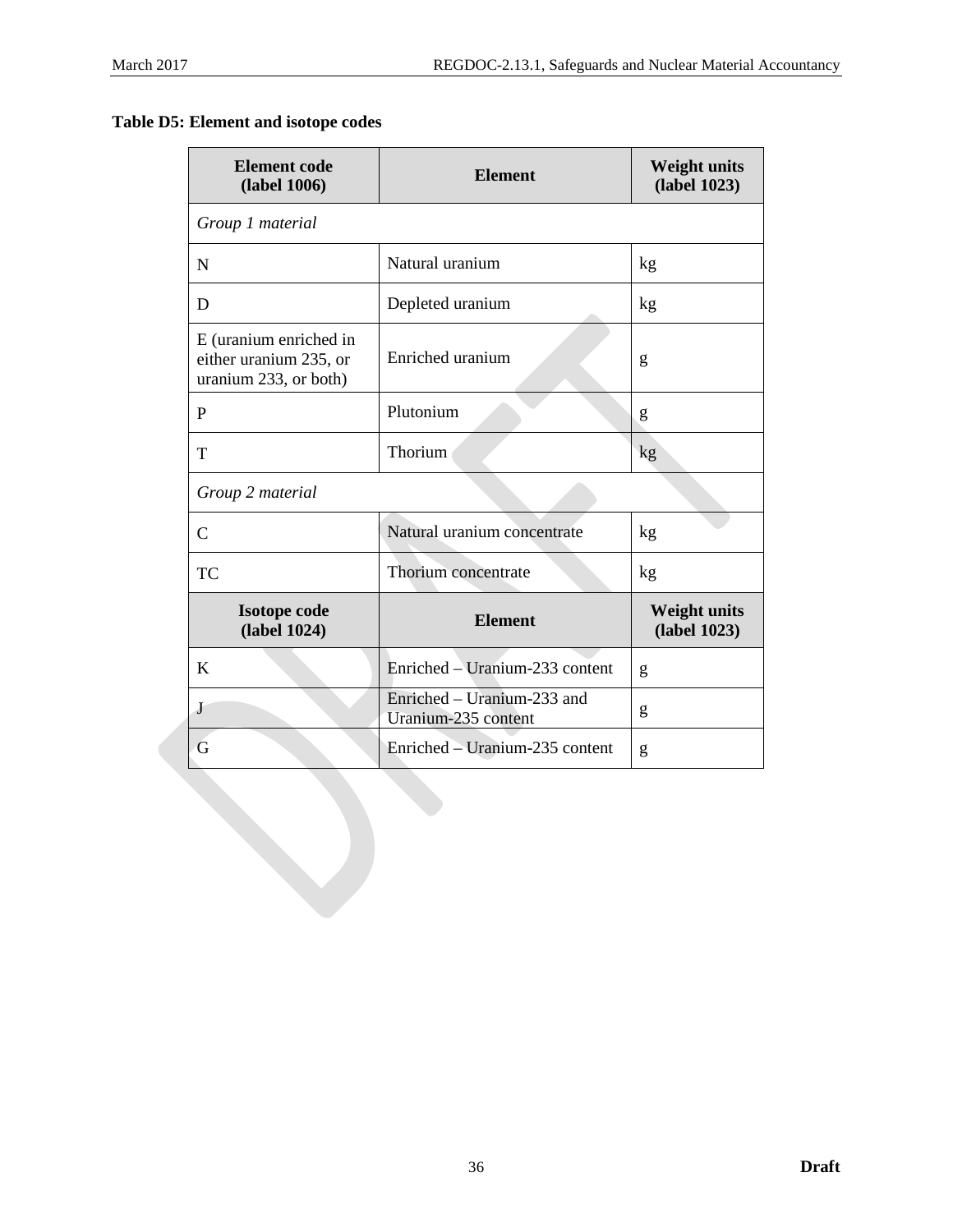**Table D5: Element and isotope codes**

| <b>Element</b> code<br><b>Element</b><br>(label 1006)                     |                                                   | <b>Weight units</b><br>(label 1023) |  |
|---------------------------------------------------------------------------|---------------------------------------------------|-------------------------------------|--|
| Group 1 material                                                          |                                                   |                                     |  |
| N                                                                         | Natural uranium                                   | kg                                  |  |
| D                                                                         | Depleted uranium                                  | kg                                  |  |
| E (uranium enriched in<br>either uranium 235, or<br>uranium 233, or both) | Enriched uranium                                  | g                                   |  |
| P                                                                         | Plutonium                                         | g                                   |  |
| T                                                                         | Thorium                                           | kg                                  |  |
| Group 2 material                                                          |                                                   |                                     |  |
| $\overline{C}$                                                            | Natural uranium concentrate                       | kg                                  |  |
| TC                                                                        | Thorium concentrate                               | kg                                  |  |
| <b>Isotope code</b><br>(label 1024)                                       | <b>Element</b>                                    | <b>Weight units</b><br>(label 1023) |  |
| K                                                                         | Enriched – Uranium-233 content                    | g                                   |  |
| J                                                                         | Enriched – Uranium-233 and<br>Uranium-235 content | g                                   |  |
| G                                                                         | Enriched – Uranium-235 content<br>g               |                                     |  |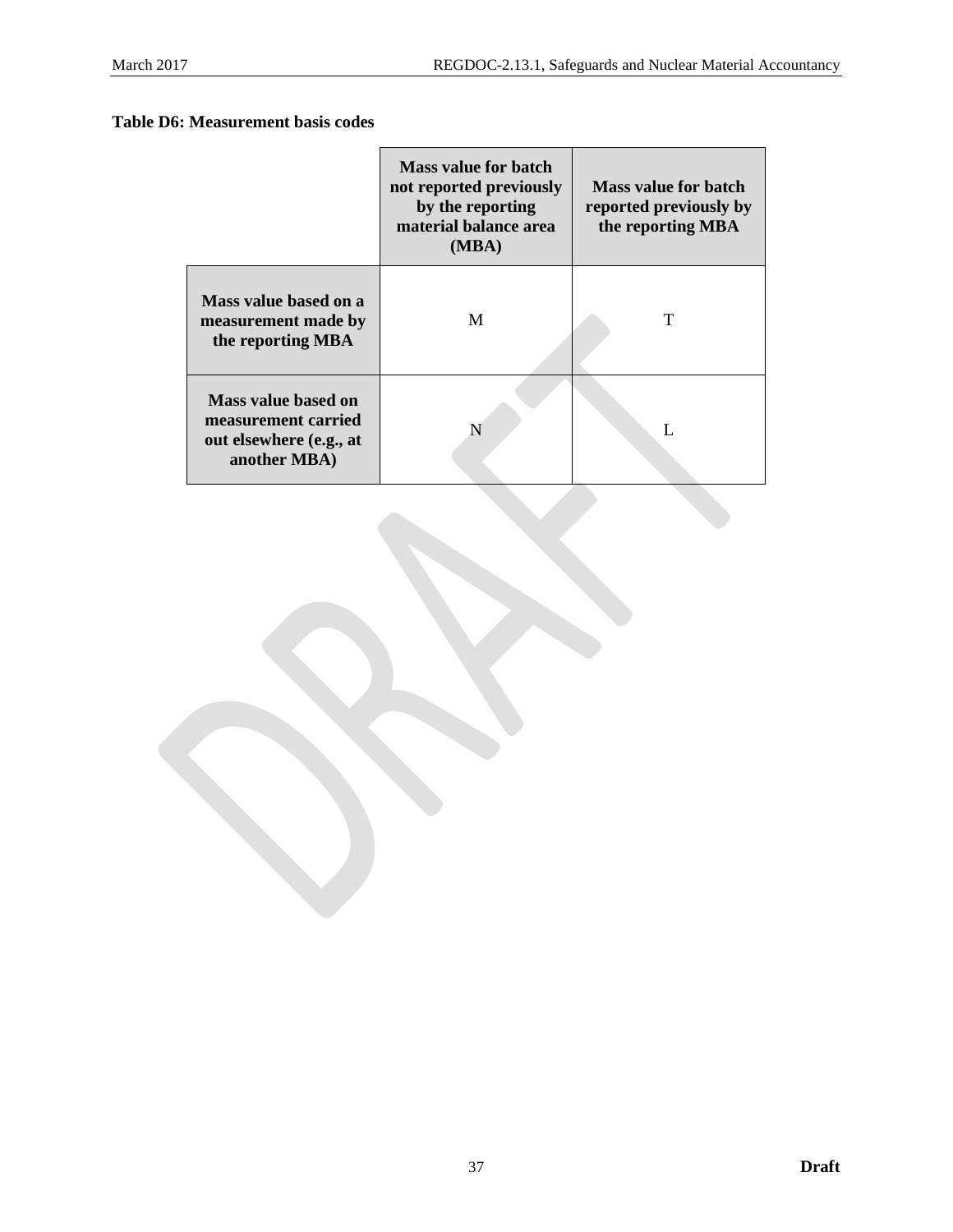# **Table D6: Measurement basis codes**

|                                                                                       | Mass value for batch<br>not reported previously<br>by the reporting<br>material balance area<br>(MBA) | <b>Mass value for batch</b><br>reported previously by<br>the reporting MBA |
|---------------------------------------------------------------------------------------|-------------------------------------------------------------------------------------------------------|----------------------------------------------------------------------------|
| Mass value based on a<br>measurement made by<br>the reporting MBA                     | M                                                                                                     | т                                                                          |
| Mass value based on<br>measurement carried<br>out elsewhere (e.g., at<br>another MBA) | N                                                                                                     |                                                                            |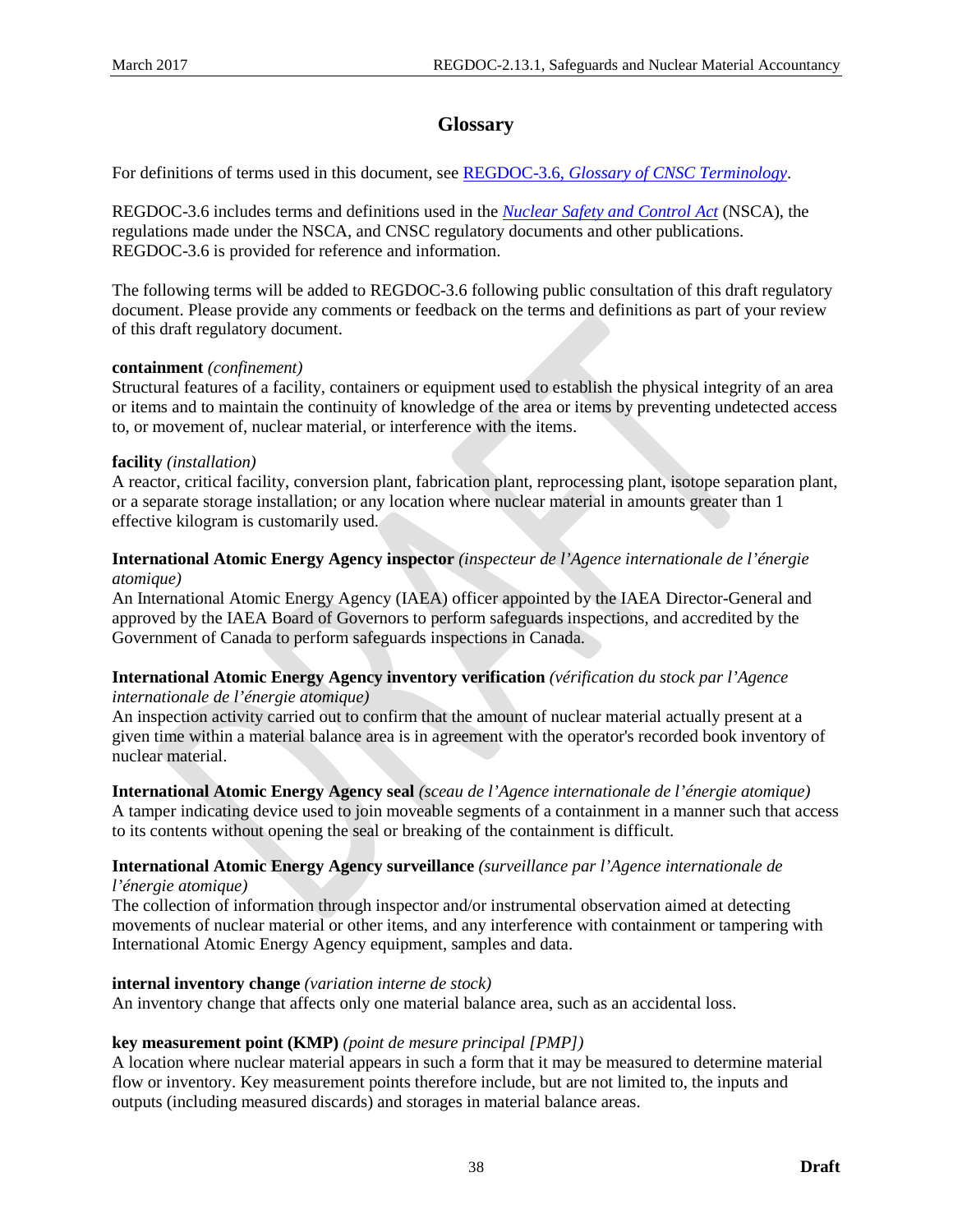# **Glossary**

<span id="page-43-0"></span>For definitions of terms used in this document, see REGDOC-3.6, *[Glossary of CNSC Terminology](http://www.nuclearsafety.gc.ca/pubs_catalogue/uploads/REGDOC-3-6-Glossary-of-CNSC-Terminology-eng.pdf)*.

REGDOC-3.6 includes terms and definitions used in the *[Nuclear Safety and Control Act](http://laws-lois.justice.gc.ca/eng/acts/N-28.3/)* (NSCA), the regulations made under the NSCA, and CNSC regulatory documents and other publications. REGDOC-3.6 is provided for reference and information.

The following terms will be added to REGDOC-3.6 following public consultation of this draft regulatory document. Please provide any comments or feedback on the terms and definitions as part of your review of this draft regulatory document.

#### **containment** *(confinement)*

Structural features of a facility, containers or equipment used to establish the physical integrity of an area or items and to maintain the continuity of knowledge of the area or items by preventing undetected access to, or movement of, nuclear material, or interference with the items.

#### **facility** *(installation)*

A reactor, critical facility, conversion plant, fabrication plant, reprocessing plant, isotope separation plant, or a separate storage installation; or any location where nuclear material in amounts greater than 1 effective kilogram is customarily used.

## **International Atomic Energy Agency inspector** *(inspecteur de l'Agence internationale de l'énergie atomique)*

An International Atomic Energy Agency (IAEA) officer appointed by the IAEA Director-General and approved by the IAEA Board of Governors to perform safeguards inspections, and accredited by the Government of Canada to perform safeguards inspections in Canada.

#### **International Atomic Energy Agency inventory verification** *(vérification du stock par l'Agence internationale de l'énergie atomique)*

An inspection activity carried out to confirm that the amount of nuclear material actually present at a given time within a material balance area is in agreement with the operator's recorded book inventory of nuclear material.

**International Atomic Energy Agency seal** *(sceau de l'Agence internationale de l'énergie atomique)* A tamper indicating device used to join moveable segments of a containment in a manner such that access to its contents without opening the seal or breaking of the containment is difficult.

# **International Atomic Energy Agency surveillance** *(surveillance par l'Agence internationale de*

*l'énergie atomique)*

The collection of information through inspector and/or instrumental observation aimed at detecting movements of nuclear material or other items, and any interference with containment or tampering with International Atomic Energy Agency equipment, samples and data.

#### **internal inventory change** *(variation interne de stock)*

An inventory change that affects only one material balance area, such as an accidental loss.

#### **key measurement point (KMP)** *(point de mesure principal [PMP])*

A location where nuclear material appears in such a form that it may be measured to determine material flow or inventory. Key measurement points therefore include, but are not limited to, the inputs and outputs (including measured discards) and storages in material balance areas.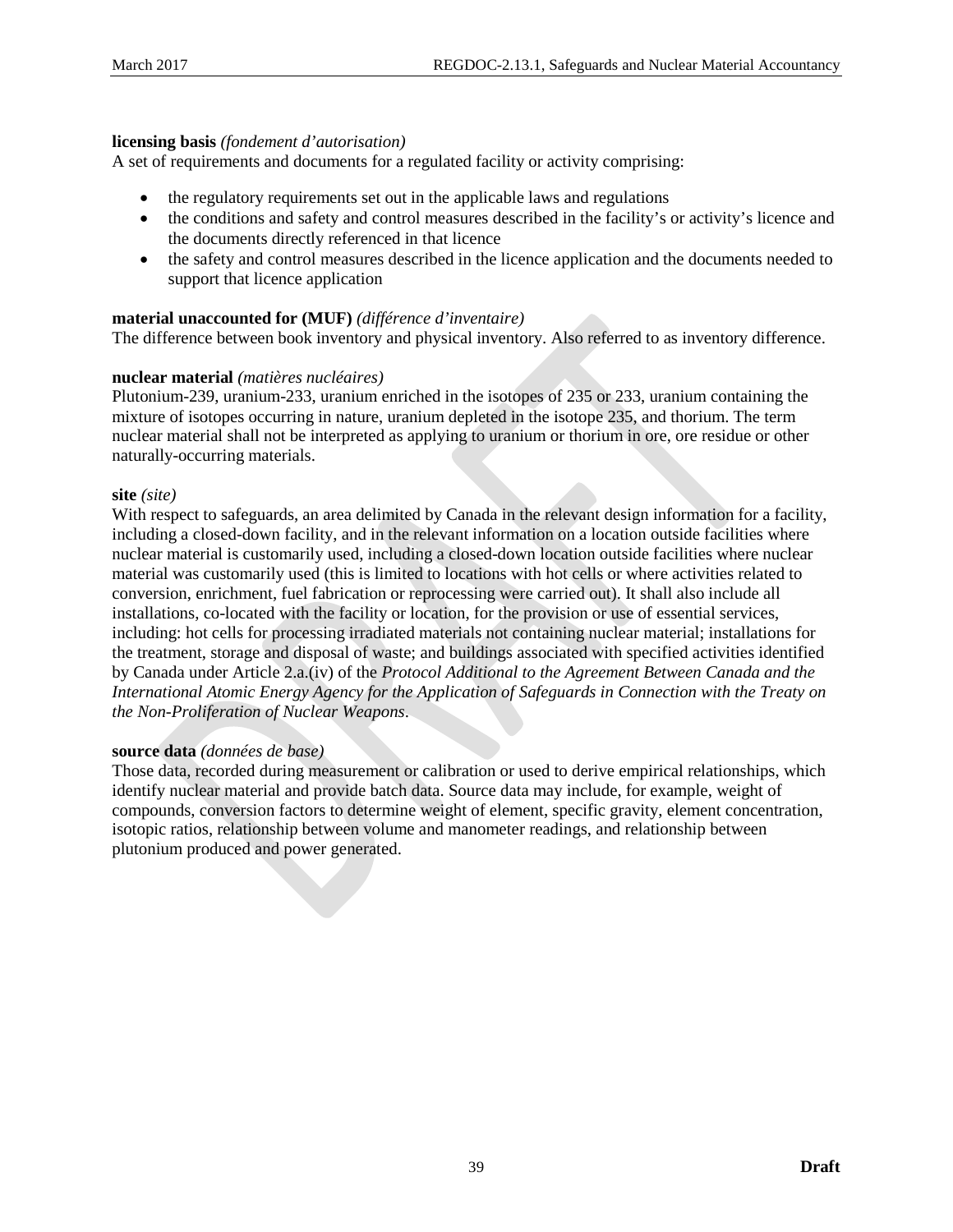#### **licensing basis** *(fondement d'autorisation)*

A set of requirements and documents for a regulated facility or activity comprising:

- the regulatory requirements set out in the applicable laws and regulations
- the conditions and safety and control measures described in the facility's or activity's licence and the documents directly referenced in that licence
- the safety and control measures described in the licence application and the documents needed to support that licence application

#### **material unaccounted for (MUF)** *(différence d'inventaire)*

The difference between book inventory and physical inventory. Also referred to as inventory difference.

#### **nuclear material** *(matières nucléaires)*

Plutonium-239, uranium-233, uranium enriched in the isotopes of 235 or 233, uranium containing the mixture of isotopes occurring in nature, uranium depleted in the isotope 235, and thorium. The term nuclear material shall not be interpreted as applying to uranium or thorium in ore, ore residue or other naturally-occurring materials.

#### **site** *(site)*

With respect to safeguards, an area delimited by Canada in the relevant design information for a facility, including a closed-down facility, and in the relevant information on a location outside facilities where nuclear material is customarily used, including a closed-down location outside facilities where nuclear material was customarily used (this is limited to locations with hot cells or where activities related to conversion, enrichment, fuel fabrication or reprocessing were carried out). It shall also include all installations, co-located with the facility or location, for the provision or use of essential services, including: hot cells for processing irradiated materials not containing nuclear material; installations for the treatment, storage and disposal of waste; and buildings associated with specified activities identified by Canada under Article 2.a.(iv) of the *Protocol Additional to the Agreement Between Canada and the International Atomic Energy Agency for the Application of Safeguards in Connection with the Treaty on the Non-Proliferation of Nuclear Weapons*.

#### **source data** *(données de base)*

Those data, recorded during measurement or calibration or used to derive empirical relationships, which identify nuclear material and provide batch data. Source data may include, for example, weight of compounds, conversion factors to determine weight of element, specific gravity, element concentration, isotopic ratios, relationship between volume and manometer readings, and relationship between plutonium produced and power generated.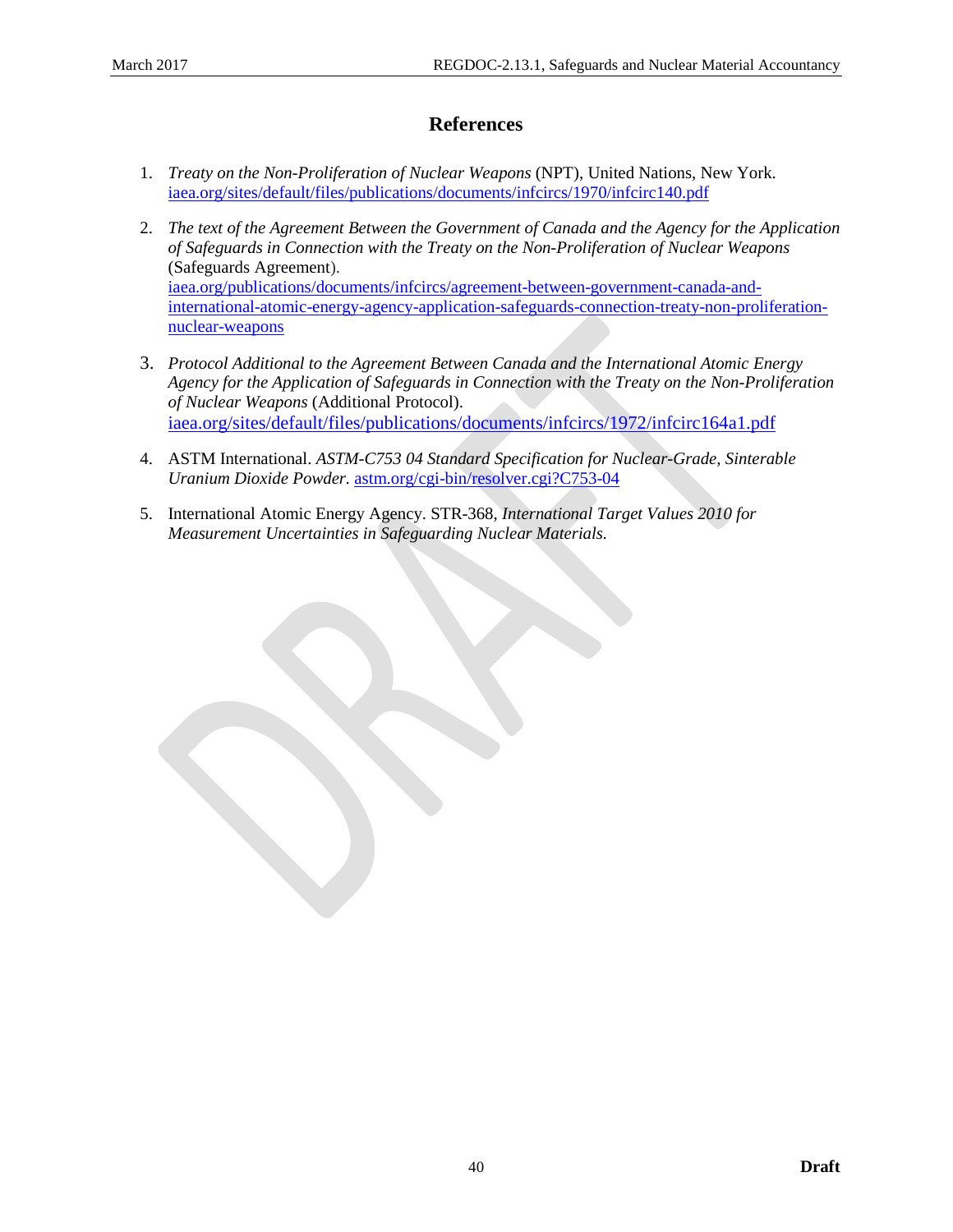# **References**

- <span id="page-45-0"></span>1. *Treaty on the Non-Proliferation of Nuclear Weapons* (NPT), United Nations, New York. [iaea.org/sites/default/files/publications/documents/infcircs/1970/infcirc140.pdf](https://www.iaea.org/sites/default/files/publications/documents/infcircs/1970/infcirc140.pdf)
- 2. *The text of the Agreement Between the Government of Canada and the Agency for the Application of Safeguards in Connection with the Treaty on the Non-Proliferation of Nuclear Weapons* (Safeguards Agreement). [iaea.org/publications/documents/infcircs/agreement-between-government-canada-and](https://www.iaea.org/publications/documents/infcircs/agreement-between-government-canada-and-international-atomic-energy-agency-application-safeguards-connection-treaty-non-proliferation-nuclear-weapons)[international-atomic-energy-agency-application-safeguards-connection-treaty-non-proliferation](https://www.iaea.org/publications/documents/infcircs/agreement-between-government-canada-and-international-atomic-energy-agency-application-safeguards-connection-treaty-non-proliferation-nuclear-weapons)[nuclear-weapons](https://www.iaea.org/publications/documents/infcircs/agreement-between-government-canada-and-international-atomic-energy-agency-application-safeguards-connection-treaty-non-proliferation-nuclear-weapons)
- 3. *Protocol Additional to the Agreement Between Canada and the International Atomic Energy Agency for the Application of Safeguards in Connection with the Treaty on the Non-Proliferation of Nuclear Weapons* (Additional Protocol). [iaea.org/sites/default/files/publications/documents/infcircs/1972/infcirc164a1.pdf](https://www.iaea.org/sites/default/files/publications/documents/infcircs/1972/infcirc164a1.pdf)
- 4. ASTM International. *ASTM-C753 04 Standard Specification for Nuclear-Grade, Sinterable Uranium Dioxide Powder.* [astm.org/cgi-bin/resolver.cgi?C753-04](http://www.astm.org/cgi-bin/resolver.cgi?C753-04)
- 5. International Atomic Energy Agency. STR-368, *International Target Values 2010 for Measurement Uncertainties in Safeguarding Nuclear Materials.*